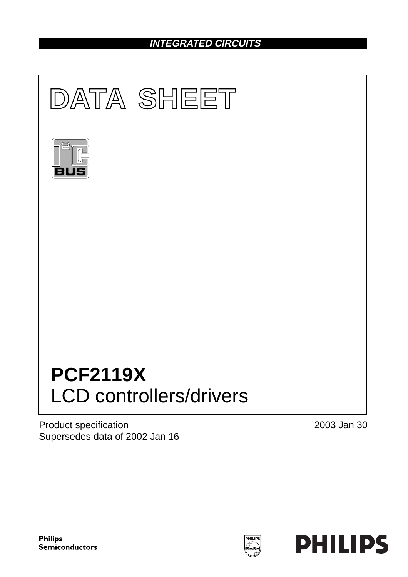# **INTEGRATED CIRCUITS**



Product specification Supersedes data of 2002 Jan 16 2003 Jan 30

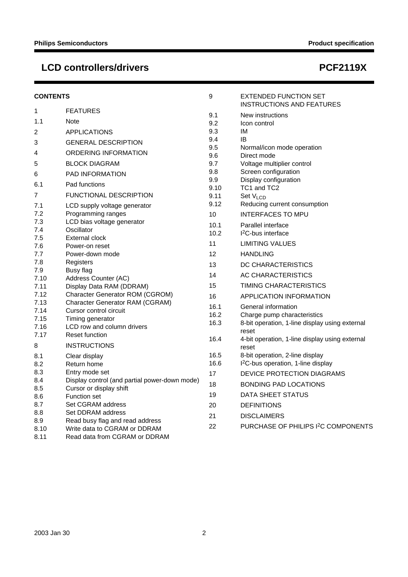# LCD controllers/drivers and the state of the state of the PCF2119X

| <b>CONTENTS</b> |                                                | 9            | <b>EXTENDED FUNCTION SET</b><br><b>INSTRUCTIONS AND FEATURES</b>                  |
|-----------------|------------------------------------------------|--------------|-----------------------------------------------------------------------------------|
| 1               | <b>FEATURES</b>                                | 9.1          | New instructions                                                                  |
| 1.1             | Note                                           | 9.2          | Icon control                                                                      |
| 2               | <b>APPLICATIONS</b>                            | 9.3          | ΙM                                                                                |
| 3               | <b>GENERAL DESCRIPTION</b>                     | 9.4          | IB                                                                                |
| 4               | ORDERING INFORMATION                           | 9.5          | Normal/icon mode operation                                                        |
|                 |                                                | 9.6          | Direct mode                                                                       |
| 5               | <b>BLOCK DIAGRAM</b>                           | 9.7<br>9.8   | Voltage multiplier control<br>Screen configuration                                |
| 6               | <b>PAD INFORMATION</b>                         | 9.9          | Display configuration                                                             |
| 6.1             | Pad functions                                  | 9.10         | TC1 and TC2                                                                       |
| 7               | <b>FUNCTIONAL DESCRIPTION</b>                  | 9.11         | Set V <sub>LCD</sub>                                                              |
| 7.1             | LCD supply voltage generator                   | 9.12         | Reducing current consumption                                                      |
| 7.2             | Programming ranges                             | 10           | <b>INTERFACES TO MPU</b>                                                          |
| 7.3             | LCD bias voltage generator                     | 10.1         | Parallel interface                                                                |
| 7.4             | Oscillator                                     | 10.2         | 1 <sup>2</sup> C-bus interface                                                    |
| 7.5             | <b>External clock</b>                          | 11           | <b>LIMITING VALUES</b>                                                            |
| 7.6<br>7.7      | Power-on reset<br>Power-down mode              | 12           | <b>HANDLING</b>                                                                   |
| 7.8             | Registers                                      |              |                                                                                   |
| 7.9             | Busy flag                                      | 13           | DC CHARACTERISTICS                                                                |
| 7.10            | Address Counter (AC)                           | 14           | AC CHARACTERISTICS                                                                |
| 7.11            | Display Data RAM (DDRAM)                       | 15           | TIMING CHARACTERISTICS                                                            |
| 7.12            | Character Generator ROM (CGROM)                | 16           | <b>APPLICATION INFORMATION</b>                                                    |
| 7.13            | Character Generator RAM (CGRAM)                | 16.1         | General information                                                               |
| 7.14            | Cursor control circuit                         | 16.2         | Charge pump characteristics                                                       |
| 7.15<br>7.16    | Timing generator<br>LCD row and column drivers | 16.3         | 8-bit operation, 1-line display using external                                    |
| 7.17            | <b>Reset function</b>                          |              | reset                                                                             |
| 8               | <b>INSTRUCTIONS</b>                            | 16.4         | 4-bit operation, 1-line display using external                                    |
|                 |                                                |              | reset                                                                             |
| 8.1             | Clear display<br>Return home                   | 16.5<br>16.6 | 8-bit operation, 2-line display<br>I <sup>2</sup> C-bus operation, 1-line display |
| 8.2<br>8.3      | Entry mode set                                 |              |                                                                                   |
| 8.4             | Display control (and partial power-down mode)  | 17           | DEVICE PROTECTION DIAGRAMS                                                        |
| 8.5             | Cursor or display shift                        | 18           | <b>BONDING PAD LOCATIONS</b>                                                      |
| 8.6             | <b>Function set</b>                            | 19           | DATA SHEET STATUS                                                                 |
| 8.7             | Set CGRAM address                              | 20           | <b>DEFINITIONS</b>                                                                |
| 8.8             | Set DDRAM address                              | 21           | <b>DISCLAIMERS</b>                                                                |
| 8.9             | Read busy flag and read address                | 22           | PURCHASE OF PHILIPS I <sup>2</sup> C COMPONENTS                                   |
| 8.10            | Write data to CGRAM or DDRAM                   |              |                                                                                   |
| 8.11            | Read data from CGRAM or DDRAM                  |              |                                                                                   |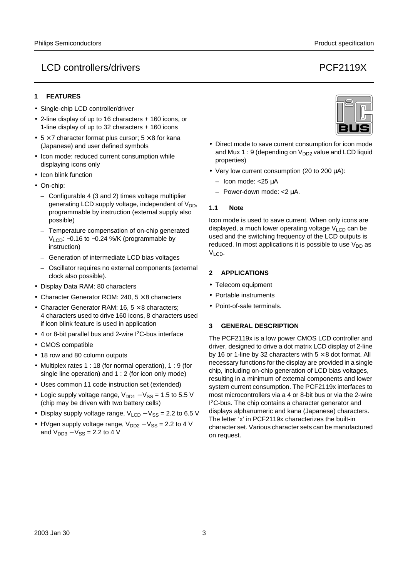#### LCD controllers/drivers PCF2119X

#### **1 FEATURES**

- Single-chip LCD controller/driver
- 2-line display of up to 16 characters + 160 icons, or 1-line display of up to 32 characters + 160 icons
- $5 \times 7$  character format plus cursor;  $5 \times 8$  for kana (Japanese) and user defined symbols
- Icon mode: reduced current consumption while displaying icons only
- Icon blink function
- On-chip:
	- Configurable 4 (3 and 2) times voltage multiplier generating LCD supply voltage, independent of  $V_{DD}$ , programmable by instruction (external supply also possible)
	- Temperature compensation of on-chip generated V<sub>LCD</sub>: -0.16 to -0.24 %/K (programmable by instruction)
	- Generation of intermediate LCD bias voltages
	- Oscillator requires no external components (external clock also possible).
- Display Data RAM: 80 characters
- Character Generator ROM: 240,  $5 \times 8$  characters
- Character Generator RAM: 16,  $5 \times 8$  characters; 4 characters used to drive 160 icons, 8 characters used if icon blink feature is used in application
- 4 or 8-bit parallel bus and 2-wire I<sup>2</sup>C-bus interface
- CMOS compatible
- 18 row and 80 column outputs
- Multiplex rates 1 : 18 (for normal operation), 1 : 9 (for single line operation) and 1 : 2 (for icon only mode)
- Uses common 11 code instruction set (extended)
- Logic supply voltage range,  $V_{DD1} V_{SS} = 1.5$  to 5.5 V (chip may be driven with two battery cells)
- Display supply voltage range,  $V_{\text{LCD}} V_{\text{SS}} = 2.2$  to 6.5 V
- HVgen supply voltage range,  $V_{DD2} V_{SS} = 2.2$  to 4 V and  $V_{DD3} - V_{SS} = 2.2$  to 4 V



- Direct mode to save current consumption for icon mode and Mux 1 : 9 (depending on  $V_{DD2}$  value and LCD liquid properties)
- Very low current consumption (20 to 200 µA):
	- Icon mode: <25 µA
	- Power-down mode: <2 µA.

#### **1.1 Note**

Icon mode is used to save current. When only icons are displayed, a much lower operating voltage  $V_{LCD}$  can be used and the switching frequency of the LCD outputs is reduced. In most applications it is possible to use  $V_{DD}$  as  $V<sub>LO</sub>$ .

#### **2 APPLICATIONS**

- Telecom equipment
- Portable instruments
- Point-of-sale terminals.

#### **3 GENERAL DESCRIPTION**

The PCF2119x is a low power CMOS LCD controller and driver, designed to drive a dot matrix LCD display of 2-line by 16 or 1-line by 32 characters with  $5 \times 8$  dot format. All necessary functions for the display are provided in a single chip, including on-chip generation of LCD bias voltages, resulting in a minimum of external components and lower system current consumption. The PCF2119x interfaces to most microcontrollers via a 4 or 8-bit bus or via the 2-wire I 2C-bus. The chip contains a character generator and displays alphanumeric and kana (Japanese) characters. The letter 'x' in PCF2119x characterizes the built-in character set. Various character sets can be manufactured on request.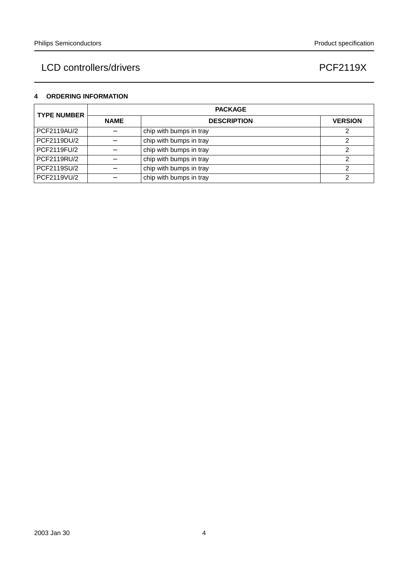#### **4 ORDERING INFORMATION**

| <b>TYPE NUMBER</b><br>PCF2119AU/2<br>PCF2119DU/2<br>PCF2119FU/2<br>PCF2119RU/2<br>PCF2119SU/2<br>PCF2119VU/2 |             | <b>PACKAGE</b>          |                |  |  |  |  |  |  |  |  |  |  |  |
|--------------------------------------------------------------------------------------------------------------|-------------|-------------------------|----------------|--|--|--|--|--|--|--|--|--|--|--|
|                                                                                                              | <b>NAME</b> | <b>DESCRIPTION</b>      | <b>VERSION</b> |  |  |  |  |  |  |  |  |  |  |  |
|                                                                                                              |             | chip with bumps in tray |                |  |  |  |  |  |  |  |  |  |  |  |
|                                                                                                              |             | chip with bumps in tray |                |  |  |  |  |  |  |  |  |  |  |  |
|                                                                                                              |             | chip with bumps in tray |                |  |  |  |  |  |  |  |  |  |  |  |
|                                                                                                              |             | chip with bumps in tray | ◠              |  |  |  |  |  |  |  |  |  |  |  |
|                                                                                                              |             | chip with bumps in tray |                |  |  |  |  |  |  |  |  |  |  |  |
|                                                                                                              |             | chip with bumps in tray |                |  |  |  |  |  |  |  |  |  |  |  |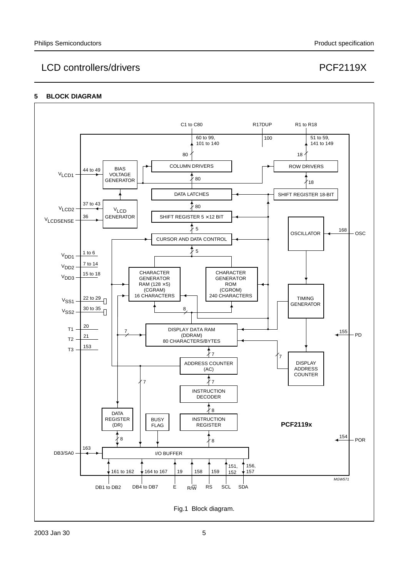#### **5 BLOCK DIAGRAM**

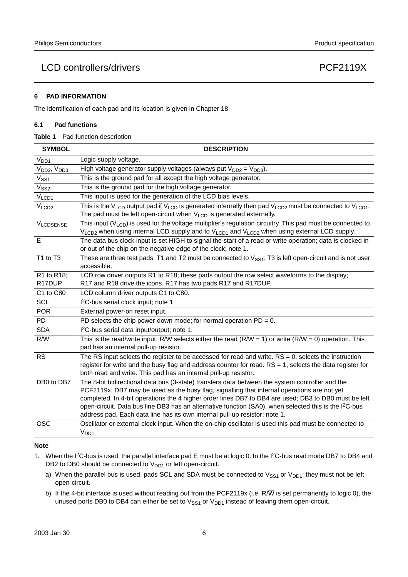#### **6 PAD INFORMATION**

The identification of each pad and its location is given in Chapter 18.

#### **6.1 Pad functions**

|  | Table 1 | Pad function description |
|--|---------|--------------------------|
|--|---------|--------------------------|

| <b>SYMBOL</b>                       | <b>DESCRIPTION</b>                                                                                                                                                                                                                                                                                                                                                                                                                                                                               |
|-------------------------------------|--------------------------------------------------------------------------------------------------------------------------------------------------------------------------------------------------------------------------------------------------------------------------------------------------------------------------------------------------------------------------------------------------------------------------------------------------------------------------------------------------|
| V <sub>DD1</sub>                    | Logic supply voltage.                                                                                                                                                                                                                                                                                                                                                                                                                                                                            |
| V <sub>DD2</sub> , V <sub>DD3</sub> | High voltage generator supply voltages (always put $V_{DD2} = V_{DD3}$ ).                                                                                                                                                                                                                                                                                                                                                                                                                        |
| $\mathsf{V}_{\mathsf{SS1}}$         | This is the ground pad for all except the high voltage generator.                                                                                                                                                                                                                                                                                                                                                                                                                                |
| $V_{SS2}$                           | This is the ground pad for the high voltage generator.                                                                                                                                                                                                                                                                                                                                                                                                                                           |
| V <sub>LCD1</sub>                   | This input is used for the generation of the LCD bias levels.                                                                                                                                                                                                                                                                                                                                                                                                                                    |
| V <sub>LCD2</sub>                   | This is the V <sub>LCD</sub> output pad if V <sub>LCD</sub> is generated internally then pad V <sub>LCD2</sub> must be connected to V <sub>LCD1</sub> .<br>The pad must be left open-circuit when $V_{LCD}$ is generated externally.                                                                                                                                                                                                                                                             |
| <b>VLCDSENSE</b>                    | This input $(V_{LCD})$ is used for the voltage multiplier's regulation circuitry. This pad must be connected to<br>$V_{\text{LCD2}}$ when using internal LCD supply and to $V_{\text{LCD1}}$ and $V_{\text{LCD2}}$ when using external LCD supply.                                                                                                                                                                                                                                               |
| Е                                   | The data bus clock input is set HIGH to signal the start of a read or write operation; data is clocked in<br>or out of the chip on the negative edge of the clock; note 1.                                                                                                                                                                                                                                                                                                                       |
| T1 to T3                            | These are three test pads. T1 and T2 must be connected to $V_{SS1}$ ; T3 is left open-circuit and is not user<br>accessible.                                                                                                                                                                                                                                                                                                                                                                     |
| R1 to R18;<br>R <sub>17</sub> DUP   | LCD row driver outputs R1 to R18; these pads output the row select waveforms to the display;<br>R17 and R18 drive the icons. R17 has two pads R17 and R17DUP.                                                                                                                                                                                                                                                                                                                                    |
| C1 to C80                           | LCD column driver outputs C1 to C80.                                                                                                                                                                                                                                                                                                                                                                                                                                                             |
| <b>SCL</b>                          | I <sup>2</sup> C-bus serial clock input; note 1.                                                                                                                                                                                                                                                                                                                                                                                                                                                 |
| <b>POR</b>                          | External power-on reset input.                                                                                                                                                                                                                                                                                                                                                                                                                                                                   |
| <b>PD</b>                           | PD selects the chip power-down mode; for normal operation $PD = 0$ .                                                                                                                                                                                                                                                                                                                                                                                                                             |
| <b>SDA</b>                          | I <sup>2</sup> C-bus serial data input/output; note 1.                                                                                                                                                                                                                                                                                                                                                                                                                                           |
| $R/\overline{W}$                    | This is the read/write input. R/W selects either the read (R/W = 1) or write (R/W = 0) operation. This<br>pad has an internal pull-up resistor.                                                                                                                                                                                                                                                                                                                                                  |
| RS                                  | The RS input selects the register to be accessed for read and write. $RS = 0$ , selects the instruction<br>register for write and the busy flag and address counter for read. $RS = 1$ , selects the data register for<br>both read and write. This pad has an internal pull-up resistor.                                                                                                                                                                                                        |
| DB0 to DB7                          | The 8-bit bidirectional data bus (3-state) transfers data between the system controller and the<br>PCF2119x. DB7 may be used as the busy flag, signalling that internal operations are not yet<br>completed. In 4-bit operations the 4 higher order lines DB7 to DB4 are used; DB3 to DB0 must be left<br>open-circuit. Data bus line DB3 has an alternative function (SA0), when selected this is the $l^2C$ -bus<br>address pad. Each data line has its own internal pull-up resistor; note 1. |
| <b>OSC</b>                          | Oscillator or external clock input. When the on-chip oscillator is used this pad must be connected to<br>V <sub>DD1</sub>                                                                                                                                                                                                                                                                                                                                                                        |

#### **Note**

- 1. When the I<sup>2</sup>C-bus is used, the parallel interface pad E must be at logic 0. In the I<sup>2</sup>C-bus read mode DB7 to DB4 and DB2 to DB0 should be connected to  $V_{DD1}$  or left open-circuit.
	- a) When the parallel bus is used, pads SCL and SDA must be connected to  $V_{SS1}$  or  $V_{DD1}$ ; they must not be left open-circuit.
	- b) If the 4-bit interface is used without reading out from the PCF2119x (i.e. R/W is set permanently to logic 0), the unused ports DB0 to DB4 can either be set to  $V_{SS1}$  or  $V_{DD1}$  instead of leaving them open-circuit.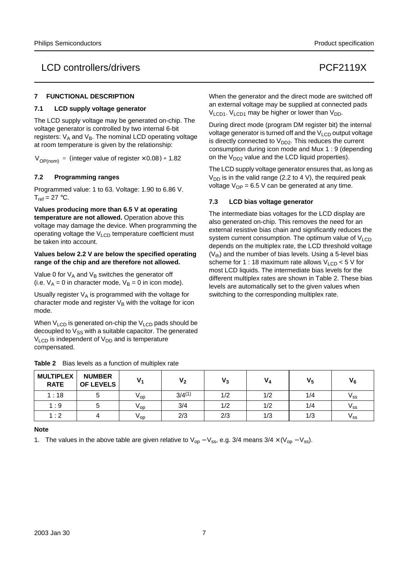#### **7 FUNCTIONAL DESCRIPTION**

#### **7.1 LCD supply voltage generator**

The LCD supply voltage may be generated on-chip. The voltage generator is controlled by two internal 6-bit registers:  $V_A$  and  $V_B$ . The nominal LCD operating voltage at room temperature is given by the relationship:

 $V_{OP(nom)} =$  (integer value of register  $\times$  0.08) + 1.82

#### **7.2 Programming ranges**

Programmed value: 1 to 63. Voltage: 1.90 to 6.86 V.  $T_{ref} = 27 \degree C$ .

**Values producing more than 6.5 V at operating temperature are not allowed.** Operation above this voltage may damage the device. When programming the operating voltage the  $V_{LCD}$  temperature coefficient must be taken into account.

#### **Values below 2.2 V are below the specified operating range of the chip and are therefore not allowed.**

Value 0 for  $V_A$  and  $V_B$  switches the generator off (i.e.  $V_A = 0$  in character mode,  $V_B = 0$  in icon mode).

Usually register  $V_A$  is programmed with the voltage for character mode and register  $V_B$  with the voltage for icon mode.

When  $V_{LCD}$  is generated on-chip the  $V_{LCD}$  pads should be decoupled to  $V_{SS}$  with a suitable capacitor. The generated  $V<sub>LCD</sub>$  is independent of  $V<sub>DD</sub>$  and is temperature compensated.

When the generator and the direct mode are switched off an external voltage may be supplied at connected pads  $V_{LCD1}$ .  $V_{LCD1}$  may be higher or lower than  $V_{DD}$ .

During direct mode (program DM register bit) the internal voltage generator is turned off and the  $V_{\text{LOD}}$  output voltage is directly connected to  $V_{DD2}$ . This reduces the current consumption during icon mode and Mux 1 : 9 (depending on the  $V_{DD2}$  value and the LCD liquid properties).

The LCD supply voltage generator ensures that, as long as  $V_{DD}$  is in the valid range (2.2 to 4 V), the required peak voltage  $V_{OP}$  = 6.5 V can be generated at any time.

#### **7.3 LCD bias voltage generator**

The intermediate bias voltages for the LCD display are also generated on-chip. This removes the need for an external resistive bias chain and significantly reduces the system current consumption. The optimum value of  $V_{\text{LCD}}$ depends on the multiplex rate, the LCD threshold voltage  $(V<sub>th</sub>)$  and the number of bias levels. Using a 5-level bias scheme for 1 : 18 maximum rate allows  $V_{LCD}$  < 5 V for most LCD liquids. The intermediate bias levels for the different multiplex rates are shown in Table 2. These bias levels are automatically set to the given values when switching to the corresponding multiplex rate.

| <b>MULTIPLEX</b><br><b>RATE</b> | <b>NUMBER</b><br><b>OF LEVELS</b> |                 | v,          | ۷3  |     | $V_5$ | $V_6$           |
|---------------------------------|-----------------------------------|-----------------|-------------|-----|-----|-------|-----------------|
| 1:18                            |                                   | v <sub>op</sub> | $3/4^{(1)}$ | 1/2 | 1/2 | 1/4   | v <sub>ss</sub> |
| 1:9                             |                                   | $V_{OD}$        | 3/4         | 1/2 | 1/2 | 1/4   | V <sub>SS</sub> |
| 1:2                             |                                   | $V_{OD}$        | 2/3         | 2/3 | 1/3 | 1/3   | V <sub>SS</sub> |

#### **Note**

1. The values in the above table are given relative to  $V_{op} - V_{ss}$ , e.g. 3/4 means  $3/4 \times (V_{op} - V_{ss})$ .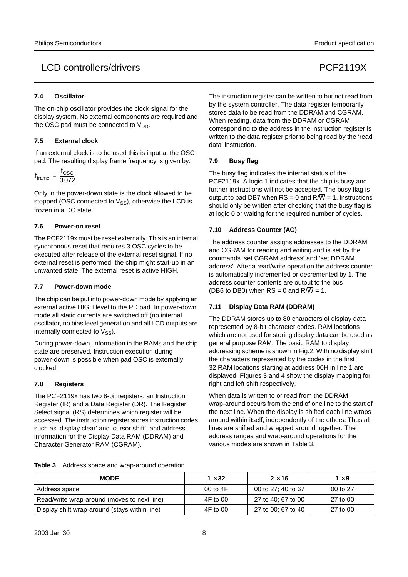#### **7.4 Oscillator**

The on-chip oscillator provides the clock signal for the display system. No external components are required and the OSC pad must be connected to  $V_{DD}$ .

#### **7.5 External clock**

If an external clock is to be used this is input at the OSC pad. The resulting display frame frequency is given by:

$$
f_{frame} = \frac{f_{OSC}}{3.072}
$$

Only in the power-down state is the clock allowed to be stopped (OSC connected to  $V_{SS}$ ), otherwise the LCD is frozen in a DC state.

#### **7.6 Power-on reset**

The PCF2119x must be reset externally. This is an internal synchronous reset that requires 3 OSC cycles to be executed after release of the external reset signal. If no external reset is performed, the chip might start-up in an unwanted state. The external reset is active HIGH.

#### **7.7 Power-down mode**

The chip can be put into power-down mode by applying an external active HIGH level to the PD pad. In power-down mode all static currents are switched off (no internal oscillator, no bias level generation and all LCD outputs are internally connected to  $V_{SS}$ ).

During power-down, information in the RAMs and the chip state are preserved. Instruction execution during power-down is possible when pad OSC is externally clocked.

#### **7.8 Registers**

The PCF2119x has two 8-bit registers, an Instruction Register (IR) and a Data Register (DR). The Register Select signal (RS) determines which register will be accessed. The instruction register stores instruction codes such as 'display clear' and 'cursor shift', and address information for the Display Data RAM (DDRAM) and Character Generator RAM (CGRAM).

The instruction register can be written to but not read from by the system controller. The data register temporarily stores data to be read from the DDRAM and CGRAM. When reading, data from the DDRAM or CGRAM corresponding to the address in the instruction register is written to the data register prior to being read by the 'read data' instruction.

#### **7.9 Busy flag**

The busy flag indicates the internal status of the PCF2119x. A logic 1 indicates that the chip is busy and further instructions will not be accepted. The busy flag is output to pad DB7 when  $RS = 0$  and  $R/\overline{W} = 1$ . Instructions should only be written after checking that the busy flag is at logic 0 or waiting for the required number of cycles.

#### **7.10 Address Counter (AC)**

The address counter assigns addresses to the DDRAM and CGRAM for reading and writing and is set by the commands 'set CGRAM address' and 'set DDRAM address'. After a read/write operation the address counter is automatically incremented or decremented by 1. The address counter contents are output to the bus (DB6 to DB0) when  $RS = 0$  and  $R/\overline{W} = 1$ .

#### **7.11 Display Data RAM (DDRAM)**

The DDRAM stores up to 80 characters of display data represented by 8-bit character codes. RAM locations which are not used for storing display data can be used as general purpose RAM. The basic RAM to display addressing scheme is shown in Fig.2. With no display shift the characters represented by the codes in the first 32 RAM locations starting at address 00H in line 1 are displayed. Figures 3 and 4 show the display mapping for right and left shift respectively.

When data is written to or read from the DDRAM wrap-around occurs from the end of one line to the start of the next line. When the display is shifted each line wraps around within itself, independently of the others. Thus all lines are shifted and wrapped around together. The address ranges and wrap-around operations for the various modes are shown in Table 3.

|  |  |  |  | Table 3 Address space and wrap-around operation |  |
|--|--|--|--|-------------------------------------------------|--|
|--|--|--|--|-------------------------------------------------|--|

| <b>MODE</b>                                   | 1 $\times$ 32 | $2 \times 16$      | 1 $\times$ 9 |
|-----------------------------------------------|---------------|--------------------|--------------|
| Address space                                 | 00 to $4F$    | 00 to 27: 40 to 67 | 00 to 27     |
| Read/write wrap-around (moves to next line)   | 4F to 00      | 27 to 40; 67 to 00 | 27 to 00     |
| Display shift wrap-around (stays within line) | 4F to 00      | 27 to 00; 67 to 40 | 27 to 00     |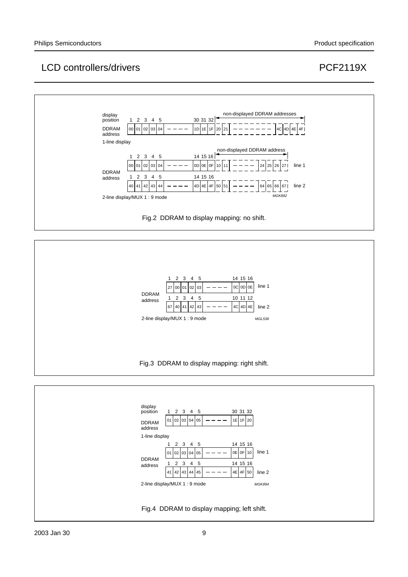



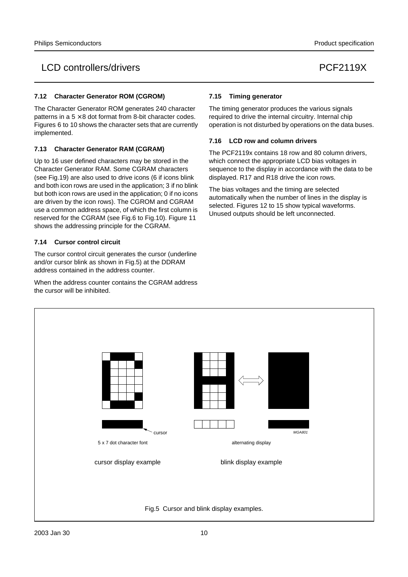## LCD controllers/drivers extending the controllers of the controllers of the controllers of the controllers of the control of the control of the control of the control of the control of the control of the control of the con

#### **7.12 Character Generator ROM (CGROM)**

The Character Generator ROM generates 240 character patterns in a  $5 \times 8$  dot format from 8-bit character codes. Figures 6 to 10 shows the character sets that are currently implemented.

#### **7.13 Character Generator RAM (CGRAM)**

Up to 16 user defined characters may be stored in the Character Generator RAM. Some CGRAM characters (see Fig.19) are also used to drive icons (6 if icons blink and both icon rows are used in the application; 3 if no blink but both icon rows are used in the application; 0 if no icons are driven by the icon rows). The CGROM and CGRAM use a common address space, of which the first column is reserved for the CGRAM (see Fig.6 to Fig.10). Figure 11 shows the addressing principle for the CGRAM.

#### **7.14 Cursor control circuit**

The cursor control circuit generates the cursor (underline and/or cursor blink as shown in Fig.5) at the DDRAM address contained in the address counter.

When the address counter contains the CGRAM address the cursor will be inhibited.

#### **7.15 Timing generator**

The timing generator produces the various signals required to drive the internal circuitry. Internal chip operation is not disturbed by operations on the data buses.

#### **7.16 LCD row and column drivers**

The PCF2119x contains 18 row and 80 column drivers, which connect the appropriate LCD bias voltages in sequence to the display in accordance with the data to be displayed. R17 and R18 drive the icon rows.

The bias voltages and the timing are selected automatically when the number of lines in the display is selected. Figures 12 to 15 show typical waveforms. Unused outputs should be left unconnected.

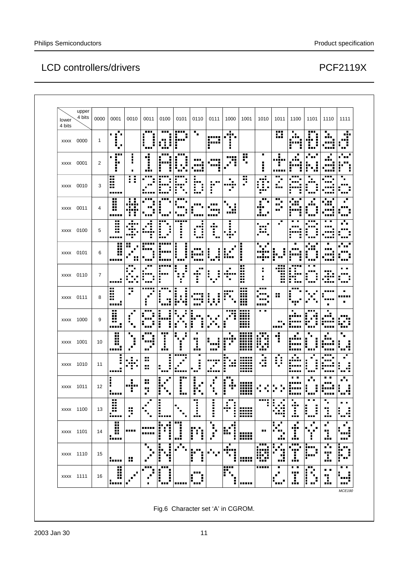| upper<br>4 bits<br>lower<br>4 bits | 0000 | 0001                                         | 0010                                 | 0011                           | 0100                                         | 0101                                                                                  | 0110                                        | 0111                                               | 1000                                       | 1001                               | 1010                                  | 1011                                                  | 1100                                | 1101                                         | 1110                                          | 1111                              |
|------------------------------------|------|----------------------------------------------|--------------------------------------|--------------------------------|----------------------------------------------|---------------------------------------------------------------------------------------|---------------------------------------------|----------------------------------------------------|--------------------------------------------|------------------------------------|---------------------------------------|-------------------------------------------------------|-------------------------------------|----------------------------------------------|-----------------------------------------------|-----------------------------------|
| xxxx 0000                          | 1    | $\blacksquare$<br>.<br>. .<br>$\blacksquare$ |                                      | <br>п<br>ш<br>I                | <br>Ŧ<br>Ű.<br>ŧ                             | m<br>i"                                                                               | 'n                                          | -----<br>п<br><br>$\blacksquare$                   | .<br>$\blacksquare$<br>■<br>п<br>Е         |                                    |                                       | <br>ш                                                 | п<br>m<br>-----<br>H                | <br>п<br>п<br>п<br><br>E<br>                 | п<br><br>.                                    | л.<br>٠<br><br>÷<br>              |
| xxxx 0001                          | 2    | <br>п<br>$\blacksquare$<br><br>п             | ٠<br>$\blacksquare$                  | Ч<br>п<br>п<br>.               | п<br>п<br><br>$\blacksquare$                 | <br>i<br>٠<br>п                                                                       |                                             | ----<br><br>п                                      | <br>H                                      | <br><br>$\blacksquare$             | ٠<br>٠<br>п<br>п                      | Η<br><br>Η<br>                                        | ٠<br>٠<br>п                         | <br>H<br>                                    |                                               | ٠<br>'nн.<br>н.<br>٠<br>п         |
| xxxx 0010                          | 3    | ш<br>Ä<br>                                   | Η                                    | ---<br>$\blacksquare$<br>----- | <br>Η<br>п                                   | <br>I<br>----<br>Ĩ<br>п<br>п                                                          | г<br>л<br><b>HH</b><br>ă,<br>ŧ<br>п<br>iu i | <br><br>i                                          | ٠<br>п<br><br>G,                           | Ŧ                                  | п<br>m<br>Œ<br><br>٠                  | <br>$\blacksquare$<br>٠.,                             | <br><b>A 8 8</b><br><br>٠<br>ē.     | п<br>$\blacksquare$<br>Ī<br>п<br>m           | <br><br><b>ALL</b><br>٠<br>----               | п<br>٠<br><br>                    |
| xxxx 0011                          | 4    | ×<br>H<br><br>                               | 8 S<br>.<br>. .<br>,,,,,<br>H<br>л   | 98 E<br>■<br>---               | .<br>п<br>Ē<br>п<br>                         | <b>BRB</b><br>п<br>п<br>                                                              | п<br>----                                   |                                                    | ,,,,,                                      |                                    | <br>$\blacksquare$<br>л<br><br>ι.<br> | <br><br>×<br>                                         | ٠<br>٠<br>٠                         | E<br>п<br>---                                | п<br>п<br>                                    | ٠<br>٠<br><br>                    |
| xxxx 0100                          | 5    | X<br>H<br>                                   | <br>$\blacksquare$<br><br>п<br><br>п | J.<br>п<br>.                   | i<br>е<br>٠<br>                              | <br>п<br>٠<br>H<br>п                                                                  | п<br><br>ŧ<br>H<br>88 E                     | $\blacksquare$<br><br>i                            | ļ.<br>                                     |                                    | . .<br>`ooo"<br>. .<br>               | п<br>$\blacksquare$                                   | ٠<br>в<br><br><br>٠                 | <br>п<br>ì<br>H<br>ш                         | . .<br><br><br>m m                            | ٠<br>. .<br><br>                  |
| xxxx 0101                          | 6    | X<br>H<br>                                   | <br>ïв.<br>ш                         | ;™<br>88 B                     | п<br>                                        | E<br>İ<br>i<br>- 111                                                                  | <br>.<br>                                   | I,<br>▪<br>٠<br>ш.<br><b>A11</b><br>$\blacksquare$ | ٠<br>٠<br>٠<br>ш<br>                       | i<br>п<br>Ē                        | . .<br><br><br>п                      | $\blacksquare$<br>п.<br>п<br>ï<br>                    | <br>п<br>٠                          | п<br>H<br>ē<br><b>A 8 8</b>                  | ٠<br>mш<br>ma                                 | .<br><b>ALL</b>                   |
| xxxx 0110                          | 7    | п<br>                                        | <br>п                                | . .<br><br>в<br>٠<br>п<br>     | <br><br>i                                    | ٠<br>ē<br>٠<br>٠<br>Ŧ<br>٠<br>٠<br>Н                                                  | н.<br>aia.<br>F                             | Ē<br>$\blacksquare$<br>Е<br>۰.,                    | п<br>minna<br>'n,                          | Ä                                  | ٠<br>п<br>$\blacksquare$              | <br><br>m<br>H                                        | <br>П.<br>$\blacksquare$<br>Œ,<br>н | . .<br><br>Ε<br>E<br>.<br><br>$\blacksquare$ | w,<br>40                                      | $\blacksquare$<br><br>п<br>`o o o |
| xxxx 0111                          | 8    | li<br>п<br>,,,,,                             | F                                    | <br>٠<br>п<br>H                | ٠                                            | п<br>п<br>İ<br>i<br>$\blacksquare$<br><br>72<br>п                                     | <br>                                        | ٠<br>Е<br>н<br>8 E<br>. .                          | <br>٠                                      | <br>₩<br>₩                         | <br>`o o o<br><b>BBB</b><br>          | 8                                                     | <br>п<br>п<br>---                   |                                              | п                                             | п<br>.<br>٠                       |
| xxxx 1000                          | 9    | <br>H<br>H<br>,,,,,                          | ▪<br>п<br>п                          | <br>п<br>П<br>Н<br>            | I<br>E                                       | п<br>$\blacksquare$<br>п<br>$\blacksquare$<br>п<br>п<br>п<br>٠<br>$\blacksquare$<br>п | Iг<br>E<br>ш<br>i<br>r<br>E                 | $\blacksquare$<br>г                                | <br>п                                      | <br>HH<br><br><br><br>,,,,         | $\blacksquare$                        | п.<br>.                                               | п<br>ш                              | <br>Ē<br>1<br>r                              | п<br>.<br><br>п                               | <br>Ø<br>                         |
| xxxx 1001                          | 10   | ×<br><br><b>HH</b><br>                       | п<br>в<br>п<br>п<br>$\blacksquare$   | <br><br>п<br>ш.                | <br>п<br>ē.<br>Ē<br>٠<br>                    | ٠<br>٠<br>. .<br>٠<br>٠<br>H                                                          | г<br>医胃<br>H<br>                            | <br>                                               | ٠<br>п<br>---<br>Ĵ.<br>$\blacksquare$<br>п | ,,,,,<br>ШÜ<br>,,,,,<br>,,,,,<br>m | Fill<br>Bu<br>                        | Ĩ                                                     | <br><br>-----                       | İ<br>Ē<br>ē<br>---                           | .                                             | ٠<br>٠<br>п<br><br>. .            |
| xxxx 1010                          | 11   | п<br>İ<br>$\blacksquare$<br>,,,,,            | sia.<br>٠<br>÷.<br>л                 | 88<br>89                       | I,<br>H.<br>                                 | i<br>$\blacksquare$<br>٠<br>٠<br>                                                     | Е<br>٠<br>Ī<br>п<br>                        | <br>п<br>٠<br>п<br>,,,,,                           | п<br>h<br>                                 | ,,,,,<br>H<br>,,,,,                | ٠<br>п<br>d                           | ▬<br>ū<br>$\blacksquare$                              | .u<br><br>▪<br>-----                | п<br>Ę<br>H<br>п.                            | ---<br><br><br>п<br>                          | п<br>٠<br>i d<br>. .              |
| xxxx 1011                          | 12   | Е<br>F<br>$\blacksquare$<br>-----            | Е<br>п<br><br>F                      | Ħ<br>p.                        | ■<br>٠<br>٠<br>٠<br>٠<br>÷<br>$\blacksquare$ | <br>п<br>F<br>٠<br>i.,                                                                | Е<br>п<br>I,<br>п<br>н.<br>٠                | п<br>п<br>÷<br>٠                                   | н.<br>I<br>Ĩ.<br>œ<br>$\blacksquare$<br>ı  | <br><br>mm<br>                     |                                       |                                                       | . .<br>                             | П<br>H<br>H<br>                              | $\blacksquare$<br>$\blacksquare$<br><br>----- | п<br>. .<br>٠<br>п<br>$\sim$<br>  |
| xxxx 1100                          | 13   | ä<br>òн,<br>-----                            | Ä                                    | ٠                              | Ì<br>E<br>Iш                                 | ٠                                                                                     | H<br>---                                    | i                                                  | H<br>Η<br>8 H H<br>п<br>Η<br>٠             | ,,,,,<br>HH<br>,,,,,               | Η                                     | Η                                                     | <br>F<br>                           | ŧ<br>F<br>                                   | ij.<br>                                       | . .<br>88<br>.                    |
| xxxx 1101                          | 14   | Ä<br>w.                                      |                                      | -----<br>-----                 | ۰.<br>ri,<br>Ε<br>H<br>Í<br>i<br>٠           | <br>Ī<br><u>.:</u>                                                                    | $\mathbf{r}^{\prime}$<br><br>E<br>Ì         | ٠<br>Ŧ<br>п<br>$\overline{\phantom{a}}$<br>٠       | Ï<br>п<br>٠<br>F.<br>ŧ                     | ₩                                  | ш                                     | ٠<br>$\blacksquare$<br>.                              | е<br>œ<br>п<br>                     | ٠<br>п<br>п<br>. .<br>п                      | Е<br>$\blacksquare$<br>88<br>÷<br>            | п<br>٠<br>٠<br><br>               |
| xxxx 1110                          | 15   | <u> :</u>                                    | ×                                    | ٠<br>п<br>$\blacksquare$       | п<br>į,<br>. :<br>i<br>99<br>f,              | п<br>. .<br>п                                                                         | Ö.<br>ľ<br>Ì                                |                                                    | п<br>÷                                     | 88                                 | E<br>₩                                | п<br>П<br>٠<br>$\blacksquare$<br>п<br>×<br>шū<br>88 B | <br>٠<br>T<br>ă.                    | F                                            | п<br>٠<br>п<br><br>I.                         | ■<br>.<br>E I<br>ŗ.,              |
| xxxx 1111                          | 16   | l                                            |                                      | <br>п<br>п<br>٠                | <b>A 8 8</b><br>i<br>п<br>٠                  |                                                                                       | <b>HHE</b><br>E<br>٠                        |                                                    | <del></del><br>F<br>'n.                    |                                    | m                                     | ٠<br>$\blacksquare$                                   | . .<br><br>I                        | <br>i<br>$\blacksquare$<br>Е                 | ٠<br>п<br>Ŧ                                   | . .                               |

Fig.6 Character set 'A' in CGROM.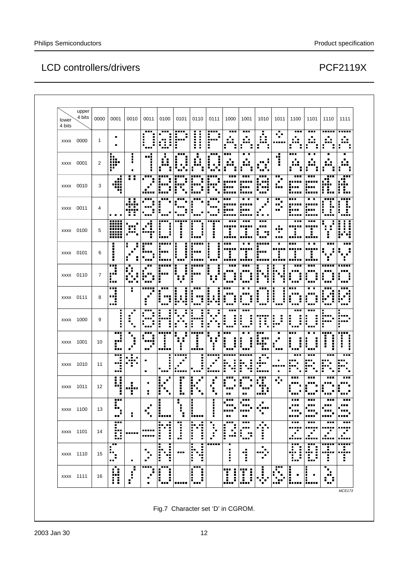| lower<br>4 bits | upper<br>4 bits | 0000 | 0001                                  | 0010                       | 0011                      | 0100                          | 0101                                                 | 0110                                       | 0111                                                 | 1000                            | 1001                  | 1010                                       | 1011                     | 1100                     | 1101           | 1110                         | 1111                                          |
|-----------------|-----------------|------|---------------------------------------|----------------------------|---------------------------|-------------------------------|------------------------------------------------------|--------------------------------------------|------------------------------------------------------|---------------------------------|-----------------------|--------------------------------------------|--------------------------|--------------------------|----------------|------------------------------|-----------------------------------------------|
| <b>XXXX</b>     | 0000            | 1    | п                                     |                            | <br>i<br>                 | <br>Н<br>Ω.<br>I<br>          | <br>п<br>л<br>٠<br>٠<br><br>Ĩ                        | Ì<br>f,<br>I,<br>٠<br>Ē<br>٠<br>п          | mi<br>п<br>$\blacksquare$<br>----<br>Η               | <br>T<br>٠                      | <br>. .               | f,<br>Ĥ,<br>Ŧ<br>п<br>$\blacksquare$       | л,                       |                          | <br>п          | -----<br>×<br>$\blacksquare$ | -----<br>m                                    |
| xxxx 0001       |                 | 2    | п<br>ūв.<br><b>BBB</b><br>m<br>₩<br>Ξ | i                          | <b>BRB</b><br>٠<br>■      | ∷                             | <br>п                                                | F<br>F                                     | ---                                                  | <br>. .                         | ٠<br>. .<br>          | .<br>$\blacksquare$<br>                    | ý<br>H                   | <br>E<br>п               | ī              | п<br>E<br>ē                  | ٠<br>. .                                      |
| xxxx 0010       |                 | 3    | æ<br><br>ж                            | Η<br>Е                     | <br>F                     |                               | ٠<br>H                                               | Ĩ.<br>F<br>H<br>÷                          | F<br>F<br>i<br>п                                     | <br><br>----                    | <br>.<br><br>-----    | <br>a sir<br>i vi<br>                      | ш.<br>÷,<br><b>HER</b>   | ш<br><br>                | <br>.<br>      | ш<br><br>. .<br>Ė<br>÷<br>   | <br><br>ш<br>H<br>÷<br>п<br>---               |
| xxxx 0011       |                 | 4    | .                                     | $\blacksquare$<br>.<br>8 E | <br>Η<br>H<br>            | F<br>٠<br>œ                   |                                                      | Η                                          | 88 B<br>Η<br>п.                                      | <br>.                           | . .<br>               | $\blacksquare$<br>٠<br>$\blacksquare$<br>. | ш.<br>٠<br>н. Т<br>      | ш<br><br><br>,,,,,       | ٠<br>          | i<br>H                       | ,,,,,<br>F.<br>н.<br>ŧ<br>E.<br><b>HI</b><br> |
| xxxx 0100       |                 | 5    | W<br>-----<br>m                       | <br>٠<br>                  | п<br><br>п<br>п<br>       | .<br>Е<br>Е<br>               | <br>٠<br>H                                           | <br>i<br>п<br>$\blacksquare$<br>ē<br>٠<br> | -----<br>Е<br>E<br>п                                 | <b>A 8 8</b><br>.<br>I<br>----- | <br><br>i<br>         | <br><br>- 19<br>п<br>$\blacksquare$<br>ш   | п<br><br>т<br>           | <br>.,<br>               | .<br>٠         | п                            | Ŧ<br>ŧ<br>j<br>E<br>п<br>i ti                 |
| xxxx 0101       |                 | 6    | г<br>İ<br>H                           | ▪<br>ē<br>$\blacksquare$   | <br>п                     | .<br><br>п                    | ٠<br>٠<br>٠<br>j<br>г<br>٠<br>                       | :''''<br>п<br>п.<br><br>п                  | п<br>Η<br>İ<br>$\blacksquare$<br>$\blacksquare$<br>п | 88 B<br>H<br>п<br>.             | . .<br>i<br>          | <br>Е<br><br><br>Ξ<br>œв                   | п<br>ē<br>٠              | 88 E<br>Ξ                | . .<br>H,<br>٠ | 88 E                         | <br>٠<br>÷                                    |
| xxxx 0110       |                 | 7    | i<br>î,<br><br>                       | E<br>п                     | r                         |                               | п<br>$\blacksquare$<br>Е<br>$\blacksquare$<br>н<br>п |                                            | ٠<br>f                                               |                                 | ٠<br>.                | ł<br>ŧ<br>٠                                | ٠<br>٠<br><br>E<br>E     |                          |                | f,                           | п<br>                                         |
| xxxx 0111       |                 | 8    | <br>Е<br>"i<br>                       | H                          | <br>л<br>٠<br>п           | <br>"1<br>                    | H<br>ļ.<br>Ĵ<br>F                                    | <br>i<br>"1                                | Η<br>H<br>ŧ.<br>d<br>٠                               | <br>Ė<br>i<br>                  | ٠<br>л<br>Η<br>H<br>. | i<br>i<br>                                 | l<br>ì<br>               | <br>٠<br>Н<br><b>ALL</b> | ٠<br>ă<br>п    | <br>ŀ<br>Ē<br>               | <br>- 8<br>Ŧ<br>òн.<br>п<br>.                 |
| xxxx 1000       |                 | 9    | п<br>н<br>E<br>I,<br>٠                | п                          | m<br>г                    | ٠<br>٠<br>ш<br>ì<br>п<br>٠    | г<br>н<br>H                                          | ē<br>٠<br>H                                | I,<br>٠<br>٠<br>٠                                    | <br>п<br>                       | <br>i<br>F<br>        | Ŧ                                          | ļ.<br>ì                  | <br>i<br>i<br>           | <br>ļ<br>i     | п<br>ē<br>F<br>٠             | п<br>iw.<br><br>٠                             |
| xxxx 1001       |                 | 10   | <br>٠<br><br>                         | $\blacksquare$<br>п<br>■   | <br>٠<br><br>п<br>п<br>ш. | <br>■<br>п<br>                | H<br>п<br>I,<br>H<br>$\blacksquare$                  | <br>п<br>E<br>                             |                                                      | .<br>÷<br>i<br>п<br>            | ٠<br>л<br>I<br>i      | <br>W<br>п<br>                             |                          | <br>п<br>H<br>٠<br>      | į<br>н         | <br>п<br>Ĩ                   | i<br>Ē<br>٠<br>п<br>п<br>Ē<br>Ē               |
| xxxx 1010       |                 | 11   | <br>п<br><br>.                        | .<br><br>÷                 | ٠<br>п                    | <b>BRD</b>                    | <br>п                                                | H<br>Ī                                     | -----<br>п<br>. .                                    |                                 | H                     | <br>٠.<br>п<br><br>                        | ٠<br>п                   | ---                      | i              | i                            | i<br><br>                                     |
| xxxx 1011       |                 | 12   | п<br>8<br><br>п<br>H                  | <br>H,                     | ٠<br>F                    | п<br>$\blacksquare$<br>٠<br>п | <br> <br> <br>                                       | $\blacksquare$<br>E<br>E<br>п              | $\blacksquare$                                       | н.<br>ш                         | ш                     | æ<br>÷<br>F<br>.                           | п<br>n Tu                |                          |                |                              | <br>mш                                        |
| xxxx 1100       |                 | 13   | Ŧ<br>٠<br><br>п<br>                   | H                          | п<br>п<br>٠               | п<br>п<br>п<br>п<br>          | п<br>٠<br>Ξ<br>п<br>H                                | п<br>Ē<br>f,<br>п<br>-----                 | п<br>ē<br>Е<br>п<br>ē                                | <br><br><br>                    | .<br><br><br>н.       | ٠<br>٠<br>.<br>п                           |                          |                          | <br>.          | <br><br>                     | .<br>                                         |
| xxxx 1101       |                 | 14   | 511<br>in.<br>IJ                      | -----                      | <br>,,,,,                 | M<br>F<br>÷                   | 7<br>j                                               | п<br>M<br>E<br>÷                           | ٠<br>٠<br>٠<br>٠.<br>f,<br>٠                         | <br>l<br>д<br>                  | <br><br>н<br>п<br>    | ٠<br>Ŷ.<br>H                               |                          | <br><br>. .              | <br>J.         | <br>п<br>٠<br>               | <br>.<br>                                     |
| xxxx 1110       |                 | 15   | Н<br>٠,<br>ш                          | $\blacksquare$             | ٠<br>п<br>٠               | 4<br>ľ                        |                                                      | Т<br>п<br>I<br>٠<br>E.<br>Ī<br>٠<br>4<br>٠ |                                                      | п<br>٠<br>÷<br>■                | 1                     | ٠<br>$\blacksquare$<br>.<br>п              |                          | ٠<br>I,<br>t             | Đ              | "!"<br>T                     | <br>f,<br><br>i                               |
| xxxx 1111       |                 | 16   | п<br>Ŧ.<br>n                          | $\blacksquare$<br>п<br>н   | <br>Ĩ,<br>$\mathcal{C}$   | <br>л<br>л<br>Ē<br>f,         |                                                      | <br>٠<br>ē<br>l<br>H                       |                                                      | <br>İ<br>Ī                      | <br>j<br>IJ           | i<br>.<br>÷,                               | r<br>п<br>$\blacksquare$ | <br>                     | E              | п<br>٠<br><br>٠              |                                               |

Fig.7 Character set 'D' in CGROM.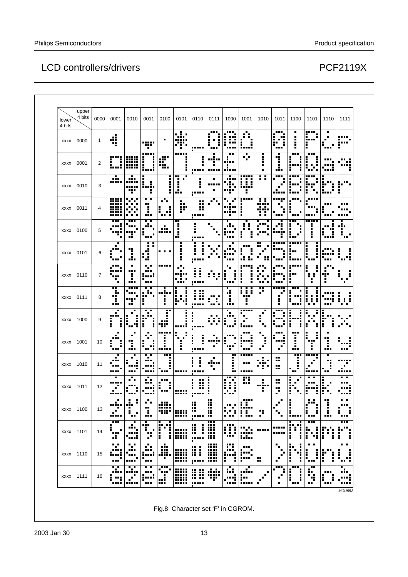| lower<br>4 bits | upper<br>4 bits | 0000 | 0001                      | 0010                              | 0011                                   | 0100                           | 0101                    | 0110                               | 0111                       | 1000                            | 1001                                       | 1010                          | 1011                         | 1100                           | 1101                        | 1110                  | 1111                              |
|-----------------|-----------------|------|---------------------------|-----------------------------------|----------------------------------------|--------------------------------|-------------------------|------------------------------------|----------------------------|---------------------------------|--------------------------------------------|-------------------------------|------------------------------|--------------------------------|-----------------------------|-----------------------|-----------------------------------|
|                 | xxxx 0000       | 1    | 4                         |                                   | .<br>                                  | Е                              | .                       |                                    |                            |                                 |                                            |                               | 88 E                         |                                | <br>л<br>٠<br><br>п<br>Ē    |                       | <br>inni                          |
| xxxx 0001       |                 | 2    | i                         | mm                                | i<br>İ                                 | <br>.<br>H.<br>                | <br>$\blacksquare$<br>٠ | Е<br>.                             | <br>                       | <br>                            | . .                                        | İ<br>п                        | <br>                         | .<br>ш                         | .<br>Ē                      |                       |                                   |
|                 | xxxx 0010       | 3    | alar                      | ł.<br><br>п                       | ■<br>İ<br>Е<br>Η                       | п<br>ē<br>å<br>ř               | 72<br>٠<br>             | Н<br>                              |                            |                                 | m                                          | ::                            | <b>BBB</b>                   |                                | ì                           | Ē<br>----             | $\blacksquare$                    |
|                 | xxxx 0011       | 4    | -----<br><br>.<br>.<br>mm |                                   | . .<br>п<br>                           | $\blacksquare$<br>пĒ,<br><br>٠ | ķ.<br>P                 | ш<br>×<br>.,<br><br>п              |                            |                                 | .<br>I                                     | <br>. .                       |                              | <br>п                          | i                           |                       |                                   |
|                 | xxxx 0100       | 5    | $\overline{\phantom{a}}$  | <br>Ф                             | Ŧ<br>п<br>п<br>588                     | п<br><br>                      | . .<br>п<br>F<br>       | ٠<br>Ē<br>,,,,,                    |                            |                                 |                                            |                               |                              | ٠<br>I,<br>$\blacksquare$<br>٠ |                             |                       | <br>٠<br>÷,<br>$\blacksquare$<br> |
|                 | xxxx 0101       | 6    |                           | l                                 | ٠<br>ш<br>: :<br>ē<br>                 | . .                            |                         | --                                 |                            |                                 | .<br>$\blacksquare$<br>п<br>п              | Η<br>                         |                              | ٠                              | $\vdots$<br>i               |                       | п<br>E<br>п<br>$\blacksquare$<br> |
|                 | xxxx 0110       | 7    | <br>                      | ٠<br><br>I.                       | . .<br><br><br>п<br>                   | i                              |                         |                                    |                            | п<br>                           | .<br>İ<br>$\blacksquare$                   | <br>٠<br>п<br>                | ---                          | <br>п<br><br>H                 | ╏                           | <br><br>I             | п<br>. .                          |
|                 | xxxx 0111       | 8    | <br><br><br>п<br>п<br>    | <br>п<br>ш,                       | . .<br>.<br><br>п                      | <br>в<br>п<br>٠                | Ĺ<br>п<br>п.            | H<br>ш                             |                            | Ŧ<br>п<br>                      | E<br>:::<br><br>п                          |                               |                              | į<br>                          | İ<br>Ĵ                      |                       | 1 : I                             |
|                 | xxxx 1000       | 9    | <br>ŀ<br>п                | H                                 | . .<br>į<br>٠                          | <br>,,,,<br>                   |                         | Ē                                  |                            |                                 | <del></del>                                | п                             |                              | F<br>٠                         | п                           | Е                     |                                   |
| xxxx 1001       |                 | 10   |                           | ı.                                | п<br>٠<br>H<br>Æ<br>                   | <br>i<br>                      | H<br>Η<br>п             | į<br>Ē<br>                         |                            | ш                               | .                                          | ■<br>п<br>$\blacksquare$<br>п |                              | <br>Ē<br>                      | п                           | H<br>                 | <br>                              |
|                 | xxxx 1010       | 11   |                           | п                                 | . .<br><br>.                           | <br>                           |                         | п<br>п<br>F<br>в                   |                            | <br>٠<br>п<br>i,                | -----<br><br>-----                         | . .<br><br>н                  | . .<br><br>÷.                | <br>٠                          | <br>                        | ٠                     | <br>٠<br>mu                       |
|                 | xxxx 1011       | 12   |                           |                                   |                                        |                                | <br>                    | i<br><br>п.<br><br>ш               |                            | . .<br>٠<br>aTa<br>ł<br>٠<br>.  | n,<br>ш                                    | ÷<br>,,,,,<br>ř,              | H,<br>٠,<br>٠                | i<br>H                         |                             |                       | . .                               |
|                 | xxxx 1100       | 13   | п.                        |                                   | Е<br>п<br>ï<br>---                     | ∰<br>                          | 88<br>-----             | X<br>                              | ш<br>ш<br>ш<br><br>ш<br>×. | ■                               | ----<br>$\blacksquare$<br>ľ<br>ŧ.          | p                             |                              | l:<br>!                        | i<br>i                      | ĺ<br>                 | ٠<br>п<br>                        |
| xxxx 1101       |                 | 14   | <br>п<br><br>             | ٠<br><br>---                      | oño,<br>F<br>п<br>Ţ.                   | M                              | W                       | Ä<br>į<br><b>A 8 8</b><br>. .<br>п | 鹽<br>m                     | <br>œ                           | e.                                         |                               |                              | M<br>İ<br>Ī.                   | <br>J.<br>È,<br>٠           | ш<br>٠<br>E<br>÷<br>İ | <br>È<br>٦.<br>÷                  |
|                 | xxxx 1110       | 15   | . .<br><br>               | . .<br><br><br>$\blacksquare$<br> | oTo<br>æ<br>`oo a                      | <br>Ą.                         | ₩                       | <br>H<br>Ī<br>-----                | I                          | Ä                               | <br>- 9<br>pii:<br> :                      | ×                             |                              | ٠<br>٠<br>ľ<br>п<br>٠<br>i     | ٠<br>п<br>į<br>j<br>m       | ľ<br><br>Ē            | т<br>■<br>w                       |
| xxxx 1111       |                 | 16   | . .<br>.i<br>п<br>٠.<br>т | æ,<br>$\blacksquare$              | i<br><b>ALL</b><br>п<br>juri<br>Tana a | i<br>Ŧ<br>æ                    | W                       | 8                                  | <b>A</b><br>Ŧ              | ٠<br>. .<br><br>٠<br><br>4<br>■ | $\blacksquare$<br>$\blacksquare$<br><br>E. | ٠<br>$\blacksquare$<br>п      | <br>п<br>п<br>$\blacksquare$ | <br>į<br>Е<br>ŧ<br>H           | н.<br><br>٠<br>п<br>98<br>п | <br>F,                | ٠<br>a,                           |

Fig.8 Character set 'F' in CGROM.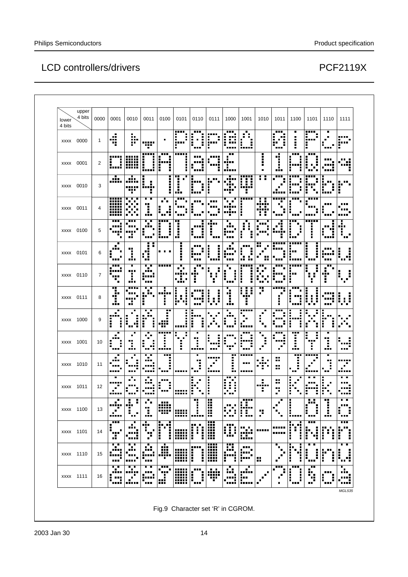# LCD controllers/drivers

| lower<br>4 bits | upper<br>4 bits | 0000 | 0001                                   | 0010                       | 0011                               | 0100                        | 0101              | 0110                   | 0111      | 1000                         | 1001                                           | 1010                    | 1011                     | 1100                        | 1101                   | 1110         | 1111                   |
|-----------------|-----------------|------|----------------------------------------|----------------------------|------------------------------------|-----------------------------|-------------------|------------------------|-----------|------------------------------|------------------------------------------------|-------------------------|--------------------------|-----------------------------|------------------------|--------------|------------------------|
| xxxx 0000       |                 | 1    | <br><br>72                             | ۰.<br><br>F                | -----<br>Ŧ                         |                             | <br><br>п         | F                      |           | .                            | H<br>                                          |                         | <br>- 99<br>п<br>        |                             | <br><br>$\blacksquare$ |              | F                      |
| xxxx 0001       |                 | 2    | Η                                      | <br><br>m                  | <br>i<br>i<br>-----                | <br>ľi                      | <br>п<br>п        |                        |           |                              |                                                | ÷<br>Η<br>٠             | ÷<br>H<br>               | <br>п<br>-----<br>п         |                        |              | <br>                   |
| xxxx 0010       |                 | 3    | ъ'n,                                   | ł.<br><br>.                | ■<br>Ē<br>п<br>п<br>п<br>ē         | ٠                           | п<br>٠.<br>п<br>  | i<br>i                 | ă         |                              | 1<br>$\blacksquare$<br>$\blacksquare$<br>----- | : :                     | <b>BBB</b>               |                             |                        | н<br>----    | i                      |
| xxxx 0011       |                 | 4    | -----<br><br>.<br><br>m                | .                          | . .<br>Ŧ<br>٠<br>٠<br>             | . .<br>                     |                   | i                      |           |                              | <br>Н                                          | <br>. .<br>             | -----                    | <br>п<br>F                  |                        |              | <br>,,,,               |
| xxxx 0100       |                 | 5    | H                                      | œ<br>a,                    | Ŧ<br>п<br>п<br><b>BBB</b>          | ,,,,<br>I,<br>٠<br>         | д<br>п<br>п<br>J. | <br>╻<br>H             | <br>п     | ٠<br><br>                    | E<br>E<br>Н                                    | <br><b>HH</b>           |                          | $\blacksquare$<br>Ī.<br>■   | <br>Ē                  |              | п<br><br>÷,<br>п<br>н. |
| xxxx 0101       |                 | 6    | п                                      | <br>l.                     | Ŧ.<br>٠<br>u<br>                   | . .                         | п                 |                        |           |                              | 88 B B<br>$\blacksquare$                       | H                       |                          | <br>H                       |                        |              | ŧ<br>                  |
| xxxx 0110       |                 | 7    | .<br><br>٠                             | ٠<br><br>J.                | $\blacksquare$<br><br><br>         |                             | п<br>. .<br>: .   | <br><br>ij             |           | F<br>$\blacksquare$<br>п<br> | <br>l<br>i                                     | <br>п<br>. .<br>п<br>m. | ---<br>п<br><b>BRB</b>   | <br>п<br><br>ŧ              |                        |              | п                      |
| xxxx 0111       |                 | 8    | <br><br>ш<br>                          | i<br><br><br>ш.            | . .<br><br>п                       | п<br>٠                      | W                 |                        | Н<br>н    | л<br>İ<br>                   | ■<br>п<br>:::<br><br>П                         |                         | -----                    | <br>Ì<br><br>Η              | Ħ<br>I,                |              | Ī<br>хł<br>٠           |
| xxxx 1000       |                 | 9    | п<br>Ē                                 | H<br>п<br>$\blacksquare$   | п<br><br>ŧ                         | <br><br>                    | п<br>п<br>        | ŧ<br>٠                 |           |                              |                                                | ٠<br>$\blacksquare$     |                          | F<br>в<br>ì                 |                        | Н            |                        |
| xxxx 1001       |                 | 10   |                                        | J.                         | ٠<br>п<br>٠ī                       | <br>п<br>$\blacksquare$<br> | Η<br>٠            | ï<br>                  |           |                              | .                                              | ■<br>п<br>п             | <br>.<br>п               | <br>п<br>.:.                | п<br>E                 | ï<br>J.      | Н<br><br>              |
| xxxx 1010       |                 | 11   |                                        | ▪                          | . .<br>                            |                             |                   | ٠<br>.,<br>п           |           | <br>н.                       | <br>88 B<br>,,,,,                              | н                       | <br><br>×                | 72<br>f<br>в<br>п           |                        | ٠<br>.,      | <br>                   |
| xxxx 1011       |                 | 12   |                                        |                            | л                                  |                             | -----<br>iinn     | ĵ,<br>ŧ                |           | . .<br>٠<br>÷<br>.           |                                                | п<br><br>I,             | ×<br>٠,                  | л<br>п<br>ŧ                 |                        |              | . .<br>                |
| xxxx 1100       |                 | 13   |                                        |                            | ij.<br>                            | ₩<br>m                      | m                 |                        | <br>Ä<br> |                              | ----<br>П<br><br>F<br>Ŧ<br>---                 | p                       |                          | į<br>                       | Η<br>ш                 | i<br>        | ٠<br><br>i<br>F<br>    |
| xxxx 1101       |                 | 14   | <br>п<br><br>                          | <br>п<br>m                 | ٠<br><br>Ε<br>п<br>Ŧ               | M                           | W                 | - -<br><br>ĺ<br>Ĩ<br>Ì | I         | I<br>I,                      | ₩                                              |                         |                          | ٠<br>M                      | <br>ł<br>ľ<br>٠        | Ë<br>F<br>ł  | <br>ľ<br>i             |
| xxxx 1110       |                 | 15   | . .<br><br>$\blacksquare$<br><br>п<br> | . .<br><br>٠<br><br>۰.<br> | Ŵ,<br>$\blacksquare$<br>₩<br>e e e | ₩<br>.ij.                   | ₩                 | i<br>į                 | 噩<br>₩    | Ā                            | , a ma<br>F                                    | ×                       | п<br>$\blacksquare$<br>п | ٠<br>■<br>ш.<br>i<br>İ<br>٠ | į<br>Ē<br>             | ľ<br>п<br>Ē. | ٠<br>İ,<br>W           |
| xxxx 1111       |                 | 16   | Т.<br><br>╏<br>■                       | Y<br>                      | i<br><br><b>i</b> nn               | j<br>٠<br>Ŧ<br>m            | W                 | i<br>į                 | 46<br>Ŧ   | ٠<br><br>mi                  | ٠<br>win<br>EE                                 | ■                       | <br>ř<br>$\blacksquare$  | <br>į<br>п<br>İ             | <br>ħ                  | <br>п<br>Ē   | ٠<br>н.                |

Fig.9 Character set 'R' in CGROM.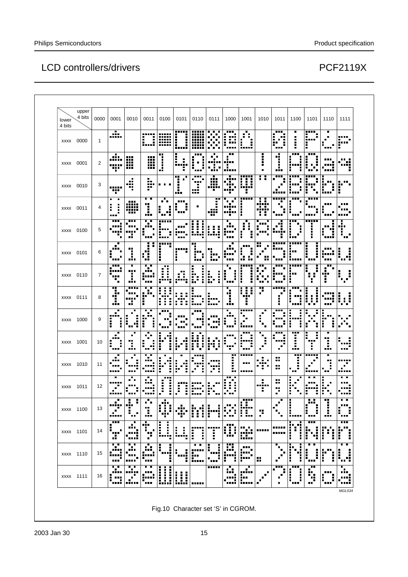| lower<br>4 bits | upper<br>4 bits | 0000 | 0001                              | 0010                            | 0011                                                                   | 0100                                  | 0101                                               | 0110                     | 0111                               | 1000                                     | 1001                                       | 1010                                   | 1011                                       | 1100                            | 1101                           | 1110                         | 1111                                                     |
|-----------------|-----------------|------|-----------------------------------|---------------------------------|------------------------------------------------------------------------|---------------------------------------|----------------------------------------------------|--------------------------|------------------------------------|------------------------------------------|--------------------------------------------|----------------------------------------|--------------------------------------------|---------------------------------|--------------------------------|------------------------------|----------------------------------------------------------|
| xxxx 0000       |                 | 1    | $\blacksquare$<br>il.             |                                 | ì<br>LJ.                                                               | <br>m<br>mm                           | <br>Η<br>İ                                         | ,,,,,<br><br><br><br>    | .<br>п<br>$\blacksquare$<br>п<br>п | <br>$\blacksquare$<br>988<br>ш<br>Ē<br>п | ■<br>÷.<br>ii                              |                                        | .<br>Ŧ.<br>п<br>Ŧ.<br>$\blacksquare$       |                                 | po,<br><br>ŧ                   | п<br>$\blacksquare$<br>п<br> | <br>٠<br>i‴                                              |
| xxxx 0001       |                 | 2    | л.<br><br>Ŧ                       | ₩<br><br>---                    | ₩<br>Ш                                                                 |                                       | ٠<br><br>. .                                       | $\blacksquare$<br>.      | ■<br>п<br>٠<br>,,,,,<br>H<br>٠     | <br>                                     |                                            | i<br>Η<br>٠                            | 4<br>п<br>---                              | <br>п<br>п<br>ш<br>H            | <br>i<br>. .<br>$\blacksquare$ | . .<br>                      |                                                          |
| xxxx 0010       |                 | 3    | .<br><br>п                        | æ<br>т                          | п<br>ķ.<br>٠                                                           | ٠                                     | <br>$\blacksquare$<br>п<br>$\blacksquare$<br>п<br> | Ġ<br>. .<br>÷<br>m       | <br>ш<br><br>                      | <br>Ş                                    | W                                          | : :                                    | <br>$\blacksquare$                         | :'''                            | <br>ı<br>Ŷ,<br>$\blacksquare$  | Н<br>п<br>i                  | $\blacksquare$<br>H                                      |
| xxxx 0011       |                 | 4    | $\blacksquare$<br>в<br>į<br>Ē<br> | <br>WH<br>                      | . .<br>Ŧ<br>٠<br>$\blacksquare$<br>œ                                   | Ŧ.<br>r.<br>                          | <br>п<br>                                          | п                        | . .<br><br>ш<br>                   | ٠<br>٠<br>×<br><br><br>п                 | -----<br>Η<br>Ī                            | П<br>Ŵ<br>wii<br>H<br>÷                | l<br>H.<br>п<br>---                        | <br>ì<br>п<br>                  | <br>                           | п                            | <br><br>                                                 |
| xxxx 0100       |                 | 5    | <br><br><br>                      | <br>---<br><br>45               | $\overline{\phantom{a}}$<br><b>BRB</b><br>$\blacksquare$<br>п<br>п<br> | .<br><br>٠<br>$\blacksquare$<br>----  |                                                    | i<br>l<br>H<br>п         | ŧ<br>F<br>Ĩ,<br><b>BILL</b><br>ш   | <br>                                     | ■<br>ă<br>E<br>I<br>I                      | <br><br>п                              | <br>r i                                    | <br>٠<br>l<br>٠<br>п            | <br>п<br>ē<br>I,               | п<br>H                       | <br>п<br>÷.<br>п<br>                                     |
| xxxx 0101       |                 | 6    |                                   | Ŧ<br>ă,                         | ٠<br>$\blacksquare$<br>٠<br><br>88<br>                                 | <br>п<br>Н                            | Ξ<br>Η                                             | ш<br><br>Н<br>÷<br>      | ļ.                                 | <br>                                     | .<br>k<br>$\blacksquare$<br>               | <br><br>п<br>ш<br>                     | ,,,,,<br>п                                 | <br>▪<br>H<br>٠                 | п<br>i<br>į<br>I               | <br>Е<br>                    | п<br>I,<br>пē<br>.                                       |
| xxxx 0110       |                 | 7    | <br><br><br>п<br>'n               | ٠<br><br>п<br>j,                | . .<br><br><br><b>ALC</b>                                              | <br>Î<br>H,                           | ÷                                                  | İ<br>H,<br>Ĩ.<br>F       | b<br>Ē                             | ٠<br>г<br>п<br>٠<br>Ē                    | п.<br>i<br>i<br>į                          | <br>п<br>$\blacksquare$<br>п<br>٠<br>┅ | ш<br>Ī<br>                                 | <br><br>П                       | ▪<br>п                         | <br><br>H                    | $\blacksquare$<br>$\blacksquare$<br>$\blacksquare$<br>۰, |
| xxxx 0111       |                 | 8    | <br>٠<br>÷<br>                    | <br><br>т                       | . .<br>٠<br>.<br>. .<br>г<br>Ì                                         | $\blacksquare$<br>F<br>÷,<br>H,<br>÷. | H<br>Η<br>÷.                                       | ■<br>i <sup>;</sup><br>H | ٠<br>i.,<br>m.                     | ٠<br>Ą<br>٠<br>J.                        | W<br>п<br>Ĩ<br>п<br>H                      | <br>т<br>$\blacksquare$                | <br>. .<br>Η                               | ---<br>F.<br><br>п<br>п<br>     | İ<br>Į.                        | ---                          | п<br>11<br>п.<br>. .                                     |
| xxxx 1000       |                 | 9    | ٠<br><br>Ĩ,<br>٠                  | ■<br>٠<br>į<br>п<br>п<br>мē<br> | . .<br>ŀ<br><br>H                                                      | п                                     |                                                    |                          | п<br>ш                             | ٠<br>$\blacksquare$<br>п<br>٠<br>        | <br>$\blacksquare$<br>п<br>п<br>п<br>----- | ٠<br>٠<br>л                            | ---<br>г<br>$\blacksquare$<br>             | i,<br>ш<br>I<br>п<br>٠          | ÷<br>Е                         | H                            | $\blacksquare$                                           |
| xxxx 1001       |                 | 10   |                                   | 88<br>I,<br>                    | п<br>F                                                                 | п                                     | đ                                                  | п<br>i                   | H<br>п<br>ш<br>٠<br>. .            | ٠<br>٠                                   | imi<br>Η<br>                               | п<br>Е<br>٠                            | <br>                                       | <br>                            | п<br>п<br>п<br>■<br><br>п      | ŋ<br>٠<br>                   | <br>                                                     |
| xxxx 1010       |                 | 11   |                                   | ٠<br>                           | . .<br>∎<br>п<br>                                                      | ш<br>H<br>$\blacksquare$              | $\blacksquare$<br>п<br>Ξ<br>$\blacksquare$         | п<br>i<br>$\blacksquare$ | <br>T<br>$\blacksquare$            | <br>п<br>٠<br>п<br>                      | -----<br>ппп<br>-----                      | .<br>÷,                                | <br>н.<br>$\qquad \qquad \blacksquare$<br> | <br>٠<br>$\blacksquare$<br>- 11 | <br>п<br>-----                 | ٠<br>ш<br>п<br>Ē<br>         | <br>п<br>$\blacksquare$<br>                              |
| xxxx 1011       |                 | 12   |                                   | п                               | ٠<br>×<br><br>.                                                        | <b>.</b><br>i<br>Η                    | H                                                  |                          |                                    | .<br>٠<br>п                              |                                            | H<br><br>÷                             | <br><br>ÿ.                                 | E<br>п<br>п<br>i                | п<br>H<br>п                    | г<br>H                       | . .<br><br>mi                                            |
| xxxx 1100       |                 | 13   |                                   |                                 |                                                                        |                                       |                                                    |                          |                                    |                                          |                                            |                                        |                                            |                                 |                                |                              |                                                          |
| xxxx 1101       |                 | 14   | <br>                              |                                 | 18 H                                                                   |                                       |                                                    |                          | П                                  |                                          |                                            |                                        |                                            |                                 | å                              |                              | i                                                        |
| xxxx 1110       |                 | 15   |                                   |                                 |                                                                        |                                       |                                                    |                          |                                    |                                          |                                            | ×                                      |                                            |                                 | I,<br>F                        | I                            |                                                          |
| xxxx 1111       |                 | 16   |                                   | . .                             | п                                                                      | i<br>İ                                | i<br>i<br>i                                        |                          | ,,,,,                              |                                          | п<br>D.                                    |                                        |                                            | <br>:<br>Ē<br>                  | н.                             | Ē,<br>œ                      |                                                          |

Fig.10 Character set 'S' in CGROM.

MGL534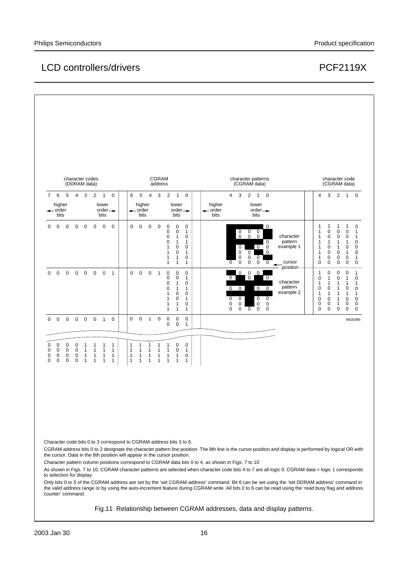#### Philips Semiconductors **Product specification** Product specification

#### LCD controllers/drivers extending the controllers of the property of the PCF2119X

|                            |                                                          |                                              | character codes<br>(DDRAM data)                |                                                                      |                                                              |                                                              |                                                     |                                                              |                                                              |                                                              | CGRAM<br>address                                             |                                                                                                                    |                                                                                                                          |                                                                                                                       |                                      |                                                                                 |                                              | character patterns<br>(CGRAM data)                                                                      |                                                              |                                                                         |                                                                                                                |                                                                                                              |                                                                                                                       | character code<br>(CGRAM data)                                                                               |                                                                                |
|----------------------------|----------------------------------------------------------|----------------------------------------------|------------------------------------------------|----------------------------------------------------------------------|--------------------------------------------------------------|--------------------------------------------------------------|-----------------------------------------------------|--------------------------------------------------------------|--------------------------------------------------------------|--------------------------------------------------------------|--------------------------------------------------------------|--------------------------------------------------------------------------------------------------------------------|--------------------------------------------------------------------------------------------------------------------------|-----------------------------------------------------------------------------------------------------------------------|--------------------------------------|---------------------------------------------------------------------------------|----------------------------------------------|---------------------------------------------------------------------------------------------------------|--------------------------------------------------------------|-------------------------------------------------------------------------|----------------------------------------------------------------------------------------------------------------|--------------------------------------------------------------------------------------------------------------|-----------------------------------------------------------------------------------------------------------------------|--------------------------------------------------------------------------------------------------------------|--------------------------------------------------------------------------------|
|                            | 7 6<br>higher<br>$\rightarrow$ order<br>bits             | 5                                            | $\overline{4}$                                 | $\mathbf{3}$                                                         | $\overline{2}$                                               | $\overline{1}$<br>lower<br>$order \rightarrow$<br>bits       | $\mathbf 0$                                         | 6                                                            | 5<br>higher<br>$\rightarrow$ order<br>bits                   | $\overline{4}$                                               | $\overline{\mathbf{3}}$                                      | 2                                                                                                                  | $\overline{1}$<br>lower<br>$order \rightarrow$<br>bits                                                                   | $\mathbf 0$                                                                                                           | higher<br>$\leftarrow$ order<br>bits | $\overline{4}$<br>3                                                             |                                              | $2 \quad 1 \quad 0$<br>lower<br>$order \rightarrow$<br>bits                                             |                                                              |                                                                         | $\overline{4}$                                                                                                 |                                                                                                              |                                                                                                                       | 3 2 1 0                                                                                                      |                                                                                |
| $\mathbf{0}$               | $\mathbf 0$                                              | $\overline{0}$                               | $0\quad 0\quad 0\quad 0$                       |                                                                      |                                                              |                                                              | $\overline{0}$                                      | $\mathbf 0$                                                  | $\mathbf 0$                                                  | $\overline{\phantom{0}}$                                     | $\overline{\mathbf{0}}$                                      | $\mathbf 0$<br>$\pmb{0}$<br>$\pmb{0}$<br>$\pmb{0}$<br>$\mathbf{1}$<br>$\mathbf{1}$<br>$\mathbf{1}$<br>$\mathbf{1}$ | $\mathbf 0$<br>$\mathbf 0$<br>$\mathbf{1}$<br>$\mathbf{1}$<br>$\mathbf 0$<br>$\pmb{0}$<br>$\mathbf{1}$<br>$\mathbf{1}$   | $\mathbf 0$<br>$\mathbf{1}$<br>$\mathbf 0$<br>$\mathbf{1}$<br>$\mathbf 0$<br>$\mathbf{1}$<br>0<br>$\mathbf{1}$        |                                      | 0<br>$\ddot{\mathbf{0}}$<br>$\mathbf 0$<br>0<br>0<br>$\mathbf 0$<br>$\mathbf 0$ | $\mathbf 0$<br>$\mathbf 0$<br>0 <sub>0</sub> | $\mathbf 0$<br>$\mathbf 0$<br>$0\quad$ 0<br>$0\quad 0$<br>$0 \quad 0 \quad 0$                           | $\overline{\phantom{0}}$<br>$\overline{0}$<br>$\overline{0}$ | character<br>pattern<br>example 1<br>cursor<br>$\overline{\phantom{a}}$ | 1<br>$\mathbf{1}$<br>$\mathbf{1}$<br>$\mathbf{1}$<br>$\mathbf{1}$<br>$\mathbf{1}$<br>$\mathbf{1}$<br>$\pmb{0}$ | $\mathbf{1}$<br>$\pmb{0}$<br>$\mathbf 0$<br>1<br>$\pmb{0}$<br>$\mathbf 0$<br>$\mathbf 0$<br>$\pmb{0}$        | $\mathbf{1}$<br>$\mathbf 0$<br>$\mathbf 0$<br>$\mathbf{1}$<br>$\mathbf{1}$<br>$\mathbf 0$<br>$\mathbf 0$<br>$\pmb{0}$ | $\mathbf{1}$<br>$\mathbf 0$<br>$\mathbf 0$<br>1<br>$\mathbf 0$<br>$\mathbf{1}$<br>$\mathbf 0$<br>$\mathsf 0$ | $\mathbf 0$<br>$\mathbf{1}$<br>1<br>0<br>0<br>0<br>$\mathbf{1}$<br>$\mathbf 0$ |
| $\Omega$                   | $\mathbf 0$                                              | $\mathbf 0$                                  |                                                | $0\quad 0$                                                           | $\overline{0}$                                               | $\overline{0}$                                               | $\overline{1}$                                      | $\Omega$                                                     | $\mathbf 0$                                                  | $\mathbf 0$                                                  | $\overline{1}$                                               | $\mathbf 0$<br>$\pmb{0}$<br>$\pmb{0}$<br>0<br>$\mathbf{1}$<br>$\mathbf{1}$<br>$\mathbf{1}$<br>$\mathbf{1}$         | $\mathbf 0$<br>$\mathbf 0$<br>$\mathbf{1}$<br>$\mathbf{1}$<br>$\mathbf 0$<br>$\mathbf 0$<br>$\mathbf{1}$<br>$\mathbf{1}$ | $\Omega$<br>$\mathbf{1}$<br>$\mathbf 0$<br>$\mathbf{1}$<br>$\mathbf 0$<br>$\mathbf{1}$<br>$\mathbf 0$<br>$\mathbf{1}$ |                                      | 0 <sup>1</sup><br>$0 \quad 0$<br>0<br>0<br>$\overline{0}$<br>$\pmb{0}$<br>0     | 0 <br>$0\quad 0$                             | $0 \quad 0 \quad 0$<br>$\begin{matrix} 0 & 0 \end{matrix}$<br>$\mathbf 0$<br>$\mathbf 0$<br>$\mathsf 0$ | $\overline{0}$<br>$\mathbf 0$<br>$\mathbf 0$<br>$\mathbf 0$  | position -<br>character<br>pattern<br>example 2                         | 1<br>$\pmb{0}$<br>1<br>0<br>1<br>$\pmb{0}$<br>0<br>$\pmb{0}$                                                   | $\mathbf 0$<br>$\mathbf{1}$<br>1<br>$\mathbf 0$<br>$\mathbf{1}$<br>$\mathbf 0$<br>$\mathbf 0$<br>$\mathbf 0$ | $\pmb{0}$<br>$\pmb{0}$<br>$\mathbf{1}$<br>$\mathbf{1}$<br>$\mathbf{1}$<br>$\mathbf{1}$<br>$\mathbf{1}$<br>$\pmb{0}$   | $\mathbf 0$<br>$\mathbf{1}$<br>1<br>$\mathbf 0$<br>1<br>$\mathbf 0$<br>$\mathbf 0$<br>$\mathsf 0$            | $\mathbf{1}$<br>0<br>1<br>0<br>1<br>$\mathbf 0$<br>$\pmb{0}$<br>0              |
| $\mathbf 0$                | $\overline{0}$                                           | $\overline{0}$                               |                                                | $0\quad 0\quad 0$                                                    |                                                              | $\overline{1}$                                               | $\mathbf 0$                                         | $\mathbf 0$                                                  | $\mathbf 0$                                                  | $\overline{1}$                                               | $\mathbf 0$                                                  | $\mathbf 0$<br>0                                                                                                   | $\mathbf 0$<br>$\mathbf 0$                                                                                               | $\mathbf{0}$<br>$\mathbf{1}$                                                                                          |                                      |                                                                                 |                                              |                                                                                                         |                                                              |                                                                         |                                                                                                                |                                                                                                              |                                                                                                                       |                                                                                                              | MGE995                                                                         |
| 0<br>$\mathsf 0$<br>0<br>0 | $\mathbf 0$<br>$\mathbf 0$<br>$\mathbf 0$<br>$\mathbf 0$ | $\mathbf 0$<br>$\mathbf 0$<br>0<br>$\pmb{0}$ | $\mathbf 0$<br>$\mathbf 0$<br>$\mathbf 0$<br>0 | $\overline{1}$<br>$\overline{1}$<br>$\overline{1}$<br>$\overline{1}$ | $\mathbf{1}$<br>$\mathbf{1}$<br>$\mathbf{1}$<br>$\mathbf{1}$ | $\mathbf{1}$<br>$\mathbf{1}$<br>$\mathbf{1}$<br>$\mathbf{1}$ | $\overline{1}$<br>$\mathbf{1}$<br>$\mathbf{1}$<br>1 | $\mathbf{1}$<br>$\mathbf{1}$<br>$\mathbf{1}$<br>$\mathbf{1}$ | $\mathbf{1}$<br>$\mathbf{1}$<br>$\mathbf{1}$<br>$\mathbf{1}$ | $\mathbf{1}$<br>$\mathbf{1}$<br>$\mathbf{1}$<br>$\mathbf{1}$ | $\mathbf{1}$<br>$\mathbf{1}$<br>$\mathbf{1}$<br>$\mathbf{1}$ | 1<br>$\mathbf{1}$<br>$\mathbf{1}$<br>$\mathbf{1}$                                                                  | $\mathbf 0$<br>$\mathbf 0$<br>$\mathbf{1}$<br>$\mathbf{1}$                                                               | $\mathbf 0$<br>$\mathbf{1}$<br>0<br>$\mathbf{1}$                                                                      |                                      |                                                                                 |                                              |                                                                                                         |                                                              |                                                                         |                                                                                                                |                                                                                                              |                                                                                                                       |                                                                                                              |                                                                                |

Character code bits 0 to 3 correspond to CGRAM address bits 3 to 6.

CGRAM address bits 0 to 2 designate the character pattern line position. The 8th line is the cursor position and display is performed by logical OR with the cursor. Data in the 8th position will appear in the cursor position.

Character pattern column positions correspond to CGRAM data bits 0 to 4, as shown in Figs. 7 to 10

As shown in Figs. 7 to 10, CGRAM character patterns are selected when character code bits 4 to 7 are all logic 0. CGRAM data = logic 1 corresponds to selection for display.

Only bits 0 to 5 of the CGRAM address are set by the 'set CGRAM address' command. Bit 6 can be set using the 'set DDRAM address' command in the valid address range or by using the auto-increment feature during CGRAM write. All bits 0 to 6 can be read using the 'read busy flag and address counter' command.

Fig.11 Relationship between CGRAM addresses, data and display patterns.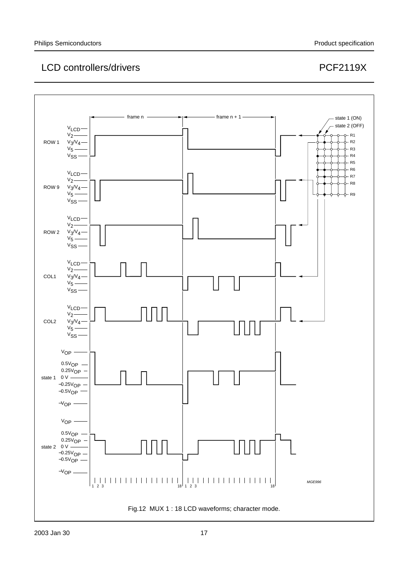

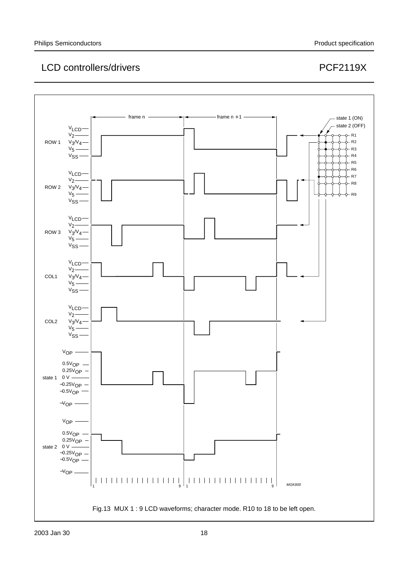

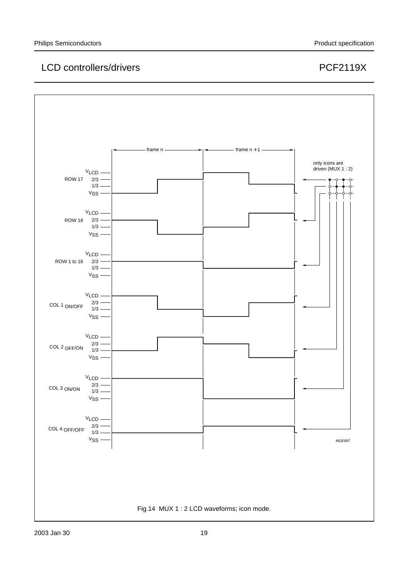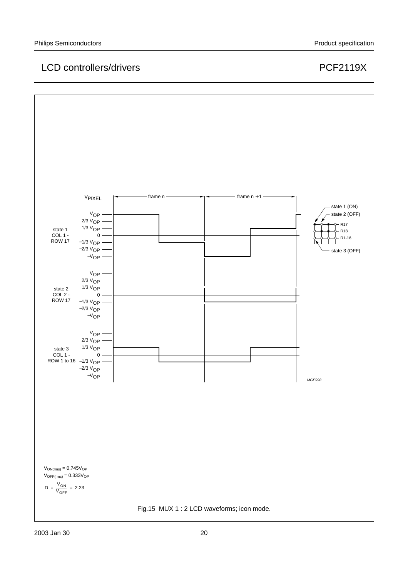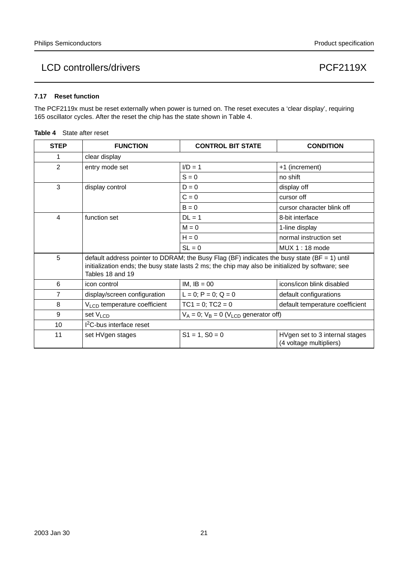#### **7.17 Reset function**

The PCF2119x must be reset externally when power is turned on. The reset executes a 'clear display', requiring 165 oscillator cycles. After the reset the chip has the state shown in Table 4.

| State after reset | Table 4 |
|-------------------|---------|
|-------------------|---------|

| <b>STEP</b>    | <b>FUNCTION</b>                          | <b>CONTROL BIT STATE</b>                                                                                                                                                                          | <b>CONDITION</b>                                          |
|----------------|------------------------------------------|---------------------------------------------------------------------------------------------------------------------------------------------------------------------------------------------------|-----------------------------------------------------------|
| 1              | clear display                            |                                                                                                                                                                                                   |                                                           |
| $\overline{2}$ | entry mode set                           | $I/D = 1$                                                                                                                                                                                         | +1 (increment)                                            |
|                |                                          | $S = 0$                                                                                                                                                                                           | no shift                                                  |
| 3              | display control                          | $D = 0$                                                                                                                                                                                           | display off                                               |
|                |                                          | $C = 0$                                                                                                                                                                                           | cursor off                                                |
|                |                                          | $B = 0$                                                                                                                                                                                           | cursor character blink off                                |
| 4              | function set                             | $DL = 1$                                                                                                                                                                                          | 8-bit interface                                           |
|                |                                          | $M = 0$                                                                                                                                                                                           | 1-line display                                            |
|                |                                          | $H = 0$                                                                                                                                                                                           | normal instruction set                                    |
|                |                                          | $SL = 0$                                                                                                                                                                                          | MUX 1:18 mode                                             |
| 5              | Tables 18 and 19                         | default address pointer to DDRAM; the Busy Flag (BF) indicates the busy state (BF = 1) until<br>initialization ends; the busy state lasts 2 ms; the chip may also be initialized by software; see |                                                           |
| 6              | icon control                             | $IM, IB = 00$                                                                                                                                                                                     | icons/icon blink disabled                                 |
| 7              | display/screen configuration             | $L = 0$ ; $P = 0$ ; $Q = 0$                                                                                                                                                                       | default configurations                                    |
| 8              | V <sub>LCD</sub> temperature coefficient | $TC1 = 0$ ; $TC2 = 0$                                                                                                                                                                             | default temperature coefficient                           |
| 9              | set $V_{LCD}$                            | $V_A = 0$ ; $V_B = 0$ ( $V_{LCD}$ generator off)                                                                                                                                                  |                                                           |
| 10             | <sup>2</sup> C-bus interface reset       |                                                                                                                                                                                                   |                                                           |
| 11             | set HVgen stages                         | $S1 = 1, S0 = 0$                                                                                                                                                                                  | HVgen set to 3 internal stages<br>(4 voltage multipliers) |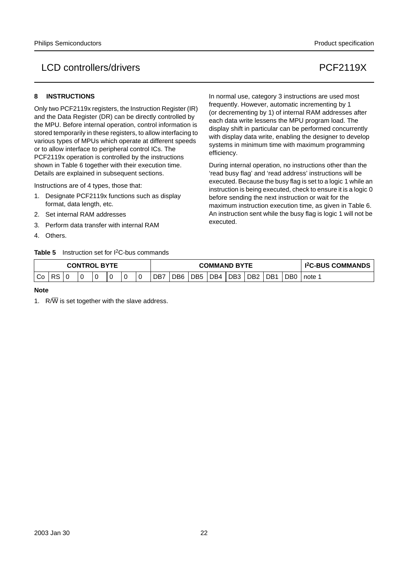#### **8 INSTRUCTIONS**

Only two PCF2119x registers, the Instruction Register (IR) and the Data Register (DR) can be directly controlled by the MPU. Before internal operation, control information is stored temporarily in these registers, to allow interfacing to various types of MPUs which operate at different speeds or to allow interface to peripheral control ICs. The PCF2119x operation is controlled by the instructions shown in Table 6 together with their execution time. Details are explained in subsequent sections.

Instructions are of 4 types, those that:

- 1. Designate PCF2119x functions such as display format, data length, etc.
- 2. Set internal RAM addresses
- 3. Perform data transfer with internal RAM
- 4. Others.

**Table 5** Instruction set for I2C-bus commands

In normal use, category 3 instructions are used most frequently. However, automatic incrementing by 1 (or decrementing by 1) of internal RAM addresses after each data write lessens the MPU program load. The display shift in particular can be performed concurrently with display data write, enabling the designer to develop systems in minimum time with maximum programming efficiency.

During internal operation, no instructions other than the 'read busy flag' and 'read address' instructions will be executed. Because the busy flag is set to a logic 1 while an instruction is being executed, check to ensure it is a logic 0 before sending the next instruction or wait for the maximum instruction execution time, as given in Table 6. An instruction sent while the busy flag is logic 1 will not be executed.

| <b>CONTROL BYTE</b> |    |  |  |  |  |  |  |       |     | <b>COMMAND BYTE</b> |     | <b>I<sup>2</sup>C-BUS COMMANDS</b> |                 |                 |                 |      |
|---------------------|----|--|--|--|--|--|--|-------|-----|---------------------|-----|------------------------------------|-----------------|-----------------|-----------------|------|
| Co                  | בא |  |  |  |  |  |  | . DB7 | DB6 | DB <sub>5</sub>     | DB4 | DB <sub>3</sub>                    | DB <sub>2</sub> | DB <sub>1</sub> | DB <sub>0</sub> | note |

#### **Note**

1.  $R/\overline{W}$  is set together with the slave address.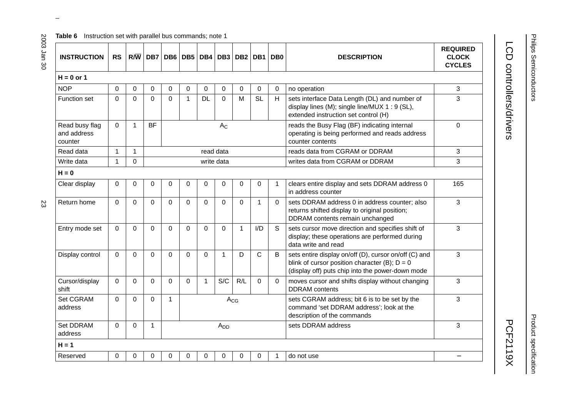#### **Table 6** Instruction set with parallel bus commands; note 1

| <b>INSTRUCTION</b>                       | <b>RS</b>      | $R/\overline{W}$ | DB7         |          | DB6 DB5     | DB4         | DB <sub>3</sub> | DB2         | DB <sub>1</sub> | DB <sub>0</sub> | <b>DESCRIPTION</b>                                                                                                                                           | <b>REQUIRED</b><br><b>CLOCK</b><br><b>CYCLES</b> |
|------------------------------------------|----------------|------------------|-------------|----------|-------------|-------------|-----------------|-------------|-----------------|-----------------|--------------------------------------------------------------------------------------------------------------------------------------------------------------|--------------------------------------------------|
| $H = 0$ or 1                             |                |                  |             |          |             |             |                 |             |                 |                 |                                                                                                                                                              |                                                  |
| <b>NOP</b>                               | 0              | 0                | 0           | 0        | 0           | $\mathbf 0$ | 0               | 0           | $\mathbf 0$     | $\Omega$        | no operation                                                                                                                                                 | 3                                                |
| Function set                             | $\overline{0}$ | $\mathbf 0$      | $\Omega$    | 0        | $\mathbf 1$ | <b>DL</b>   | 0               | M           | <b>SL</b>       | H               | sets interface Data Length (DL) and number of<br>display lines (M); single line/MUX 1 : 9 (SL),<br>extended instruction set control (H)                      | 3                                                |
| Read busy flag<br>and address<br>counter | $\Omega$       | $\mathbf{1}$     | <b>BF</b>   |          |             |             | $A_{C}$         |             |                 |                 | reads the Busy Flag (BF) indicating internal<br>operating is being performed and reads address<br>counter contents                                           | $\Omega$                                         |
| Read data                                | $\mathbf{1}$   | $\mathbf{1}$     |             |          |             | read data   |                 |             |                 |                 | reads data from CGRAM or DDRAM                                                                                                                               | 3                                                |
| Write data                               | $\mathbf{1}$   | 0                |             |          |             |             | write data      |             |                 |                 | writes data from CGRAM or DDRAM                                                                                                                              | 3                                                |
| $H = 0$                                  |                |                  |             |          |             |             |                 |             |                 |                 |                                                                                                                                                              |                                                  |
| Clear display                            | 0              | $\mathbf 0$      | $\mathbf 0$ | 0        | 0           | 0           | 0               | 0           | $\mathbf 0$     | $\mathbf 1$     | clears entire display and sets DDRAM address 0<br>in address counter                                                                                         | 165                                              |
| Return home                              | $\Omega$       | $\Omega$         | $\Omega$    | $\Omega$ | $\Omega$    | $\Omega$    | $\Omega$        | $\Omega$    | $\mathbf 1$     | $\Omega$        | sets DDRAM address 0 in address counter; also<br>returns shifted display to original position;<br>DDRAM contents remain unchanged                            | 3                                                |
| Entry mode set                           | $\Omega$       | $\Omega$         | $\Omega$    | $\Omega$ | $\Omega$    | $\Omega$    | $\Omega$        | $\mathbf 1$ | I/D             | S               | sets cursor move direction and specifies shift of<br>display; these operations are performed during<br>data write and read                                   | 3                                                |
| Display control                          | $\Omega$       | $\Omega$         | $\Omega$    | $\Omega$ | $\Omega$    | $\Omega$    | 1               | D           | $\mathsf{C}$    | B               | sets entire display on/off (D), cursor on/off (C) and<br>blink of cursor position character (B); $D = 0$<br>(display off) puts chip into the power-down mode | 3                                                |
| Cursor/display<br>shift                  | $\Omega$       | $\Omega$         | $\Omega$    | 0        | $\Omega$    | 1           | S/C             | R/L         | $\Omega$        | $\mathbf 0$     | moves cursor and shifts display without changing<br><b>DDRAM</b> contents                                                                                    | 3                                                |
| Set CGRAM<br>address                     | $\Omega$       | $\Omega$         | $\Omega$    | 1        |             |             | $A_{CG}$        |             |                 |                 | sets CGRAM address; bit 6 is to be set by the<br>command 'set DDRAM address'; look at the<br>description of the commands                                     | 3                                                |
| <b>Set DDRAM</b><br>address              | $\Omega$       | 0                | 1           |          |             |             | A <sub>DD</sub> |             |                 |                 | sets DDRAM address                                                                                                                                           | 3                                                |
| $H = 1$                                  |                |                  |             |          |             |             |                 |             |                 |                 |                                                                                                                                                              |                                                  |
| Reserved                                 | 0              | $\mathbf 0$      | 0           | 0        | 0           | 0           | 0               | 0           | $\mathbf 0$     | 1               | do not use                                                                                                                                                   |                                                  |

 $\omega$  rotated correctly when browsing through the pdf in the Acrobat reader.This text is here in the pdf in the  $\alpha$ 

# LCD controllers/drivers LCD controllers/drivers and the controllers/drivers and controllers/drivers and controllers/drivers and controllers/drivers and controllers/drivers and controllers/drivers and controllers/drivers and controllers/drivers an

Philips Semiconductors

Philips Semiconductors

**PCF2119X** 

Product specification

Product specification

23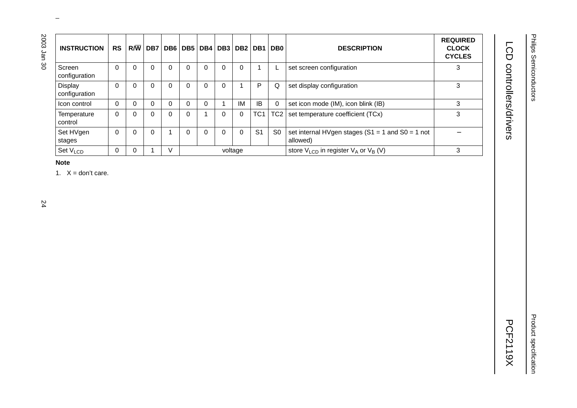| <b>INSTRUCTION</b>       | <b>RS</b> |          | $R/\overline{W}$ DB7 |          | DB6   DB5   DB4   DB3   DB2 |          |          |             | DB <sub>1</sub> | DB0             | <b>DESCRIPTION</b>                                                | <b>REQUIRED</b><br><b>CLOCK</b><br><b>CYCLES</b> |
|--------------------------|-----------|----------|----------------------|----------|-----------------------------|----------|----------|-------------|-----------------|-----------------|-------------------------------------------------------------------|--------------------------------------------------|
| Screen<br>configuration  | 0         | $\Omega$ | 0                    | $\Omega$ | 0                           | $\Omega$ | $\Omega$ | $\mathbf 0$ |                 |                 | set screen configuration                                          | 3                                                |
| Display<br>configuration | 0         | $\Omega$ |                      | $\Omega$ | $\Omega$                    | $\Omega$ |          |             | P               | Q               | set display configuration                                         | 3                                                |
| Icon control             | 0         | $\Omega$ |                      | $\Omega$ | 0                           | 0        |          | IM          | IB              | $\mathbf 0$     | set icon mode (IM), icon blink (IB)                               | 3                                                |
| Temperature<br>control   | 0         | $\Omega$ | U                    | 0        | $\Omega$                    |          | $\Omega$ | $\mathbf 0$ | TC1             | TC <sub>2</sub> | set temperature coefficient (TCx)                                 | 3                                                |
| Set HVgen<br>stages      | 0         | $\Omega$ | $\Omega$             |          | $\Omega$                    | $\Omega$ | $\Omega$ | $\Omega$    | S <sub>1</sub>  | S <sub>0</sub>  | set internal HVgen stages ( $S1 = 1$ and $S0 = 1$ not<br>allowed) |                                                  |
| Set V <sub>LCD</sub>     | 0         | 0        |                      | V        |                             |          |          | voltage     |                 |                 | store $V_{LCD}$ in register $V_A$ or $V_B$ (V)                    | 3                                                |

 $\omega$  rotated correctly when browsing through the pdf in the Acrobat reader.This text is here in the pdf in the  $\alpha$ 

#### **Note**

1.  $X = don't care$ .

24

# Philips Semiconductors Philips Semiconductors

LCD controllers/drivers

LCD controllers/drivers and the controllers/drivers and controllers/drivers and controllers/drivers and controllers/drivers and controllers/drivers and controllers/drivers and controllers/drivers and controllers/drivers an **PCF2119X** 

Product specification

**Product specification**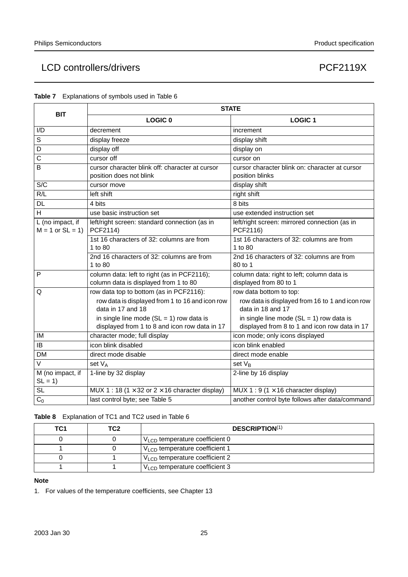| <b>BIT</b>                                |                                                                                             | <b>STATE</b>                                                                                |
|-------------------------------------------|---------------------------------------------------------------------------------------------|---------------------------------------------------------------------------------------------|
|                                           | <b>LOGIC 0</b>                                                                              | <b>LOGIC 1</b>                                                                              |
| I/D                                       | decrement                                                                                   | increment                                                                                   |
| S                                         | display freeze                                                                              | display shift                                                                               |
| D                                         | display off                                                                                 | display on                                                                                  |
| C                                         | cursor off                                                                                  | cursor on                                                                                   |
| B                                         | cursor character blink off: character at cursor<br>position does not blink                  | cursor character blink on: character at cursor<br>position blinks                           |
| S/C                                       | cursor move                                                                                 | display shift                                                                               |
| R/L                                       | left shift                                                                                  | right shift                                                                                 |
| <b>DL</b>                                 | 4 bits                                                                                      | 8 bits                                                                                      |
| H                                         | use basic instruction set                                                                   | use extended instruction set                                                                |
| L (no impact, if<br>$M = 1$ or $SL = 1$ ) | left/right screen: standard connection (as in<br>PCF2114)                                   | left/right screen: mirrored connection (as in<br>PCF2116)                                   |
|                                           | 1st 16 characters of 32: columns are from<br>1 to 80                                        | 1st 16 characters of 32: columns are from<br>1 to 80                                        |
|                                           | 2nd 16 characters of 32: columns are from<br>1 to 80                                        | 2nd 16 characters of 32: columns are from<br>80 to 1                                        |
| P                                         | column data: left to right (as in PCF2116);<br>column data is displayed from 1 to 80        | column data: right to left; column data is<br>displayed from 80 to 1                        |
| Q                                         | row data top to bottom (as in PCF2116):                                                     | row data bottom to top:                                                                     |
|                                           | row data is displayed from 1 to 16 and icon row<br>data in 17 and 18                        | row data is displayed from 16 to 1 and icon row<br>data in 18 and 17                        |
|                                           | in single line mode $(SL = 1)$ row data is<br>displayed from 1 to 8 and icon row data in 17 | in single line mode $(SL = 1)$ row data is<br>displayed from 8 to 1 and icon row data in 17 |
| IM                                        | character mode; full display                                                                | icon mode; only icons displayed                                                             |
| <b>IB</b>                                 | icon blink disabled                                                                         | icon blink enabled                                                                          |
| <b>DM</b>                                 | direct mode disable                                                                         | direct mode enable                                                                          |
| $\vee$                                    | set V <sub>A</sub>                                                                          | set $V_R$                                                                                   |
| M (no impact, if<br>$SL = 1$              | 1-line by 32 display                                                                        | 2-line by 16 display                                                                        |
| $\overline{SL}$                           | MUX 1 : 18 (1 $\times$ 32 or 2 $\times$ 16 character display)                               | MUX 1 : 9 (1 $\times$ 16 character display)                                                 |
| C <sub>0</sub>                            | last control byte; see Table 5                                                              | another control byte follows after data/command                                             |

| <b>Table 7</b> Explanations of symbols used in Table 6 |  |  |
|--------------------------------------------------------|--|--|
|                                                        |  |  |

**Table 8** Explanation of TC1 and TC2 used in Table 6

| TC <sub>1</sub> | TC2 | <b>DESCRIPTION(1)</b>                      |
|-----------------|-----|--------------------------------------------|
|                 |     | $VLCD$ temperature coefficient 0           |
|                 |     | $V_{\text{LO}}$ temperature coefficient 1  |
|                 |     | $V_{LCD}$ temperature coefficient 2        |
|                 |     | V <sub>LCD</sub> temperature coefficient 3 |

#### **Note**

1. For values of the temperature coefficients, see Chapter 13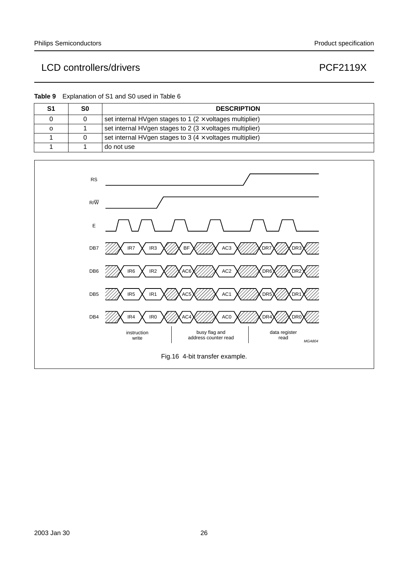**Table 9** Explanation of S1 and S0 used in Table 6

| S0 | <b>DESCRIPTION</b>                                                |
|----|-------------------------------------------------------------------|
|    | set internal HVgen stages to 1 ( $2 \times$ voltages multiplier)  |
|    | set internal HVgen stages to $2$ (3 $\times$ voltages multiplier) |
|    | set internal HVgen stages to 3 ( $4 \times$ voltages multiplier)  |
|    | do not use                                                        |

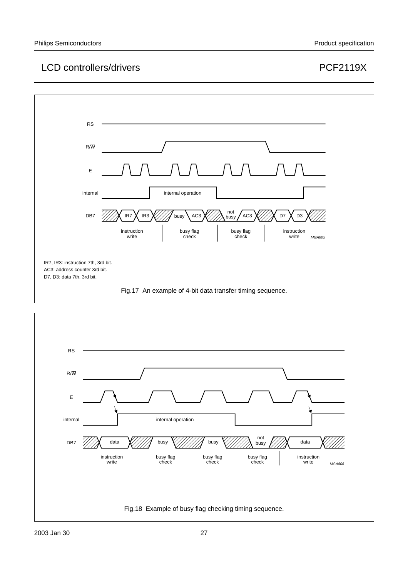

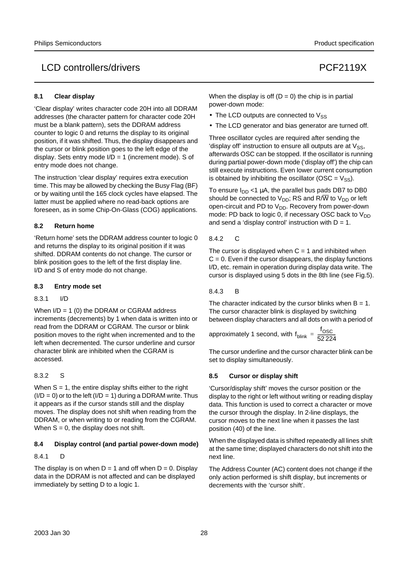#### **8.1 Clear display**

'Clear display' writes character code 20H into all DDRAM addresses (the character pattern for character code 20H must be a blank pattern), sets the DDRAM address counter to logic 0 and returns the display to its original position, if it was shifted. Thus, the display disappears and the cursor or blink position goes to the left edge of the display. Sets entry mode  $I/D = 1$  (increment mode). S of entry mode does not change.

The instruction 'clear display' requires extra execution time. This may be allowed by checking the Busy Flag (BF) or by waiting until the 165 clock cycles have elapsed. The latter must be applied where no read-back options are foreseen, as in some Chip-On-Glass (COG) applications.

#### **8.2 Return home**

'Return home' sets the DDRAM address counter to logic 0 and returns the display to its original position if it was shifted. DDRAM contents do not change. The cursor or blink position goes to the left of the first display line. I/D and S of entry mode do not change.

#### **8.3 Entry mode set**

#### 8.3.1 I/D

When  $I/D = 1$  (0) the DDRAM or CGRAM address increments (decrements) by 1 when data is written into or read from the DDRAM or CGRAM. The cursor or blink position moves to the right when incremented and to the left when decremented. The cursor underline and cursor character blink are inhibited when the CGRAM is accessed.

#### 8.3.2 S

When  $S = 1$ , the entire display shifts either to the right  $(I/D = 0)$  or to the left  $(I/D = 1)$  during a DDRAM write. Thus it appears as if the cursor stands still and the display moves. The display does not shift when reading from the DDRAM, or when writing to or reading from the CGRAM. When  $S = 0$ , the display does not shift.

#### **8.4 Display control (and partial power-down mode)**

#### 8.4.1 D

The display is on when  $D = 1$  and off when  $D = 0$ . Display data in the DDRAM is not affected and can be displayed immediately by setting D to a logic 1.

When the display is off  $(D = 0)$  the chip is in partial power-down mode:

- The LCD outputs are connected to  $V_{SS}$
- The LCD generator and bias generator are turned off.

Three oscillator cycles are required after sending the 'display off' instruction to ensure all outputs are at  $V_{SS}$ , afterwards OSC can be stopped. If the oscillator is running during partial power-down mode ('display off') the chip can still execute instructions. Even lower current consumption is obtained by inhibiting the oscillator (OSC =  $V_{SS}$ ).

To ensure  $I_{DD}$  <1  $\mu$ A, the parallel bus pads DB7 to DB0 should be connected to  $V_{DD}$ ; RS and R/W to  $V_{DD}$  or left open-circuit and PD to  $V_{DD}$ . Recovery from power-down mode: PD back to logic 0, if necessary OSC back to  $V_{DD}$ and send a 'display control' instruction with  $D = 1$ .

#### 8.4.2 C

The cursor is displayed when  $C = 1$  and inhibited when  $C = 0$ . Even if the cursor disappears, the display functions I/D, etc. remain in operation during display data write. The cursor is displayed using 5 dots in the 8th line (see Fig.5).

#### 8.4.3 B

The character indicated by the cursor blinks when  $B = 1$ . The cursor character blink is displayed by switching between display characters and all dots on with a period of

approximately 1 second, with 
$$
f_{\text{blink}} = \frac{f_{\text{OSC}}}{52224}
$$

The cursor underline and the cursor character blink can be set to display simultaneously.

#### **8.5 Cursor or display shift**

'Cursor/display shift' moves the cursor position or the display to the right or left without writing or reading display data. This function is used to correct a character or move the cursor through the display. In 2-line displays, the cursor moves to the next line when it passes the last position (40) of the line.

When the displayed data is shifted repeatedly all lines shift at the same time; displayed characters do not shift into the next line.

The Address Counter (AC) content does not change if the only action performed is shift display, but increments or decrements with the 'cursor shift'.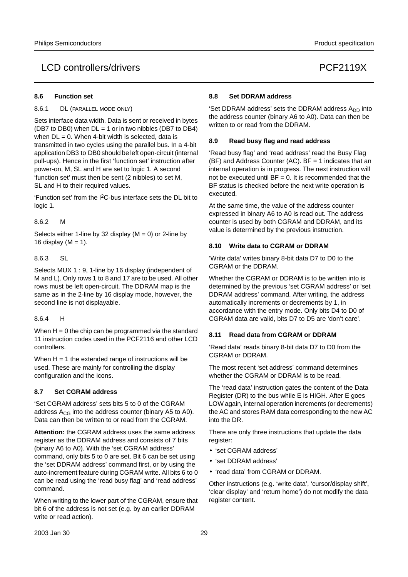#### **8.6 Function set**

8.6.1 DL (PARALLEL MODE ONLY)

Sets interface data width. Data is sent or received in bytes (DB7 to DB0) when  $DL = 1$  or in two nibbles (DB7 to DB4) when  $DL = 0$ . When 4-bit width is selected, data is transmitted in two cycles using the parallel bus. In a 4-bit application DB3 to DB0 should be left open-circuit (internal pull-ups). Hence in the first 'function set' instruction after power-on, M, SL and H are set to logic 1. A second 'function set' must then be sent (2 nibbles) to set M, SL and H to their required values.

'Function set' from the I2C-bus interface sets the DL bit to logic 1.

#### 8.6.2 M

Selects either 1-line by 32 display ( $M = 0$ ) or 2-line by 16 display ( $M = 1$ ).

#### 8.6.3 SL

Selects MUX 1 : 9, 1-line by 16 display (independent of M and L). Only rows 1 to 8 and 17 are to be used. All other rows must be left open-circuit. The DDRAM map is the same as in the 2-line by 16 display mode, however, the second line is not displayable.

#### 8.6.4 H

When  $H = 0$  the chip can be programmed via the standard 11 instruction codes used in the PCF2116 and other LCD controllers.

When  $H = 1$  the extended range of instructions will be used. These are mainly for controlling the display configuration and the icons.

#### **8.7 Set CGRAM address**

'Set CGRAM address' sets bits 5 to 0 of the CGRAM address  $A_{CG}$  into the address counter (binary A5 to A0). Data can then be written to or read from the CGRAM.

**Attention:** the CGRAM address uses the same address register as the DDRAM address and consists of 7 bits (binary A6 to A0). With the 'set CGRAM address' command, only bits 5 to 0 are set. Bit 6 can be set using the 'set DDRAM address' command first, or by using the auto-increment feature during CGRAM write. All bits 6 to 0 can be read using the 'read busy flag' and 'read address' command.

When writing to the lower part of the CGRAM, ensure that bit 6 of the address is not set (e.g. by an earlier DDRAM write or read action).

#### **8.8 Set DDRAM address**

'Set DDRAM address' sets the DDRAM address A<sub>DD</sub> into the address counter (binary A6 to A0). Data can then be written to or read from the DDRAM.

#### **8.9 Read busy flag and read address**

'Read busy flag' and 'read address' read the Busy Flag (BF) and Address Counter (AC). BF = 1 indicates that an internal operation is in progress. The next instruction will not be executed until  $BF = 0$ . It is recommended that the BF status is checked before the next write operation is executed.

At the same time, the value of the address counter expressed in binary A6 to A0 is read out. The address counter is used by both CGRAM and DDRAM, and its value is determined by the previous instruction.

#### **8.10 Write data to CGRAM or DDRAM**

'Write data' writes binary 8-bit data D7 to D0 to the CGRAM or the DDRAM.

Whether the CGRAM or DDRAM is to be written into is determined by the previous 'set CGRAM address' or 'set DDRAM address' command. After writing, the address automatically increments or decrements by 1, in accordance with the entry mode. Only bits D4 to D0 of CGRAM data are valid, bits D7 to D5 are 'don't care'.

#### **8.11 Read data from CGRAM or DDRAM**

'Read data' reads binary 8-bit data D7 to D0 from the CGRAM or DDRAM.

The most recent 'set address' command determines whether the CGRAM or DDRAM is to be read.

The 'read data' instruction gates the content of the Data Register (DR) to the bus while E is HIGH. After E goes LOW again, internal operation increments (or decrements) the AC and stores RAM data corresponding to the new AC into the DR.

There are only three instructions that update the data register:

- 'set CGRAM address'
- 'set DDRAM address'
- 'read data' from CGRAM or DDRAM.

Other instructions (e.g. 'write data', 'cursor/display shift', 'clear display' and 'return home') do not modify the data register content.

2003 Jan 30 29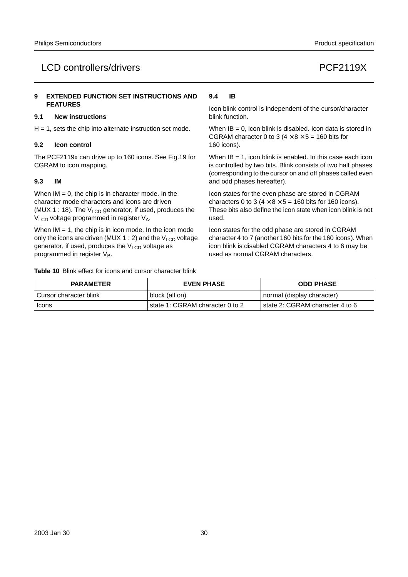#### **9 EXTENDED FUNCTION SET INSTRUCTIONS AND FEATURES**

#### **9.1 New instructions**

 $H = 1$ , sets the chip into alternate instruction set mode.

#### **9.2 Icon control**

The PCF2119x can drive up to 160 icons. See Fig.19 for CGRAM to icon mapping.

#### **9.3 IM**

When  $IM = 0$ , the chip is in character mode. In the character mode characters and icons are driven (MUX 1 : 18). The  $V_{LCD}$  generator, if used, produces the V<sub>LCD</sub> voltage programmed in register V<sub>A</sub>.

When  $IM = 1$ , the chip is in icon mode. In the icon mode only the icons are driven (MUX 1 : 2) and the  $V_{\text{LCD}}$  voltage generator, if used, produces the  $V<sub>LCD</sub>$  voltage as programmed in register  $V_B$ .

**Table 10** Blink effect for icons and cursor character blink

#### **9.4 IB**

Icon blink control is independent of the cursor/character blink function.

When  $IB = 0$ , icon blink is disabled. Icon data is stored in CGRAM character 0 to 3 ( $4 \times 8 \times 5 = 160$  bits for 160 icons).

When  $IB = 1$ , icon blink is enabled. In this case each icon is controlled by two bits. Blink consists of two half phases (corresponding to the cursor on and off phases called even and odd phases hereafter).

Icon states for the even phase are stored in CGRAM characters 0 to 3 ( $4 \times 8 \times 5 = 160$  bits for 160 icons). These bits also define the icon state when icon blink is not used.

Icon states for the odd phase are stored in CGRAM character 4 to 7 (another 160 bits for the 160 icons). When icon blink is disabled CGRAM characters 4 to 6 may be used as normal CGRAM characters.

| <b>PARAMETER</b>       | <b>EVEN PHASE</b>               | <b>ODD PHASE</b>                |  |  |
|------------------------|---------------------------------|---------------------------------|--|--|
| Cursor character blink | block (all on)                  | normal (display character)      |  |  |
| Icons                  | state 1: CGRAM character 0 to 2 | state 2: CGRAM character 4 to 6 |  |  |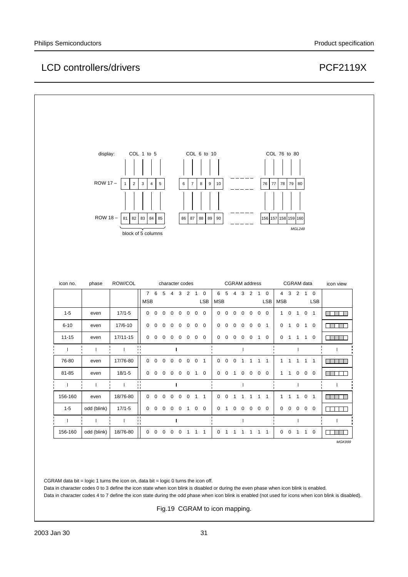|           | display:                                                                                                                                               |                    | COL 1 to 5 |                          |  |                    |            |                 |                 |            |            |                     |                      |                   |             |                            |              |            |                 |            |                            |
|-----------|--------------------------------------------------------------------------------------------------------------------------------------------------------|--------------------|------------|--------------------------|--|--------------------|------------|-----------------|-----------------|------------|------------|---------------------|----------------------|-------------------|-------------|----------------------------|--------------|------------|-----------------|------------|----------------------------|
|           |                                                                                                                                                        |                    |            |                          |  |                    |            |                 |                 |            |            |                     |                      |                   |             |                            |              |            |                 |            |                            |
|           |                                                                                                                                                        |                    |            |                          |  |                    |            |                 | COL 6 to 10     |            |            |                     |                      |                   |             |                            | COL 76 to 80 |            |                 |            |                            |
|           |                                                                                                                                                        |                    |            |                          |  |                    |            |                 |                 |            |            |                     |                      |                   |             |                            |              |            |                 |            |                            |
|           | ROW 17-<br>$\mathbf 2$<br>$\mathbf{1}$<br>3<br>$\overline{4}$<br>5<br>6<br>$\overline{7}$<br>8<br>$\boldsymbol{9}$<br>76<br>77<br>78<br>79<br>10<br>80 |                    |            |                          |  |                    |            |                 |                 |            |            |                     |                      |                   |             |                            |              |            |                 |            |                            |
|           |                                                                                                                                                        |                    |            |                          |  |                    |            |                 |                 |            |            |                     |                      |                   |             |                            |              |            |                 |            |                            |
|           | ROW 18-<br>82 83 84<br>85<br>156 157 158 159 160                                                                                                       |                    |            |                          |  |                    |            |                 |                 |            |            |                     |                      |                   |             |                            |              |            |                 |            |                            |
|           |                                                                                                                                                        | 81                 |            |                          |  |                    | 86         | 87              | 88              | 89         | 90         |                     |                      |                   |             |                            |              |            | MGL249          |            |                            |
|           |                                                                                                                                                        | block of 5 columns |            |                          |  |                    |            |                 |                 |            |            |                     |                      |                   |             |                            |              |            |                 |            |                            |
|           |                                                                                                                                                        |                    |            |                          |  |                    |            |                 |                 |            |            |                     |                      |                   |             |                            |              |            |                 |            |                            |
|           |                                                                                                                                                        |                    |            |                          |  |                    |            |                 |                 |            |            |                     |                      |                   |             |                            |              |            |                 |            |                            |
|           |                                                                                                                                                        |                    |            |                          |  |                    |            |                 |                 |            |            |                     |                      |                   |             |                            |              |            |                 |            |                            |
|           |                                                                                                                                                        |                    |            |                          |  |                    |            |                 |                 |            |            |                     |                      |                   |             |                            |              |            |                 |            |                            |
| icon no.  | phase                                                                                                                                                  | ROW/COL            |            |                          |  |                    |            | character codes |                 |            |            |                     | <b>CGRAM</b> address |                   |             |                            |              |            | CGRAM data      |            | icon view                  |
|           |                                                                                                                                                        |                    | <b>MSB</b> |                          |  |                    |            |                 | 7 6 5 4 3 2 1 0 | <b>LSB</b> | <b>MSB</b> |                     |                      |                   |             | 6 5 4 3 2 1 0              | <b>LSB</b>   | <b>MSB</b> | 4 3 2 1 0       | <b>LSB</b> |                            |
| $1 - 5$   | even                                                                                                                                                   | $17/1 - 5$         |            | $0\ 0\ 0\ 0$             |  |                    |            | $0\quad 0$      | $0\quad 0$      |            |            | $0\quad 0\quad 0$   |                      |                   |             | $0\quad 0\quad 0\quad 0$   |              |            | 1 0 1 0 1       |            | a di kacamatan Ing         |
| $6 - 10$  | even                                                                                                                                                   | 17/6-10            |            | $0\quad 0\quad 0\quad 0$ |  |                    | $0\quad 0$ |                 | $0\quad 0$      |            | $0\quad 0$ |                     | $\mathbf 0$          | $0\quad 0\quad 0$ |             | $\overline{1}$             |              |            | 0 1 0 1 0       |            | mm m                       |
| $11 - 15$ | even                                                                                                                                                   | 17/11-15           |            |                          |  |                    |            |                 | 0 0 0 0 0 0 0 0 |            |            | $0\quad 0\quad 0$   |                      |                   |             | 0 0 1 0                    |              |            | 0 1 1 1 0       |            | <u> El segundo de la p</u> |
| $\pm 1$   | $\mathbf{I}$                                                                                                                                           | $\mathbb{R}^n$     | ₩          |                          |  | $\mathbf{I}$       |            |                 |                 |            |            |                     |                      | $\mathbf{I}$      |             |                            |              |            | $\mathbf{I}$    |            | $\mathbf{I}$               |
| 76-80     | even                                                                                                                                                   | 17/76-80           |            |                          |  | $0\ 0\ 0\ 0\ 0\ 0$ |            |                 | 0 <sub>1</sub>  |            |            | $0\quad 0\quad 0$   |                      | $\overline{1}$    | $1 \quad 1$ | $\overline{\phantom{0}}$ 1 |              |            | 1 1 1 1 1       |            | <b>THE LEADER</b>          |
| 81-85     | even                                                                                                                                                   | $18/1 - 5$         |            |                          |  |                    |            |                 | 0 0 0 0 0 0 1 0 |            |            |                     |                      |                   |             | 0 0 1 0 0 0 0              |              |            | 1 1 0 0 0       |            | <b>HILLER</b>              |
| $-1$      | $\Box$                                                                                                                                                 | <b>College</b>     | Ħ          |                          |  | $\perp$            |            |                 |                 |            |            |                     |                      | $\mathbf{I}$      |             |                            |              |            | $\mathbf{I}$    |            | $\Box$                     |
| 156-160   | even                                                                                                                                                   | 18/76-80           |            |                          |  |                    |            |                 | 0 0 0 0 0 0 1 1 |            |            | $0 \quad 0 \quad 1$ |                      |                   |             | 1 1 1 1                    |              |            | 1 1 1 0 1       |            | an a                       |
| $1 - 5$   | odd (blink)                                                                                                                                            | $17/1 - 5$         |            |                          |  |                    |            |                 | 0 0 0 0 0 1 0 0 |            |            |                     |                      |                   |             | 0 1 0 0 0 0 0              |              |            | $0\ 0\ 0\ 0\ 0$ |            | <u> Liberal Ser</u>        |

CGRAM data bit = logic 1 turns the icon on, data bit = logic 0 turns the icon off.

Data in character codes 0 to 3 define the icon state when icon blink is disabled or during the even phase when icon blink is enabled.

Data in character codes 4 to 7 define the icon state during the odd phase when icon blink is enabled (not used for icons when icon blink is disabled).

Fig.19 CGRAM to icon mapping.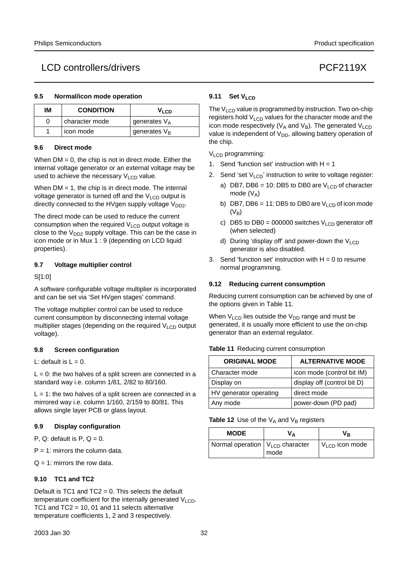#### **9.5 Normal/icon mode operation**

| ΙM | <b>CONDITION</b> | V <sub>LCD</sub> |
|----|------------------|------------------|
|    | character mode   | generates $V_A$  |
|    | icon mode        | generates $V_B$  |

#### **9.6 Direct mode**

When  $DM = 0$ , the chip is not in direct mode. Either the internal voltage generator or an external voltage may be used to achieve the necessary  $V<sub>LCD</sub>$  value.

When  $DM = 1$ , the chip is in direct mode. The internal voltage generator is turned off and the  $V<sub>LCD</sub>$  output is directly connected to the HVgen supply voltage  $V_{DD2}$ .

The direct mode can be used to reduce the current consumption when the required  $V_{\text{LOD}}$  output voltage is close to the  $V_{DD2}$  supply voltage. This can be the case in icon mode or in Mux 1 : 9 (depending on LCD liquid properties).

#### **9.7 Voltage multiplier control**

#### S[1:0]

A software configurable voltage multiplier is incorporated and can be set via 'Set HVgen stages' command.

The voltage multiplier control can be used to reduce current consumption by disconnecting internal voltage multiplier stages (depending on the required V<sub>LCD</sub> output voltage).

#### **9.8 Screen configuration**

L: default is  $L = 0$ .

 $L = 0$ : the two halves of a split screen are connected in a standard way i.e. column 1/81, 2/82 to 80/160.

 $L = 1$ : the two halves of a split screen are connected in a mirrored way i.e. column 1/160, 2/159 to 80/81. This allows single layer PCB or glass layout.

#### **9.9 Display configuration**

P,  $Q$ : default is  $P$ ,  $Q = 0$ .

 $P = 1$ : mirrors the column data.

 $Q = 1$ : mirrors the row data.

#### **9.10 TC1 and TC2**

Default is TC1 and TC2 = 0. This selects the default temperature coefficient for the internally generated  $V_{\text{LO}}$ . TC1 and TC2 = 10, 01 and 11 selects alternative temperature coefficients 1, 2 and 3 respectively.

#### **9.11 Set VLCD**

The  $V_{\text{LOD}}$  value is programmed by instruction. Two on-chip registers hold  $V_{LCD}$  values for the character mode and the icon mode respectively ( $V_A$  and  $V_B$ ). The generated  $V_{LCD}$ value is independent of  $V_{DD}$ , allowing battery operation of the chip.

#### $V<sub>LCD</sub>$  programming:

- 1. Send 'function set' instruction with  $H = 1$
- 2. Send 'set  $V<sub>LCD</sub>$ ' instruction to write to voltage register:
	- a) DB7, DB6 = 10: DB5 to DB0 are  $V_{LCD}$  of character mode  $(V_A)$
	- b) DB7, DB6 = 11: DB5 to DB0 are  $V_{\text{LOD}}$  of icon mode  $(V_B)$
	- c) DB5 to DB0 = 000000 switches  $V_{\text{LOD}}$  generator off (when selected)
	- d) During 'display off' and power-down the  $V<sub>LCD</sub>$ generator is also disabled.
- 3. Send 'function set' instruction with  $H = 0$  to resume normal programming.

#### **9.12 Reducing current consumption**

Reducing current consumption can be achieved by one of the options given in Table 11.

When  $V_{LCD}$  lies outside the  $V_{DD}$  range and must be generated, it is usually more efficient to use the on-chip generator than an external regulator.

#### **Table 11** Reducing current consumption

| <b>ORIGINAL MODE</b>   | <b>ALTERNATIVE MODE</b>     |
|------------------------|-----------------------------|
| l Character mode       | icon mode (control bit IM)  |
| Display on             | display off (control bit D) |
| HV generator operating | direct mode                 |
| Any mode               | power-down (PD pad)         |

#### **Table 12** Use of the  $V_A$  and  $V_B$  registers

| <b>MODE</b>                           |      | Vв                         |
|---------------------------------------|------|----------------------------|
| Normal operation $ V_{LCD}$ character | mode | V <sub>LCD</sub> icon mode |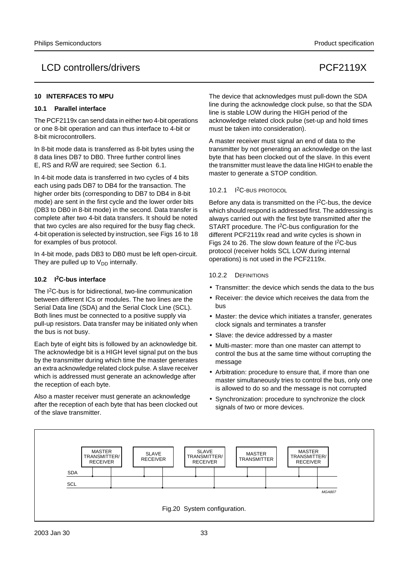#### LCD controllers/drivers extending the controllers of the controllers of the controllers of the controllers of the control of the control of the control of the control of the control of the control of the control of the con

#### **10 INTERFACES TO MPU**

#### **10.1 Parallel interface**

The PCF2119x can send data in either two 4-bit operations or one 8-bit operation and can thus interface to 4-bit or 8-bit microcontrollers.

In 8-bit mode data is transferred as 8-bit bytes using the 8 data lines DB7 to DB0. Three further control lines E, RS and  $R/\overline{W}$  are required; see Section 6.1.

In 4-bit mode data is transferred in two cycles of 4 bits each using pads DB7 to DB4 for the transaction. The higher order bits (corresponding to DB7 to DB4 in 8-bit mode) are sent in the first cycle and the lower order bits (DB3 to DB0 in 8-bit mode) in the second. Data transfer is complete after two 4-bit data transfers. It should be noted that two cycles are also required for the busy flag check. 4-bit operation is selected by instruction, see Figs 16 to 18 for examples of bus protocol.

In 4-bit mode, pads DB3 to DB0 must be left open-circuit. They are pulled up to  $V_{DD}$  internally.

#### **10.2 I2C-bus interface**

The I2C-bus is for bidirectional, two-line communication between different ICs or modules. The two lines are the Serial Data line (SDA) and the Serial Clock Line (SCL). Both lines must be connected to a positive supply via pull-up resistors. Data transfer may be initiated only when the bus is not busy.

Each byte of eight bits is followed by an acknowledge bit. The acknowledge bit is a HIGH level signal put on the bus by the transmitter during which time the master generates an extra acknowledge related clock pulse. A slave receiver which is addressed must generate an acknowledge after the reception of each byte.

Also a master receiver must generate an acknowledge after the reception of each byte that has been clocked out of the slave transmitter.

The device that acknowledges must pull-down the SDA line during the acknowledge clock pulse, so that the SDA line is stable LOW during the HIGH period of the acknowledge related clock pulse (set-up and hold times must be taken into consideration).

A master receiver must signal an end of data to the transmitter by not generating an acknowledge on the last byte that has been clocked out of the slave. In this event the transmitter must leave the data line HIGH to enable the master to generate a STOP condition.

#### 10.2.1 I2C-BUS PROTOCOL

Before any data is transmitted on the I2C-bus, the device which should respond is addressed first. The addressing is always carried out with the first byte transmitted after the START procedure. The I2C-bus configuration for the different PCF2119x read and write cycles is shown in Figs 24 to 26. The slow down feature of the I2C-bus protocol (receiver holds SCL LOW during internal operations) is not used in the PCF2119x.

#### 10.2.2 DEFINITIONS

- Transmitter: the device which sends the data to the bus
- Receiver: the device which receives the data from the bus
- Master: the device which initiates a transfer, generates clock signals and terminates a transfer
- Slave: the device addressed by a master
- Multi-master: more than one master can attempt to control the bus at the same time without corrupting the message
- Arbitration: procedure to ensure that, if more than one master simultaneously tries to control the bus, only one is allowed to do so and the message is not corrupted
- Synchronization: procedure to synchronize the clock signals of two or more devices.

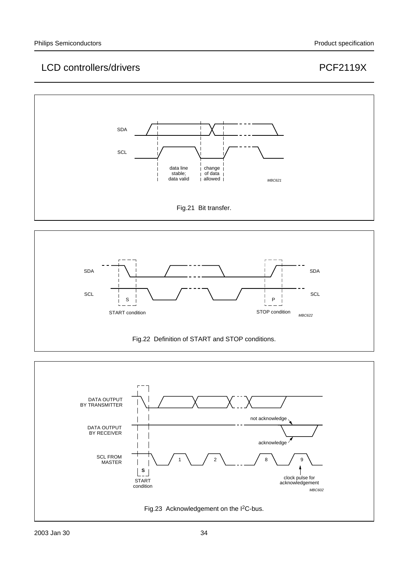



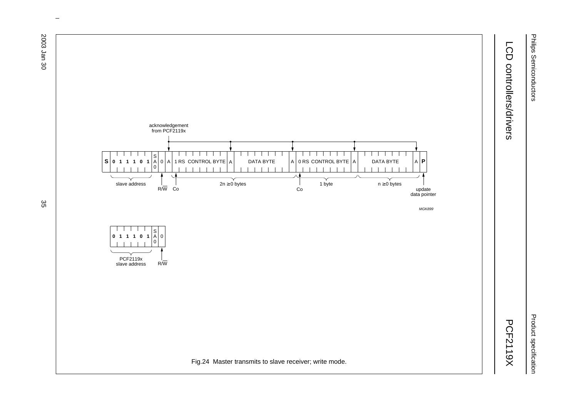Philips Semiconductors Philips Semiconductors

Product specification Product specification

# LCD controllers/drivers LCD controllers/drivers and the controllers/drivers and controllers/drivers and controllers/drivers and controllers/drivers and controllers/drivers and controllers/drivers and controllers/drivers and controllers/drivers an

**PCF2119X** 



 $\omega$  rotated correctly when browsing through the pdf in the Acrobat reader.This text is here in the pdf in the  $\alpha$ 

ಜ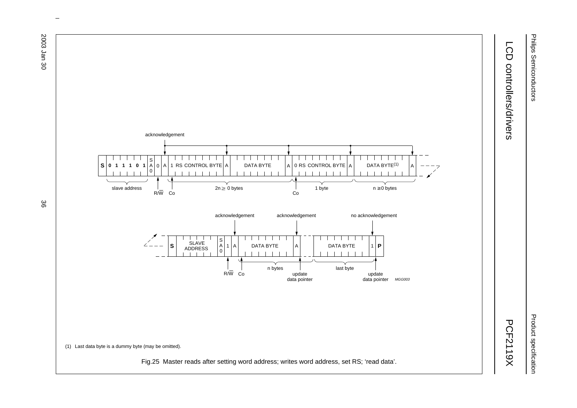



# LCD controllers/drivers LCD controllers/drivers and the controllers/drivers and controllers/drivers and controllers/drivers and controllers/drivers and controllers/drivers and controllers/drivers and controllers/drivers and controllers/drivers an

**PCF2119X** 



 $\omega$  rotated correctly when browsing through the pdf in the Acrobat reader.This text is here in the pdf in the  $\alpha$ 

မ္တ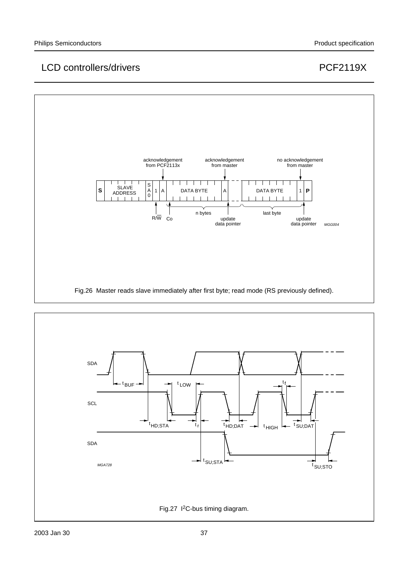



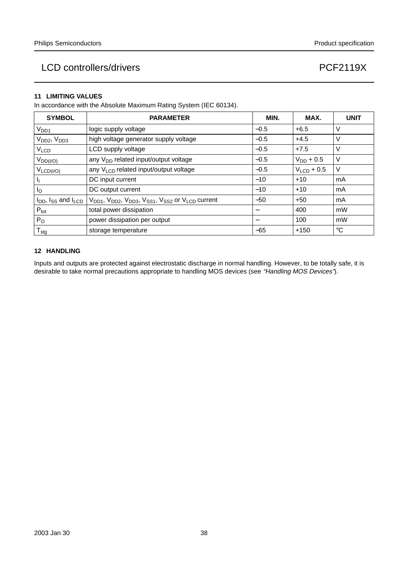#### **11 LIMITING VALUES**

In accordance with the Absolute Maximum Rating System (IEC 60134).

| <b>SYMBOL</b>                       | <b>PARAMETER</b>                                                                                                         | MIN.   | MAX.            | <b>UNIT</b> |
|-------------------------------------|--------------------------------------------------------------------------------------------------------------------------|--------|-----------------|-------------|
| V <sub>DD1</sub>                    | logic supply voltage                                                                                                     | $-0.5$ | $+6.5$          | V           |
| V <sub>DD2</sub> , V <sub>DD3</sub> | high voltage generator supply voltage                                                                                    | $-0.5$ | $+4.5$          | V           |
| V <sub>LCD</sub>                    | LCD supply voltage                                                                                                       | $-0.5$ | $+7.5$          | V           |
| $V_{DD( I/O)}$                      | any $V_{DD}$ related input/output voltage                                                                                | $-0.5$ | $V_{DD}$ + 0.5  | V           |
| $V_{LCD( I/O)}$                     | any V <sub>LCD</sub> related input/output voltage                                                                        | $-0.5$ | $V_{LCD} + 0.5$ | V           |
| ı,                                  | DC input current                                                                                                         | $-10$  | $+10$           | mA          |
| Ιo                                  | DC output current                                                                                                        | $-10$  | $+10$           | mA          |
| $I_{DD}$ , $I_{SS}$ and $I_{LCD}$   | V <sub>DD1</sub> , V <sub>DD2</sub> , V <sub>DD3</sub> , V <sub>SS1</sub> , V <sub>SS2</sub> or V <sub>LCD</sub> current | $-50$  | $+50$           | mA          |
| $P_{\text{tot}}$                    | total power dissipation                                                                                                  |        | 400             | mW          |
| $P_{O}$                             | power dissipation per output                                                                                             |        | 100             | mW          |
| $T_{\text{stg}}$                    | storage temperature                                                                                                      | $-65$  | $+150$          | $^{\circ}C$ |

#### **12 HANDLING**

Inputs and outputs are protected against electrostatic discharge in normal handling. However, to be totally safe, it is desirable to take normal precautions appropriate to handling MOS devices (see "Handling MOS Devices").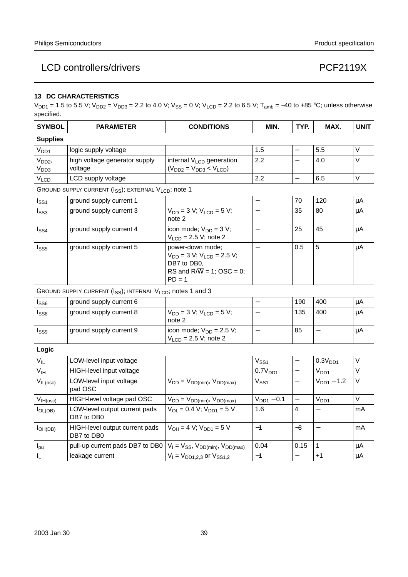#### **13 DC CHARACTERISTICS**

 $V_{DD1}$  = 1.5 to 5.5 V;  $V_{DD2}$  =  $V_{DD3}$  = 2.2 to 4.0 V;  $V_{SS}$  = 0 V;  $V_{LCD}$  = 2.2 to 6.5 V; T<sub>amb</sub> = −40 to +85 °C; unless otherwise specified.

| <b>SYMBOL</b>                        | <b>PARAMETER</b>                                                                    | <b>CONDITIONS</b>                                                                                                            | MIN.                     | TYP.                     | MAX.                     | <b>UNIT</b> |
|--------------------------------------|-------------------------------------------------------------------------------------|------------------------------------------------------------------------------------------------------------------------------|--------------------------|--------------------------|--------------------------|-------------|
| <b>Supplies</b>                      |                                                                                     |                                                                                                                              |                          |                          |                          |             |
| V <sub>DD1</sub>                     | logic supply voltage                                                                |                                                                                                                              | 1.5                      | $\overline{\phantom{0}}$ | 5.5                      | V           |
| V <sub>DD2</sub><br>V <sub>DD3</sub> | high voltage generator supply<br>voltage                                            | internal V <sub>LCD</sub> generation<br>$(VDD2 = VDD3 < VLCD)$                                                               | 2.2                      |                          | 4.0                      | $\vee$      |
| V <sub>LCD</sub>                     | LCD supply voltage                                                                  |                                                                                                                              | 2.2                      | $\overline{a}$           | 6.5                      | V           |
|                                      | GROUND SUPPLY CURRENT (I <sub>SS</sub> ); EXTERNAL V <sub>LCD</sub> ; note 1        |                                                                                                                              |                          |                          |                          |             |
| $I_{SS1}$                            | ground supply current 1                                                             |                                                                                                                              |                          | 70                       | 120                      | μA          |
| $I_{SS3}$                            | ground supply current 3                                                             | $V_{DD} = 3 V$ ; $V_{LCD} = 5 V$ ;<br>note 2                                                                                 | $\overline{a}$           | 35                       | 80                       | μA          |
| $I_{SS4}$                            | ground supply current 4                                                             | icon mode; $V_{DD} = 3 V$ ;<br>$VLCD = 2.5 V$ ; note 2                                                                       | $\equiv$                 | 25                       | 45                       | μA          |
| $I_{SS5}$                            | ground supply current 5                                                             | power-down mode;<br>$V_{DD} = 3 V$ ; $V_{LCD} = 2.5 V$ ;<br>DB7 to DB0,<br>RS and $R/\overline{W}$ = 1; OSC = 0;<br>$PD = 1$ |                          | 0.5                      | 5                        | μA          |
|                                      | GROUND SUPPLY CURRENT (I <sub>SS</sub> ); INTERNAL V <sub>LCD</sub> ; notes 1 and 3 |                                                                                                                              |                          |                          |                          |             |
| $I_{SS6}$                            | ground supply current 6                                                             |                                                                                                                              | $\equiv$                 | 190                      | 400                      | μA          |
| I <sub>SS8</sub>                     | ground supply current 8                                                             | $V_{DD} = 3 V$ ; $V_{LCD} = 5 V$ ;<br>note 2                                                                                 | $\overline{\phantom{0}}$ | 135                      | 400                      | μA          |
| l <sub>SS9</sub>                     | ground supply current 9                                                             | icon mode; $V_{DD} = 2.5 V$ ;<br>$VLCD = 2.5 V; note 2$                                                                      | $\overline{\phantom{0}}$ | 85                       | $\qquad \qquad -$        | μA          |
| Logic                                |                                                                                     |                                                                                                                              |                          |                          |                          |             |
| $V_{IL}$                             | LOW-level input voltage                                                             |                                                                                                                              | $V_{SS1}$                |                          | 0.3V <sub>DD1</sub>      | $\vee$      |
| $V_{\text{IH}}$                      | HIGH-level input voltage                                                            |                                                                                                                              | 0.7V <sub>DD1</sub>      |                          | V <sub>DD1</sub>         | $\vee$      |
| $V_{IL(osc)}$                        | LOW-level input voltage<br>pad OSC                                                  | $V_{DD} = V_{DD(min)}$ , $V_{DD(max)}$                                                                                       | $V_{SS1}$                | $\equiv$                 | $V_{DD1} - 1.2$          | V           |
| $V_{IH(osc)}$                        | HIGH-level voltage pad OSC                                                          | $V_{DD} = V_{DD(min)}$ , $V_{DD(max)}$                                                                                       | $V_{DD1} - 0.1$          | $\overline{\phantom{0}}$ | V <sub>DD1</sub>         | $\vee$      |
| $I_{OL(DB)}$                         | LOW-level output current pads<br>DB7 to DB0                                         | $V_{OL} = 0.4 V$ ; $V_{DD1} = 5 V$                                                                                           | 1.6                      | 4                        |                          | mA          |
| I <sub>OH(DB)</sub>                  | HIGH-level output current pads<br>DB7 to DB0                                        | $V_{OH} = 4 V$ ; $V_{DD1} = 5 V$                                                                                             | $-1$                     | $-8$                     | $\overline{\phantom{0}}$ | mA          |
| $I_{\text{pu}}$                      | pull-up current pads DB7 to DB0                                                     | $V_1 = V_{SS}$ , $V_{DD(min)}$ , $V_{DD(max)}$                                                                               | 0.04                     | 0.15                     | 1                        | μA          |
| I <sub>L</sub>                       | leakage current                                                                     | $V_1 = V_{DD1,2,3}$ or $V_{SS1,2}$                                                                                           | $-1$                     | $\overline{\phantom{0}}$ | $+1$                     | μA          |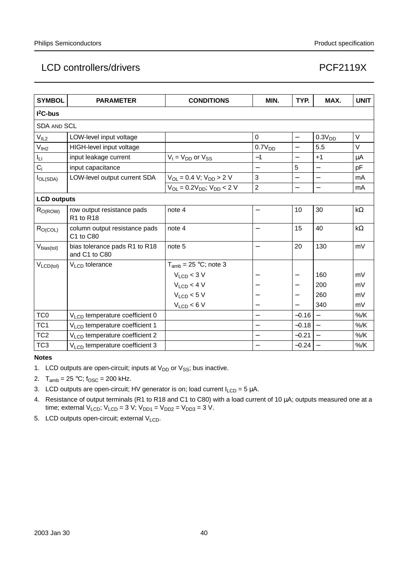| <b>SYMBOL</b>       | <b>PARAMETER</b>                               | <b>CONDITIONS</b>                     | MIN.                     | TYP.                     | MAX.               | <b>UNIT</b> |
|---------------------|------------------------------------------------|---------------------------------------|--------------------------|--------------------------|--------------------|-------------|
| $I2C-bus$           |                                                |                                       |                          |                          |                    |             |
| <b>SDA AND SCL</b>  |                                                |                                       |                          |                          |                    |             |
| V <sub>IL2</sub>    | LOW-level input voltage                        |                                       | $\mathbf 0$              | $\equiv$                 | 0.3V <sub>DD</sub> | V           |
| V <sub>IH2</sub>    | HIGH-level input voltage                       |                                       | 0.7V <sub>DD</sub>       | $\overline{\phantom{0}}$ | 5.5                | V           |
| Iц                  | input leakage current                          | $V_1 = V_{DD}$ or $V_{SS}$            | $-1$                     | —                        | $+1$               | μA          |
| $C_i$               | input capacitance                              |                                       |                          | 5                        | $\equiv$           | pF          |
| $I_{OL(SDA)}$       | LOW-level output current SDA                   | $V_{OL} = 0.4 V$ ; $V_{DD} > 2 V$     | 3                        | $\equiv$                 | $\equiv$           | mA          |
|                     |                                                | $V_{OL} = 0.2V_{DD}$ ; $V_{DD} < 2 V$ | $\overline{2}$           | $\overline{\phantom{0}}$ | $\equiv$           | mA          |
| <b>LCD outputs</b>  |                                                |                                       |                          |                          |                    |             |
| R <sub>O(ROW)</sub> | row output resistance pads<br>R1 to R18        | note 4                                | $\overline{\phantom{0}}$ | 10                       | 30                 | kΩ          |
| R <sub>O(COL)</sub> | column output resistance pads<br>C1 to C80     | note 4                                |                          | 15                       | 40                 | kΩ          |
| $V_{bias(to)}$      | bias tolerance pads R1 to R18<br>and C1 to C80 | note 5                                | $\overline{\phantom{0}}$ | 20                       | 130                | mV          |
| $V_{LCD(tol)}$      | $VLCD$ tolerance                               | $T_{amb}$ = 25 °C; note 3             |                          |                          |                    |             |
|                     |                                                | $V_{LCD}$ < 3 V                       |                          |                          | 160                | mV          |
|                     |                                                | $V_{LCD}$ < 4 V                       |                          | —                        | 200                | mV          |
|                     |                                                | $V_{LCD}$ < 5 V                       |                          | $\qquad \qquad -$        | 260                | mV          |
|                     |                                                | $V_{LCD}$ < 6 V                       | $\overline{\phantom{0}}$ | $\overline{\phantom{0}}$ | 340                | mV          |
| TC <sub>0</sub>     | V <sub>LCD</sub> temperature coefficient 0     |                                       |                          | $-0.16$                  | $\equiv$           | $%$ /K      |
| TC <sub>1</sub>     | V <sub>LCD</sub> temperature coefficient 1     |                                       |                          | $-0.18$                  |                    | $%$ /K      |
| TC <sub>2</sub>     | $V_{\text{LO}}$ temperature coefficient 2      |                                       |                          | $-0.21$                  |                    | $%$ /K      |
| TC <sub>3</sub>     | V <sub>LCD</sub> temperature coefficient 3     |                                       |                          | $-0.24$                  |                    | $%$ /K      |

#### **Notes**

- 1. LCD outputs are open-circuit; inputs at  $V_{DD}$  or  $V_{SS}$ ; bus inactive.
- 2.  $T_{amb} = 25 °C$ ;  $f_{OSC} = 200$  kHz.
- 3. LCD outputs are open-circuit; HV generator is on; load current  $I_{LCD} = 5 \mu A$ .
- 4. Resistance of output terminals (R1 to R18 and C1 to C80) with a load current of 10 µA; outputs measured one at a time; external  $V_{LCD}$ ;  $V_{LCD} = 3 V$ ;  $V_{DD1} = V_{DD2} = V_{DD3} = 3 V$ .
- 5. LCD outputs open-circuit; external  $V<sub>LCD</sub>$ .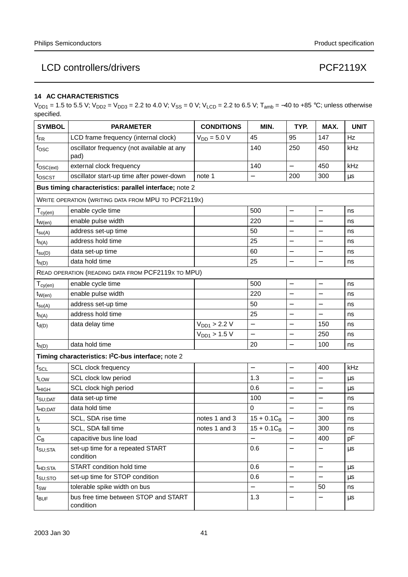#### **14 AC CHARACTERISTICS**

 $V_{DD1}$  = 1.5 to 5.5 V;  $V_{DD2}$  =  $V_{DD3}$  = 2.2 to 4.0 V;  $V_{SS}$  = 0 V;  $V_{LCD}$  = 2.2 to 6.5 V; T<sub>amb</sub> = −40 to +85 °C; unless otherwise specified.

| <b>SYMBOL</b>            | <b>PARAMETER</b>                                               | <b>CONDITIONS</b> | MIN.                     | TYP.                     | MAX.                     | <b>UNIT</b> |
|--------------------------|----------------------------------------------------------------|-------------------|--------------------------|--------------------------|--------------------------|-------------|
| $f_{FR}$                 | LCD frame frequency (internal clock)                           | $V_{DD} = 5.0 V$  | 45                       | 95                       | 147                      | Hz          |
| $f_{\rm OSC}$            | oscillator frequency (not available at any<br>pad)             |                   | 140                      | 250                      | 450                      | kHz         |
| $f_{\rm OSC(ext)}$       | external clock frequency                                       |                   | 140                      | $\overline{\phantom{0}}$ | 450                      | kHz         |
| toscst                   | oscillator start-up time after power-down                      | note 1            | $\overline{\phantom{0}}$ | 200                      | 300                      | μs          |
|                          | Bus timing characteristics: parallel interface; note 2         |                   |                          |                          |                          |             |
|                          | WRITE OPERATION (WRITING DATA FROM MPU TO PCF2119X)            |                   |                          |                          |                          |             |
| $T_{cy(\underline{en})}$ | enable cycle time                                              |                   | 500                      | $\overline{\phantom{0}}$ | $\overline{\phantom{0}}$ | ns          |
| $t_{W(en)}$              | enable pulse width                                             |                   | 220                      |                          |                          | ns          |
| $t_{su(A)}$              | address set-up time                                            |                   | 50                       | $\overline{\phantom{0}}$ |                          | ns          |
| $t_{h(A)}$               | address hold time                                              |                   | 25                       | —                        | $\overline{\phantom{0}}$ | ns          |
| $t_{su(D)}$              | data set-up time                                               |                   | 60                       | —                        |                          | ns          |
| $t_{h(D)}$               | data hold time                                                 |                   | 25                       | $\overline{\phantom{0}}$ | $\qquad \qquad -$        | ns          |
|                          | READ OPERATION (READING DATA FROM PCF2119X TO MPU)             |                   |                          |                          |                          |             |
| $T_{cy(\underline{en})}$ | enable cycle time                                              |                   | 500                      | $\overline{\phantom{0}}$ |                          | ns          |
| $t_{W(en)}$              | enable pulse width                                             |                   | 220                      | —                        | —                        | ns          |
| $t_{\text{su}(A)}$       | address set-up time                                            |                   | 50                       |                          |                          | ns          |
| $t_{h(A)}$               | address hold time                                              |                   | 25                       | $\overline{\phantom{0}}$ |                          | ns          |
| $t_{d(D)}$               | data delay time                                                | $V_{DD1} > 2.2 V$ | $\overline{a}$           |                          | 150                      | ns          |
|                          |                                                                | $V_{DD1} > 1.5 V$ | $\overline{\phantom{0}}$ |                          | 250                      | ns          |
| $t_{h(D)}$               | data hold time                                                 |                   | 20                       | $\overline{\phantom{0}}$ | 100                      | ns          |
|                          | Timing characteristics: I <sup>2</sup> C-bus interface; note 2 |                   |                          |                          |                          |             |
| $f_{\text{SCL}}$         | SCL clock frequency                                            |                   | $\qquad \qquad -$        | $\overline{\phantom{0}}$ | 400                      | kHz         |
| t <sub>LOW</sub>         | SCL clock low period                                           |                   | 1.3                      |                          |                          | μs          |
| t <sub>HIGH</sub>        | SCL clock high period                                          |                   | 0.6                      | —                        |                          | μs          |
| $t_{\text{SU;DAT}}$      | data set-up time                                               |                   | 100                      |                          |                          | ns          |
| t <sub>HD;DAT</sub>      | data hold time                                                 |                   | $\mathbf 0$              | $\overline{\phantom{0}}$ |                          | ns          |
| $\mathsf{t}_\mathsf{r}$  | SCL, SDA rise time                                             | notes 1 and 3     | $15 + 0.1C_B$            | —                        | 300                      | ns          |
| t <sub>f</sub>           | SCL, SDA fall time                                             | notes 1 and 3     | $15 + 0.1C_B$            |                          | 300                      | ns          |
| $C_B$                    | capacitive bus line load                                       |                   | $\overline{\phantom{0}}$ | $\overline{\phantom{0}}$ | 400                      | pF          |
| $t_{\text{SU;STA}}$      | set-up time for a repeated START<br>condition                  |                   | 0.6                      | —                        |                          | μs          |
| t <sub>HD;STA</sub>      | START condition hold time                                      |                   | 0.6                      | $\overline{\phantom{0}}$ | $\overline{\phantom{0}}$ | μs          |
| t <sub>su;sto</sub>      | set-up time for STOP condition                                 |                   | 0.6                      | —                        |                          | μs          |
| $t_{\text{SW}}$          | tolerable spike width on bus                                   |                   | $\qquad \qquad -$        | —                        | 50                       | ns          |
| t <sub>BUF</sub>         | bus free time between STOP and START<br>condition              |                   | 1.3                      |                          |                          | μs          |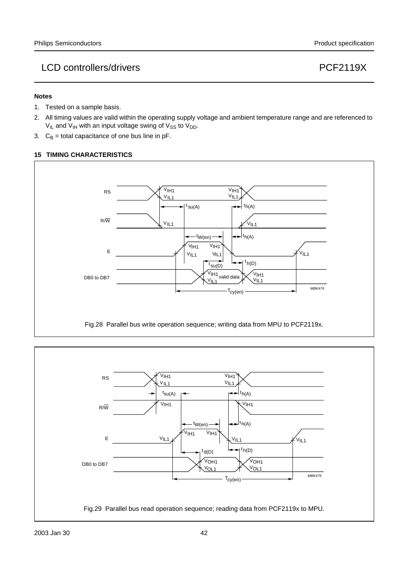#### **Notes**

- 1. Tested on a sample basis.
- 2. All timing values are valid within the operating supply voltage and ambient temperature range and are referenced to  $V_{IL}$  and  $V_{IH}$  with an input voltage swing of  $V_{SS}$  to  $V_{DD}$ .
- 3.  $C_B$  = total capacitance of one bus line in pF.

#### **15 TIMING CHARACTERISTICS**



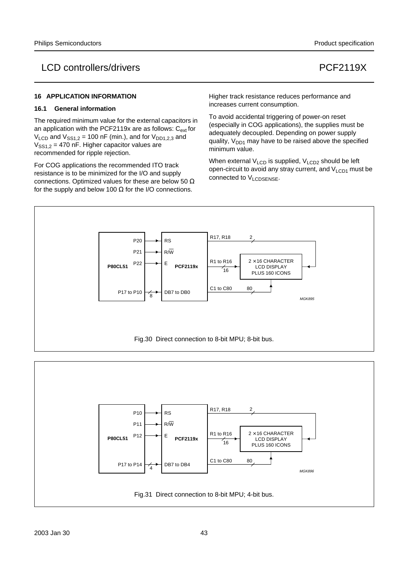#### **16 APPLICATION INFORMATION**

#### **16.1 General information**

The required minimum value for the external capacitors in an application with the PCF2119x are as follows:  $C_{ext}$  for  $V_{LCD}$  and  $V_{SS1,2}$  = 100 nF (min.), and for  $V_{DD1,2,3}$  and  $V<sub>SS1.2</sub> = 470$  nF. Higher capacitor values are recommended for ripple rejection.

For COG applications the recommended ITO track resistance is to be minimized for the I/O and supply connections. Optimized values for these are below 50 Ω for the supply and below 100  $\Omega$  for the I/O connections.

Higher track resistance reduces performance and increases current consumption.

To avoid accidental triggering of power-on reset (especially in COG applications), the supplies must be adequately decoupled. Depending on power supply quality,  $V_{DD1}$  may have to be raised above the specified minimum value.

When external  $V_{\text{LCD}}$  is supplied,  $V_{\text{LCD}}$  should be left open-circuit to avoid any stray current, and  $V<sub>LCD1</sub>$  must be connected to VLCDSENSE.



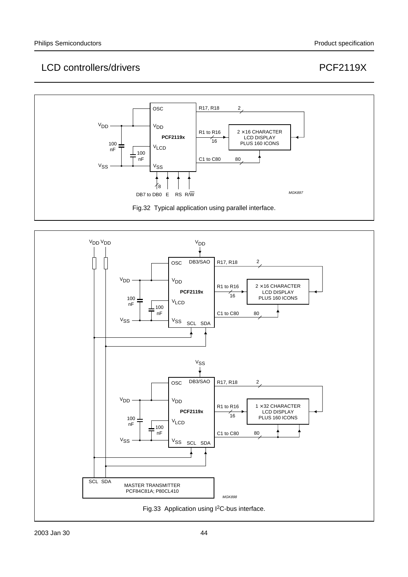# LCD controllers/drivers extending the controllers of the controllers of the controllers of the controllers of the controllers of the control of the control of the control of the control of the control of the control of the



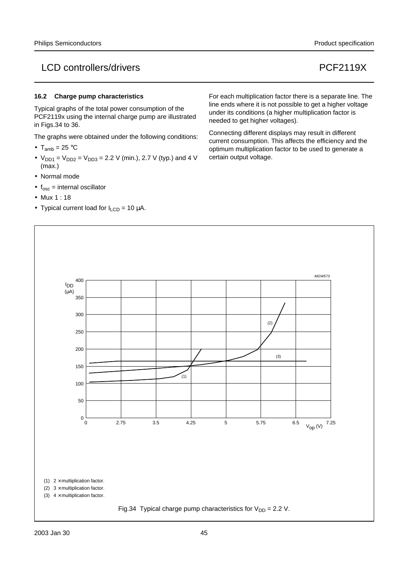#### **16.2 Charge pump characteristics**

Typical graphs of the total power consumption of the PCF2119x using the internal charge pump are illustrated in Figs.34 to 36.

The graphs were obtained under the following conditions:

- $T_{amb} = 25 °C$
- $V_{DD1} = V_{DD2} = V_{DD3} = 2.2$  V (min.), 2.7 V (typ.) and 4 V (max.)
- Normal mode
- $f_{\text{osc}}$  = internal oscillator
- Mux 1 : 18
- Typical current load for  $I_{LCD} = 10 \mu A$ .

For each multiplication factor there is a separate line. The line ends where it is not possible to get a higher voltage under its conditions (a higher multiplication factor is needed to get higher voltages).

Connecting different displays may result in different current consumption. This affects the efficiency and the optimum multiplication factor to be used to generate a certain output voltage.

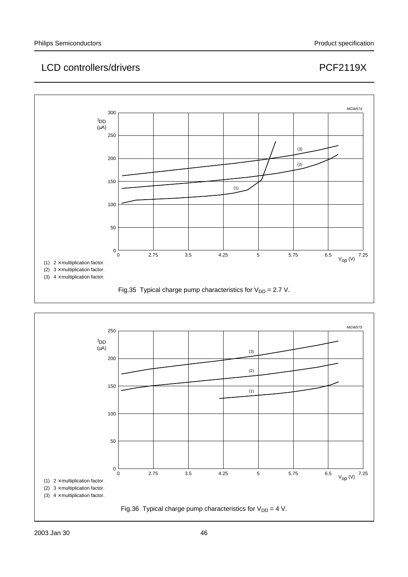

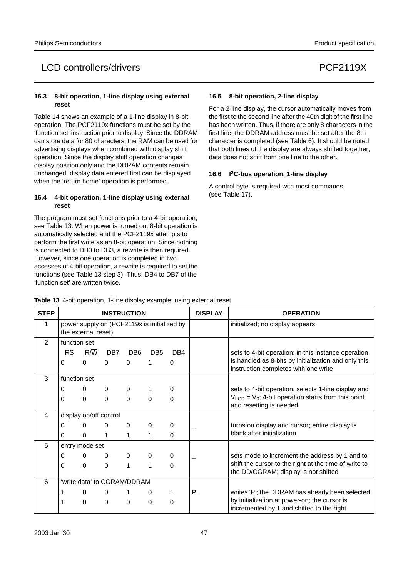#### **16.3 8-bit operation, 1-line display using external reset**

Table 14 shows an example of a 1-line display in 8-bit operation. The PCF2119x functions must be set by the 'function set' instruction prior to display. Since the DDRAM can store data for 80 characters, the RAM can be used for advertising displays when combined with display shift operation. Since the display shift operation changes display position only and the DDRAM contents remain unchanged, display data entered first can be displayed when the 'return home' operation is performed.

#### **16.4 4-bit operation, 1-line display using external reset**

The program must set functions prior to a 4-bit operation, see Table 13. When power is turned on, 8-bit operation is automatically selected and the PCF2119x attempts to perform the first write as an 8-bit operation. Since nothing is connected to DB0 to DB3, a rewrite is then required. However, since one operation is completed in two accesses of 4-bit operation, a rewrite is required to set the functions (see Table 13 step 3). Thus, DB4 to DB7 of the 'function set' are written twice.

#### **16.5 8-bit operation, 2-line display**

For a 2-line display, the cursor automatically moves from the first to the second line after the 40th digit of the first line has been written. Thus, if there are only 8 characters in the first line, the DDRAM address must be set after the 8th character is completed (see Table 6). It should be noted that both lines of the display are always shifted together; data does not shift from one line to the other.

#### **16.6 I2C-bus operation, 1-line display**

A control byte is required with most commands (see Table 17).

| <b>STEP</b>    |              |                                                                    |          | <b>INSTRUCTION</b> |                 |          | <b>DISPLAY</b> | <b>OPERATION</b>                                                                              |
|----------------|--------------|--------------------------------------------------------------------|----------|--------------------|-----------------|----------|----------------|-----------------------------------------------------------------------------------------------|
| 1              |              | power supply on (PCF2119x is initialized by<br>the external reset) |          |                    |                 |          |                | initialized; no display appears                                                               |
| $\mathfrak{p}$ | function set |                                                                    |          |                    |                 |          |                |                                                                                               |
|                | RS           | $R/\overline{W}$                                                   | DB7      | DB <sub>6</sub>    | DB <sub>5</sub> | DB4      |                | sets to 4-bit operation; in this instance operation                                           |
|                | 0            | $\Omega$                                                           | $\Omega$ | $\Omega$           | 1               | $\Omega$ |                | is handled as 8-bits by initialization and only this<br>instruction completes with one write  |
| 3              | function set |                                                                    |          |                    |                 |          |                |                                                                                               |
|                | 0            | 0                                                                  | 0        | $\mathbf 0$        |                 | 0        |                | sets to 4-bit operation, selects 1-line display and                                           |
|                | 0            | $\Omega$                                                           | $\Omega$ | $\Omega$           | $\Omega$        | $\Omega$ |                | $VLCD = V0$ ; 4-bit operation starts from this point<br>and resetting is needed               |
| $\overline{4}$ |              | display on/off control                                             |          |                    |                 |          |                |                                                                                               |
|                | 0            | $\Omega$                                                           | $\Omega$ | $\Omega$           | 0               | 0        |                | turns on display and cursor; entire display is                                                |
|                | 0            | $\Omega$                                                           | 1        | 1                  | 1               | $\Omega$ |                | blank after initialization                                                                    |
| 5              |              | entry mode set                                                     |          |                    |                 |          |                |                                                                                               |
|                | 0            | $\Omega$                                                           | $\Omega$ | $\Omega$           | 0               | $\Omega$ |                | sets mode to increment the address by 1 and to                                                |
|                | 0            | $\Omega$                                                           | $\Omega$ | 1                  | 1               | $\Omega$ |                | shift the cursor to the right at the time of write to<br>the DD/CGRAM; display is not shifted |
| 6              |              | 'write data' to CGRAM/DDRAM                                        |          |                    |                 |          |                |                                                                                               |
|                | 1            | 0                                                                  | 0        |                    | 0               | 1        | $P_{-}$        | writes 'P'; the DDRAM has already been selected                                               |
|                | 1            | $\Omega$                                                           | $\Omega$ | $\Omega$           | $\Omega$        | $\Omega$ |                | by initialization at power-on; the cursor is<br>incremented by 1 and shifted to the right     |

**Table 13** 4-bit operation, 1-line display example; using external reset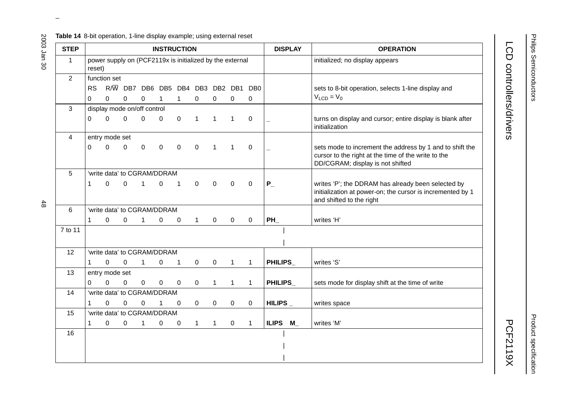#### **Table 14** 8-bit operation, 1-line display example; using external reset

| <b>STEP</b>    |                       |                                                          |                           |                | <b>INSTRUCTION</b>  |              |              |                                            |              |              | <b>DISPLAY</b>           | <b>OPERATION</b>                                                                                                                                    |
|----------------|-----------------------|----------------------------------------------------------|---------------------------|----------------|---------------------|--------------|--------------|--------------------------------------------|--------------|--------------|--------------------------|-----------------------------------------------------------------------------------------------------------------------------------------------------|
| $\mathbf{1}$   | reset)                | power supply on (PCF2119x is initialized by the external |                           |                |                     |              |              |                                            |              |              |                          | initialized; no display appears                                                                                                                     |
| $\overline{2}$ |                       | function set                                             |                           |                |                     |              |              |                                            |              |              |                          |                                                                                                                                                     |
|                | <b>RS</b><br>$\Omega$ | $\Omega$                                                 | $R/\overline{W}$ DB7<br>0 | 0              | $\mathbf 1$         | $\mathbf{1}$ | $\mathbf 0$  | DB6 DB5 DB4 DB3 DB2 DB1 DB0<br>$\mathbf 0$ | $\mathbf 0$  | 0            |                          | sets to 8-bit operation, selects 1-line display and<br>$V_{LCD} = V_0$                                                                              |
| 3              |                       | display mode on/off control                              |                           |                |                     |              |              |                                            |              |              |                          |                                                                                                                                                     |
|                | 0                     | $\mathbf 0$                                              | $\mathbf 0$               | $\Omega$       | 0                   | $\pmb{0}$    | $\mathbf 1$  | $\mathbf{1}$                               | $\mathbf{1}$ | $\mathbf 0$  |                          | turns on display and cursor; entire display is blank after<br>initialization                                                                        |
| $\overline{4}$ |                       | entry mode set                                           |                           |                |                     |              |              |                                            |              |              |                          |                                                                                                                                                     |
|                | $\Omega$              | $\Omega$                                                 | 0                         | $\mathbf 0$    | 0                   | $\pmb{0}$    | $\pmb{0}$    | 1                                          | $\mathbf{1}$ | 0            |                          | sets mode to increment the address by 1 and to shift the<br>cursor to the right at the time of the write to the<br>DD/CGRAM; display is not shifted |
| 5              |                       | 'write data' to CGRAM/DDRAM                              |                           |                |                     |              |              |                                            |              |              |                          |                                                                                                                                                     |
|                | 1                     | $\Omega$                                                 | $\Omega$                  | $\mathbf{1}$   | $\mathbf 0$         | 1            | $\pmb{0}$    | $\mathbf 0$                                | $\mathbf 0$  | $\mathbf 0$  | $P_{-}$                  | writes 'P'; the DDRAM has already been selected by<br>initialization at power-on; the cursor is incremented by 1<br>and shifted to the right        |
| 6              |                       | 'write data' to CGRAM/DDRAM                              |                           |                |                     |              |              |                                            |              |              |                          |                                                                                                                                                     |
|                | 1                     | 0                                                        | $\mathbf 0$               | $\mathbf{1}$   | 0                   | 0            | $\mathbf{1}$ | $\mathbf 0$                                | $\mathbf 0$  | 0            | $PH_$                    | writes 'H'                                                                                                                                          |
| 7 to 11        |                       |                                                          |                           |                |                     |              |              |                                            |              |              |                          |                                                                                                                                                     |
| 12             |                       | 'write data' to CGRAM/DDRAM                              |                           |                |                     |              |              |                                            |              |              |                          |                                                                                                                                                     |
|                | 1                     | $\Omega$                                                 | $\Omega$                  | $\overline{1}$ | 0                   | $\mathbf{1}$ | $\mathbf 0$  | $\boldsymbol{0}$                           | $\mathbf{1}$ | $\mathbf{1}$ | PHILIPS_                 | writes 'S'                                                                                                                                          |
| 13             |                       | entry mode set                                           |                           |                |                     |              |              |                                            |              |              |                          |                                                                                                                                                     |
|                | $\Omega$              | 0                                                        | 0                         | $\mathbf 0$    | $\mathsf{O}\xspace$ | $\mathbf 0$  | $\mathbf 0$  | $\mathbf{1}$                               | $\mathbf{1}$ | $\mathbf{1}$ | PHILIPS_                 | sets mode for display shift at the time of write                                                                                                    |
| 14             |                       | 'write data' to CGRAM/DDRAM                              |                           |                |                     |              |              |                                            |              |              |                          |                                                                                                                                                     |
|                | 1                     | 0                                                        | 0                         | 0              | 1                   | 0            | $\mathbf 0$  | 0                                          | 0            | 0            | HILIPS $_{-}$            | writes space                                                                                                                                        |
| 15             |                       | 'write data' to CGRAM/DDRAM                              |                           |                |                     |              |              |                                            |              |              |                          |                                                                                                                                                     |
|                | $\mathbf{1}$          | $\mathbf 0$                                              | 0                         | $\mathbf{1}$   | $\pmb{0}$           | $\mathbf 0$  | $\mathbf{1}$ | $\mathbf 1$                                | $\pmb{0}$    | $\mathbf{1}$ | <b>ILIPS</b><br>$M_{\_}$ | writes 'M'                                                                                                                                          |
| 16             |                       |                                                          |                           |                |                     |              |              |                                            |              |              |                          |                                                                                                                                                     |
|                |                       |                                                          |                           |                |                     |              |              |                                            |              |              |                          |                                                                                                                                                     |
|                |                       |                                                          |                           |                |                     |              |              |                                            |              |              |                          |                                                                                                                                                     |

 $\omega$  rotated correctly when browsing through the pdf in the Acrobat reader.This text is here in the pdf in the  $\alpha$ 

Philips Semiconductors

Philips Semiconductors

**PCF2119X** 

Product specification

Product specification

2003 Jan 30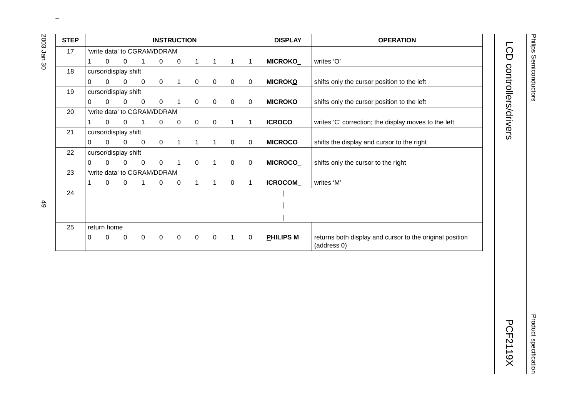| <b>STEP</b> |                             |              |                      |                             |          | <b>INSTRUCTION</b> |             |              |             |                | <b>DISPLAY</b>   | <b>OPERATION</b>                                                        |
|-------------|-----------------------------|--------------|----------------------|-----------------------------|----------|--------------------|-------------|--------------|-------------|----------------|------------------|-------------------------------------------------------------------------|
| 17          |                             |              |                      | 'write data' to CGRAM/DDRAM |          |                    |             |              |             |                |                  |                                                                         |
|             |                             | $\Omega$     | $\mathbf 0$          | 1                           | 0        | 0                  | 1           | $\mathbf{1}$ | 1           | 1              | MICROKO_         | writes 'O'                                                              |
| 18          |                             |              | cursor/display shift |                             |          |                    |             |              |             |                |                  |                                                                         |
|             | 0                           | $\Omega$     | $\mathbf 0$          | 0                           | 0        |                    | $\mathbf 0$ | $\mathbf 0$  | $\mathbf 0$ | $\mathbf 0$    | <b>MICROKO</b>   | shifts only the cursor position to the left                             |
| 19          |                             |              | cursor/display shift |                             |          |                    |             |              |             |                |                  |                                                                         |
|             | 0                           | $\Omega$     | $\Omega$             | $\mathbf{0}$                | 0        |                    | $\mathbf 0$ | 0            | 0           | $\mathbf 0$    | <b>MICROKO</b>   | shifts only the cursor position to the left                             |
| 20          | 'write data' to CGRAM/DDRAM |              |                      |                             |          |                    |             |              |             |                |                  |                                                                         |
|             |                             | $\Omega$     | 0                    |                             | 0        | 0                  | $\mathbf 0$ | 0            | 1           | $\mathbf{1}$   | <b>ICROCO</b>    | writes 'C' correction; the display moves to the left                    |
| 21          |                             |              | cursor/display shift |                             |          |                    |             |              |             |                |                  |                                                                         |
|             | 0                           | $\Omega$     | $\mathbf 0$          | 0                           | 0        | 1                  | 1           | 1            | 0           | 0              | <b>MICROCO</b>   | shifts the display and cursor to the right                              |
| 22          |                             |              | cursor/display shift |                             |          |                    |             |              |             |                |                  |                                                                         |
|             | 0                           | $\Omega$     | $\Omega$             | 0                           | 0        |                    | $\mathbf 0$ | 1            | 0           | $\overline{0}$ | MICROCO_         | shifts only the cursor to the right                                     |
| 23          |                             |              |                      | 'write data' to CGRAM/DDRAM |          |                    |             |              |             |                |                  |                                                                         |
|             |                             | $\mathbf{0}$ | $\mathbf 0$          | 1                           | 0        | 0                  | 1           | 1            | 0           | $\mathbf 1$    | ICROCOM_         | writes 'M'                                                              |
| 24          |                             |              |                      |                             |          |                    |             |              |             |                |                  |                                                                         |
|             |                             |              |                      |                             |          |                    |             |              |             |                |                  |                                                                         |
|             |                             |              |                      |                             |          |                    |             |              |             |                |                  |                                                                         |
| 25          |                             | return home  |                      |                             |          |                    |             |              |             |                |                  |                                                                         |
|             | 0                           | $\Omega$     | 0                    | $\mathbf 0$                 | $\Omega$ | $\overline{0}$     | $\mathbf 0$ | $\mathbf 0$  | 1           | $\mathbf 0$    | <b>PHILIPS M</b> | returns both display and cursor to the original position<br>(address 0) |

# LCD controllers/drivers LCD controllers/drivers and the controllers/drivers and controllers/drivers and controllers/drivers and controllers/drivers and controllers/drivers and controllers/drivers and controllers/drivers and controllers/drivers an

 $49$ 

2003 Jan 30

# **Product specification** Product specification

**PCF2119X**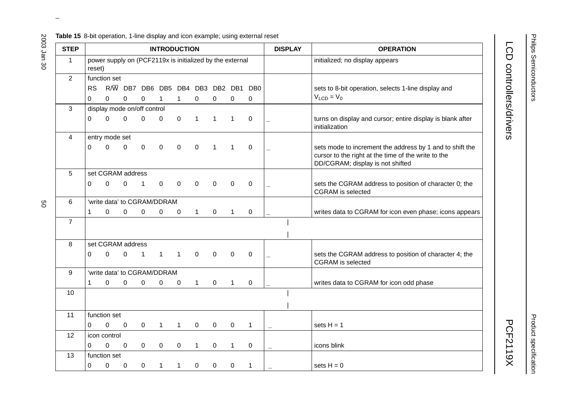| Table 15 8-bit operation, 1-line display and icon example; using external reset |  |
|---------------------------------------------------------------------------------|--|
|---------------------------------------------------------------------------------|--|

| <b>STEP</b>    |              |                                                          |              |                                 |              | <b>INTRODUCTION</b> |              |              |              |                 |                          | <b>DISPLAY</b> | <b>OPERATION</b>                                                                                                                                    |
|----------------|--------------|----------------------------------------------------------|--------------|---------------------------------|--------------|---------------------|--------------|--------------|--------------|-----------------|--------------------------|----------------|-----------------------------------------------------------------------------------------------------------------------------------------------------|
| $\mathbf{1}$   | reset)       | power supply on (PCF2119x is initialized by the external |              |                                 |              |                     |              |              |              |                 |                          |                | initialized; no display appears                                                                                                                     |
| $\overline{2}$ |              | function set                                             |              |                                 |              |                     |              |              |              |                 |                          |                |                                                                                                                                                     |
|                | <b>RS</b>    |                                                          |              | R/W DB7 DB6 DB5 DB4 DB3 DB2 DB1 |              |                     |              |              |              | DB <sub>0</sub> |                          |                | sets to 8-bit operation, selects 1-line display and                                                                                                 |
|                | 0            | $\mathbf 0$                                              | $\mathbf 0$  | 0                               | 1            | $\mathbf 1$         | 0            | 0            | $\mathbf 0$  | 0               |                          |                | $V_{LCD} = V_0$                                                                                                                                     |
| 3              |              | display mode on/off control                              |              |                                 |              |                     |              |              |              |                 |                          |                |                                                                                                                                                     |
|                | 0            | $\mathbf 0$                                              | $\mathbf 0$  | $\mathbf 0$                     | 0            | $\mathbf 0$         | 1            | $\mathbf{1}$ | $\mathbf{1}$ | $\mathbf 0$     | $\overline{\phantom{0}}$ |                | turns on display and cursor; entire display is blank after<br>initialization                                                                        |
| 4              |              | entry mode set                                           |              |                                 |              |                     |              |              |              |                 |                          |                |                                                                                                                                                     |
|                | $\Omega$     | $\Omega$                                                 | 0            | $\mathbf 0$                     | 0            | $\mathbf 0$         | 0            | $\mathbf{1}$ | $\mathbf{1}$ | $\mathbf 0$     |                          |                | sets mode to increment the address by 1 and to shift the<br>cursor to the right at the time of the write to the<br>DD/CGRAM; display is not shifted |
| 5              |              | set CGRAM address                                        |              |                                 |              |                     |              |              |              |                 |                          |                |                                                                                                                                                     |
|                | $\Omega$     | $\Omega$                                                 | 0            | 1                               | $\mathbf 0$  | $\mathbf 0$         | 0            | $\mathbf 0$  | 0            | $\mathbf 0$     | $\overline{\phantom{0}}$ |                | sets the CGRAM address to position of character 0; the<br><b>CGRAM</b> is selected                                                                  |
| 6              |              | 'write data' to CGRAM/DDRAM                              |              |                                 |              |                     |              |              |              |                 |                          |                |                                                                                                                                                     |
|                | $\mathbf{1}$ | $\mathbf 0$                                              | $\mathbf{0}$ | $\mathbf 0$                     | $\mathsf 0$  | 0                   | $\mathbf 1$  | $\mathbf 0$  | $\mathbf{1}$ | $\pmb{0}$       |                          |                | writes data to CGRAM for icon even phase; icons appears                                                                                             |
| $\overline{7}$ |              |                                                          |              |                                 |              |                     |              |              |              |                 |                          |                |                                                                                                                                                     |
| 8              |              | set CGRAM address                                        |              |                                 |              |                     |              |              |              |                 |                          |                |                                                                                                                                                     |
|                | 0            | 0                                                        | $\mathbf 0$  | $\mathbf{1}$                    | $\mathbf{1}$ | $\mathbf{1}$        | $\mathbf 0$  | $\mathbf 0$  | $\mathbf 0$  | $\mathbf 0$     |                          |                | sets the CGRAM address to position of character 4; the<br><b>CGRAM</b> is selected                                                                  |
| 9              |              | 'write data' to CGRAM/DDRAM                              |              |                                 |              |                     |              |              |              |                 |                          |                |                                                                                                                                                     |
|                | $\mathbf{1}$ | $\Omega$                                                 | $\Omega$     | 0                               | $\mathbf 0$  | 0                   | $\mathbf{1}$ | $\mathbf 0$  | $\mathbf{1}$ | 0               |                          |                | writes data to CGRAM for icon odd phase                                                                                                             |
| 10             |              |                                                          |              |                                 |              |                     |              |              |              |                 |                          |                |                                                                                                                                                     |
| 11             |              | function set                                             |              |                                 |              |                     |              |              |              |                 |                          |                |                                                                                                                                                     |
|                | $\Omega$     | 0                                                        | $\mathbf 0$  | $\mathsf{O}\xspace$             | $\mathbf{1}$ | $\mathbf 1$         | $\mathbf 0$  | 0            | $\mathbf 0$  | $\mathbf{1}$    | $\qquad \qquad -$        |                | sets $H = 1$                                                                                                                                        |
| 12             |              | icon control                                             |              |                                 |              |                     |              |              |              |                 |                          |                |                                                                                                                                                     |
|                | 0            | $\mathbf 0$                                              | 0            | $\mathbf 0$                     | $\mathbf 0$  | 0                   | $\mathbf{1}$ | 0            | $\mathbf{1}$ | 0               |                          |                | icons blink                                                                                                                                         |
| 13             |              | function set                                             |              |                                 |              |                     |              |              |              |                 |                          |                |                                                                                                                                                     |
|                | 0            | 0                                                        | 0            | $\mathbf 0$                     | $\mathbf{1}$ | $\mathbf 1$         | 0            | 0            | 0            | 1               |                          |                | sets $H = 0$                                                                                                                                        |

LCD controllers/drivers LCD controllers/drivers and the controllers/drivers and controllers/drivers and controllers/drivers and controllers/drivers and controllers/drivers and controllers/drivers and controllers/drivers and controllers/drivers an

go

2003 Jan 30

# Product specification Product specification

**PCF2119X**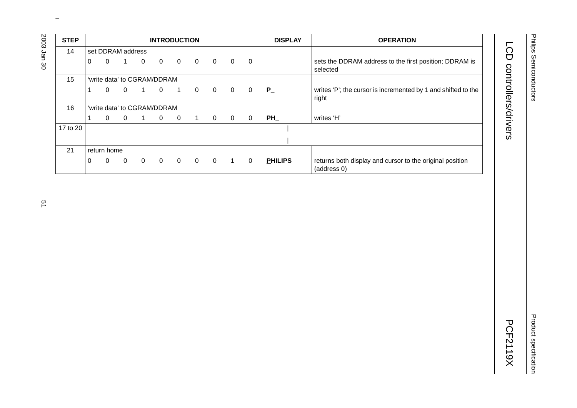| <b>STEP</b> |          |                   |                |                |                             | <b>INTRODUCTION</b> |                |          |                |             | <b>DISPLAY</b> | <b>OPERATION</b>                                                        |
|-------------|----------|-------------------|----------------|----------------|-----------------------------|---------------------|----------------|----------|----------------|-------------|----------------|-------------------------------------------------------------------------|
| 14          |          | set DDRAM address |                |                |                             |                     |                |          |                |             |                |                                                                         |
|             | $\Omega$ | $\Omega$          | 1              | $\mathbf 0$    | $\overline{0}$              | $\overline{0}$      | $\Omega$       | $\Omega$ | $\Omega$       | $\mathbf 0$ |                | sets the DDRAM address to the first position; DDRAM is<br>selected      |
| 15          |          |                   |                |                | 'write data' to CGRAM/DDRAM |                     |                |          |                |             |                |                                                                         |
|             |          | 0                 | $\Omega$       | -1             | $\overline{0}$              | $\overline{1}$      | $\Omega$       | $\Omega$ | $\Omega$       | $\mathbf 0$ | $P_{-}$        | writes 'P'; the cursor is incremented by 1 and shifted to the<br>right  |
| 16          |          |                   |                |                | 'write data' to CGRAM/DDRAM |                     |                |          |                |             |                |                                                                         |
|             |          | $\Omega$          | $\overline{0}$ | $\overline{1}$ | $\overline{0}$              | $\overline{0}$      | $\overline{1}$ | $\Omega$ | $\overline{0}$ | 0           | PH             | writes 'H'                                                              |
| 17 to 20    |          |                   |                |                |                             |                     |                |          |                |             |                |                                                                         |
|             |          |                   |                |                |                             |                     |                |          |                |             |                |                                                                         |
| 21          |          | return home       |                |                |                             |                     |                |          |                |             |                |                                                                         |
|             | 0        | $\Omega$          | 0              | $\mathbf 0$    | $\mathbf 0$                 | $\mathbf 0$         | $\Omega$       | $\Omega$ | 1              | $\Omega$    | <b>PHILIPS</b> | returns both display and cursor to the original position<br>(address 0) |

LCD controllers/drivers

Product specification

**Product specification**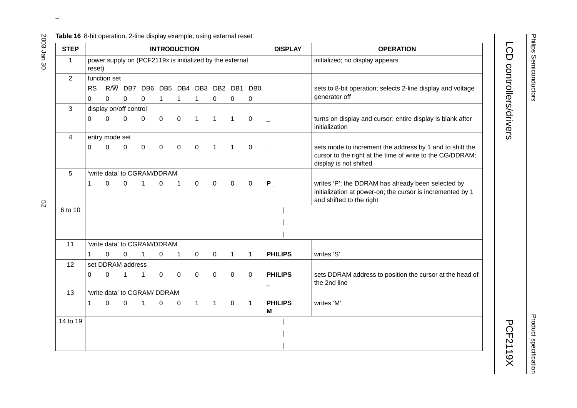#### **Table 16** 8-bit operation, 2-line display example; using external reset

| <b>STEP</b>    |                       |                                                          |                                          |              |              | <b>INTRODUCTION</b> |              |                  |              |              | <b>DISPLAY</b>             | <b>OPERATION</b>                                                                                                                                |
|----------------|-----------------------|----------------------------------------------------------|------------------------------------------|--------------|--------------|---------------------|--------------|------------------|--------------|--------------|----------------------------|-------------------------------------------------------------------------------------------------------------------------------------------------|
| $\mathbf{1}$   | reset)                | power supply on (PCF2119x is initialized by the external |                                          |              |              |                     |              |                  |              |              |                            | initialized; no display appears                                                                                                                 |
| $\overline{2}$ |                       | function set                                             |                                          |              |              |                     |              |                  |              |              |                            |                                                                                                                                                 |
|                | <b>RS</b><br>$\Omega$ | 0                                                        | R/W DB7 DB6 DB5 DB4 DB3 DB2 DB1 DB0<br>0 | 0            | $\mathbf{1}$ | $\mathbf{1}$        | $\mathbf{1}$ | $\mathbf 0$      | 0            | 0            |                            | sets to 8-bit operation; selects 2-line display and voltage<br>generator off                                                                    |
| 3              |                       | display on/off control                                   |                                          |              |              |                     |              |                  |              |              |                            |                                                                                                                                                 |
|                | $\Omega$              | $\mathbf 0$                                              | $\Omega$                                 | 0            | $\mathbf 0$  | $\pmb{0}$           | $\mathbf{1}$ | $\mathbf{1}$     | 1            | $\mathbf 0$  |                            | turns on display and cursor; entire display is blank after<br>initialization                                                                    |
| 4              |                       | entry mode set                                           |                                          |              |              |                     |              |                  |              |              |                            |                                                                                                                                                 |
|                | $\Omega$              | 0                                                        | 0                                        | $\mathbf 0$  | 0            | 0                   | $\mathbf 0$  | $\mathbf{1}$     | 1            | $\mathbf 0$  |                            | sets mode to increment the address by 1 and to shift the<br>cursor to the right at the time of write to the CG/DDRAM;<br>display is not shifted |
| 5              |                       | 'write data' to CGRAM/DDRAM                              |                                          |              |              |                     |              |                  |              |              |                            |                                                                                                                                                 |
|                | 1                     | 0                                                        | 0                                        | 1            | 0            | 1                   | $\mathbf 0$  | $\mathbf 0$      | $\mathbf 0$  | $\mathbf 0$  | $P_{-}$                    | writes 'P'; the DDRAM has already been selected by<br>initialization at power-on; the cursor is incremented by 1<br>and shifted to the right    |
| 6 to 10        |                       |                                                          |                                          |              |              |                     |              |                  |              |              |                            |                                                                                                                                                 |
| 11             |                       | 'write data' to CGRAM/DDRAM                              |                                          |              |              |                     |              |                  |              |              |                            |                                                                                                                                                 |
|                | $\mathbf 1$           | 0                                                        | $\mathbf 0$                              | $\mathbf{1}$ | $\mathbf 0$  | $\mathbf{1}$        | $\mathbf 0$  | $\boldsymbol{0}$ | $\mathbf{1}$ | $\mathbf{1}$ | PHILIPS_                   | writes 'S'                                                                                                                                      |
| 12             |                       | set DDRAM address                                        |                                          |              |              |                     |              |                  |              |              |                            |                                                                                                                                                 |
|                | $\Omega$              | 0                                                        | $\mathbf{1}$                             | $\mathbf{1}$ | $\mathbf 0$  | $\mathbf 0$         | $\mathbf 0$  | $\mathbf 0$      | $\mathbf 0$  | $\mathbf 0$  | <b>PHILIPS</b>             | sets DDRAM address to position the cursor at the head of<br>the 2nd line                                                                        |
| 13             |                       | 'write data' to CGRAM/ DDRAM                             |                                          |              |              |                     |              |                  |              |              |                            |                                                                                                                                                 |
|                | $\mathbf 1$           | 0                                                        | $\mathbf 0$                              | $\mathbf{1}$ | 0            | 0                   | $\mathbf{1}$ | $\mathbf{1}$     | $\pmb{0}$    | $\mathbf{1}$ | <b>PHILIPS</b><br>$M_{\_}$ | writes 'M'                                                                                                                                      |
| 14 to 19       |                       |                                                          |                                          |              |              |                     |              |                  |              |              |                            |                                                                                                                                                 |
|                |                       |                                                          |                                          |              |              |                     |              |                  |              |              |                            |                                                                                                                                                 |
|                |                       |                                                          |                                          |              |              |                     |              |                  |              |              |                            |                                                                                                                                                 |

 $\omega$  rotated correctly when browsing through the pdf in the Acrobat reader.This text is here in the pdf in the  $\alpha$ 

LCD controllers/drivers

LCD controllers/drivers and the controllers/drivers and controllers/drivers and controllers/drivers and controllers/drivers and controllers/drivers and controllers/drivers and controllers/drivers and controllers/drivers an

Philips Semiconductors

2003 Jan 30

Product specification Product specification

**PCF2119X**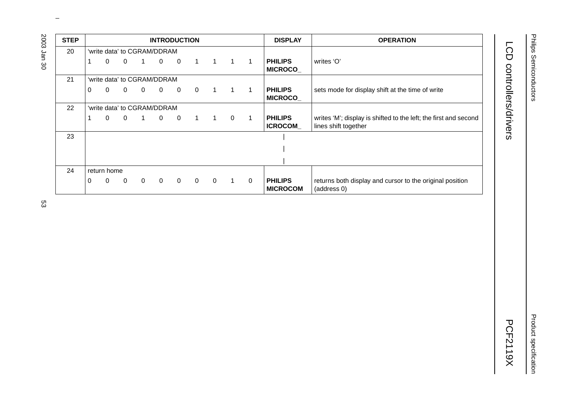| <b>STEP</b> |   |             |              |                |                             | <b>INTRODUCTION</b> |             |                |                |          | <b>DISPLAY</b>                    | <b>OPERATION</b>                                                                         |
|-------------|---|-------------|--------------|----------------|-----------------------------|---------------------|-------------|----------------|----------------|----------|-----------------------------------|------------------------------------------------------------------------------------------|
| 20          |   |             |              |                | 'write data' to CGRAM/DDRAM |                     |             |                |                |          |                                   |                                                                                          |
|             |   | 0           | $\mathbf 0$  | 1              | $\overline{0}$              | $\overline{0}$      | $1 \quad 1$ |                | $1 \quad 1$    |          | <b>PHILIPS</b><br>MICROCO_        | writes 'O'                                                                               |
| 21          |   |             |              |                | 'write data' to CGRAM/DDRAM |                     |             |                |                |          |                                   |                                                                                          |
|             | 0 | 0           | $\mathbf{0}$ | $\overline{0}$ | $\overline{0}$              | $\overline{0}$      | $\mathbf 0$ | $\overline{1}$ | $1 \quad 1$    |          | <b>PHILIPS</b><br><b>MICROCO_</b> | sets mode for display shift at the time of write                                         |
| 22          |   |             |              |                | 'write data' to CGRAM/DDRAM |                     |             |                |                |          |                                   |                                                                                          |
|             |   | 0           | $\mathbf{0}$ |                | $\overline{0}$              | $\overline{0}$      |             | $1 \quad 1$    | $\overline{0}$ |          | <b>PHILIPS</b><br><b>ICROCOM</b>  | writes 'M'; display is shifted to the left; the first and second<br>lines shift together |
| 23          |   |             |              |                |                             |                     |             |                |                |          |                                   |                                                                                          |
|             |   |             |              |                |                             |                     |             |                |                |          |                                   |                                                                                          |
|             |   |             |              |                |                             |                     |             |                |                |          |                                   |                                                                                          |
| 24          |   | return home |              |                |                             |                     |             |                |                |          |                                   |                                                                                          |
|             | 0 | 0           | $\mathbf 0$  | $\Omega$       | $\overline{0}$              | $\overline{0}$      | $\mathbf 0$ | $\overline{0}$ | $1 \quad$      | $\Omega$ | <b>PHILIPS</b><br><b>MICROCOM</b> | returns both display and cursor to the original position<br>(address 0)                  |

LCD controllers/drivers LCD controllers/drivers and the controllers/drivers and controllers/drivers and controllers/drivers and controllers/drivers and controllers/drivers and controllers/drivers and controllers/drivers and controllers/drivers an

Philips Semiconductors

Philips Semiconductors

**Product specification** Product specification

2003 Jan 30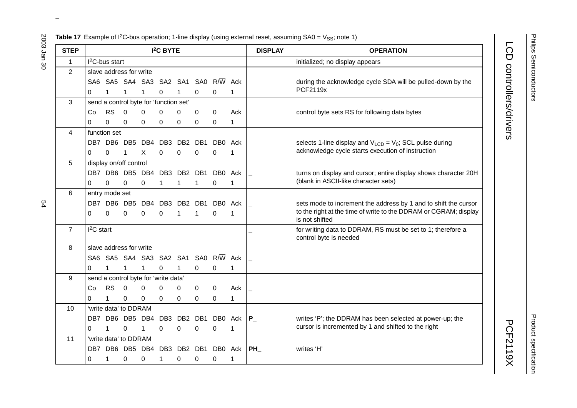Philips Semiconductors Philips Semiconductors

**Product specification** Product specification

**PCF2119X** 

LCD controllers/drivers and the controllers/drivers and controllers/drivers and controllers/drivers and controllers/drivers and controllers/drivers and controllers/drivers and controllers/drivers and controllers/drivers an

LCD controllers/drivers

|  |  |  |  | <b>Table 17</b> Example of I <sup>2</sup> C-bus operation; 1-line display (using external reset, assuming SA0 = $V_{SS}$ ; note 1) |  |
|--|--|--|--|------------------------------------------------------------------------------------------------------------------------------------|--|
|--|--|--|--|------------------------------------------------------------------------------------------------------------------------------------|--|

| <b>STEP</b>    |                       |                        |                         |          | I <sup>2</sup> C BYTE                  |   |          |                                     |             | <b>DISPLAY</b> | <b>OPERATION</b>                                                                   |
|----------------|-----------------------|------------------------|-------------------------|----------|----------------------------------------|---|----------|-------------------------------------|-------------|----------------|------------------------------------------------------------------------------------|
| $\mathbf{1}$   |                       | $I2C$ -bus start       |                         |          |                                        |   |          |                                     |             |                | initialized; no display appears                                                    |
| 2              |                       |                        | slave address for write |          |                                        |   |          |                                     |             |                |                                                                                    |
|                |                       |                        |                         |          |                                        |   |          | SA6 SA5 SA4 SA3 SA2 SA1 SA0 R/W     | Ack         |                | during the acknowledge cycle SDA will be pulled-down by the                        |
|                | 0                     |                        | 1                       | 1        | 0                                      |   | 0        | 0                                   | 1           |                | PCF2119x                                                                           |
| 3              |                       |                        |                         |          | send a control byte for 'function set' |   |          |                                     |             |                |                                                                                    |
|                | Co                    | <b>RS</b>              | $\Omega$                | 0        | 0                                      | 0 | 0        | $\Omega$                            | Ack         |                | control byte sets RS for following data bytes                                      |
|                | 0                     | 0                      | 0                       | 0        | 0                                      | 0 | 0        | 0                                   | 1           |                |                                                                                    |
| 4              |                       | function set           |                         |          |                                        |   |          |                                     |             |                |                                                                                    |
|                |                       |                        |                         |          | DB7 DB6 DB5 DB4 DB3 DB2 DB1            |   |          | DB0 Ack                             |             |                | selects 1-line display and $V_{LCD} = V_0$ ; SCL pulse during                      |
|                | $\Omega$              | $\Omega$               | 1                       | X        | 0                                      | 0 | $\Omega$ | 0                                   | 1           |                | acknowledge cycle starts execution of instruction                                  |
| 5              |                       | display on/off control |                         |          |                                        |   |          |                                     |             |                |                                                                                    |
|                |                       |                        |                         |          | DB7 DB6 DB5 DB4 DB3 DB2 DB1            |   |          | DB0 Ack                             |             |                | turns on display and cursor; entire display shows character 20H                    |
|                | 0                     | 0                      | 0                       | 0        | 1                                      | 1 | 1        | 0                                   | 1           |                | (blank in ASCII-like character sets)                                               |
| 6              |                       | entry mode set         |                         |          |                                        |   |          |                                     |             |                |                                                                                    |
|                |                       |                        |                         |          | DB7 DB6 DB5 DB4 DB3 DB2 DB1            |   |          | DB0 Ack                             |             |                | sets mode to increment the address by 1 and to shift the cursor                    |
|                | 0                     | $\Omega$               | $\mathbf 0$             | 0        | 0                                      | 1 | 1        | 0                                   | 1           |                | to the right at the time of write to the DDRAM or CGRAM; display<br>is not shifted |
| $\overline{7}$ | $I2C$ start           |                        |                         |          |                                        |   |          |                                     |             |                | for writing data to DDRAM, RS must be set to 1; therefore a                        |
|                |                       |                        |                         |          |                                        |   |          |                                     |             |                | control byte is needed                                                             |
| 8              |                       |                        | slave address for write |          |                                        |   |          |                                     |             |                |                                                                                    |
|                |                       |                        |                         |          |                                        |   |          | SA6 SA5 SA4 SA3 SA2 SA1 SA0 R/W Ack |             |                |                                                                                    |
|                | 0                     | 1                      | $\mathbf{1}$            | 1        | 0                                      | 1 | 0        | 0                                   | 1           |                |                                                                                    |
| 9              |                       |                        |                         |          | send a control byte for 'write data'   |   |          |                                     |             |                |                                                                                    |
|                | Co                    | <b>RS</b>              | $\overline{0}$          | 0        | $\Omega$                               | 0 | $\Omega$ | 0                                   | Ack         |                |                                                                                    |
|                | 0                     | 1                      | $\mathbf 0$             | $\Omega$ | $\Omega$                               | 0 | $\Omega$ | 0                                   | $\mathbf 1$ |                |                                                                                    |
| 10             |                       |                        | 'write data' to DDRAM   |          |                                        |   |          |                                     |             |                |                                                                                    |
|                |                       |                        |                         |          |                                        |   |          | DB7 DB6 DB5 DB4 DB3 DB2 DB1 DB0 Ack |             | $ P_{-} $      | writes 'P'; the DDRAM has been selected at power-up; the                           |
|                | 0                     |                        | 0                       | 1        | 0                                      | 0 | 0        | 0                                   | 1           |                | cursor is incremented by 1 and shifted to the right                                |
| 11             | 'write data' to DDRAM |                        |                         |          |                                        |   |          |                                     |             |                |                                                                                    |
|                |                       |                        |                         |          |                                        |   |          | DB7 DB6 DB5 DB4 DB3 DB2 DB1 DB0 Ack |             | PH             | writes 'H'                                                                         |
|                | 0                     | 1                      | 0                       | 0        | 1                                      | 0 | 0        | 0                                   | 1           |                |                                                                                    |

 $\omega$  rotated correctly when browsing through the pdf in the Acrobat reader.This text is here in the pdf in the  $\alpha$ 

2003 Jan 30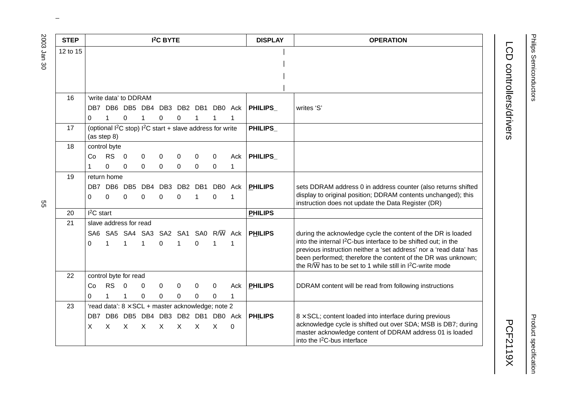| <b>STEP</b> |             |              |                        |              | <b>I<sup>2</sup>C BYTE</b> |                      |              |                                                               |          | <b>DISPLAY</b> | <b>OPERATION</b>                                                                                                                                                                                                                                                                                        |
|-------------|-------------|--------------|------------------------|--------------|----------------------------|----------------------|--------------|---------------------------------------------------------------|----------|----------------|---------------------------------------------------------------------------------------------------------------------------------------------------------------------------------------------------------------------------------------------------------------------------------------------------------|
| 12 to 15    |             |              |                        |              |                            |                      |              |                                                               |          |                |                                                                                                                                                                                                                                                                                                         |
|             |             |              |                        |              |                            |                      |              |                                                               |          |                |                                                                                                                                                                                                                                                                                                         |
|             |             |              |                        |              |                            |                      |              |                                                               |          |                |                                                                                                                                                                                                                                                                                                         |
|             |             |              |                        |              |                            |                      |              |                                                               |          |                |                                                                                                                                                                                                                                                                                                         |
| 16          |             |              | 'write data' to DDRAM  |              |                            |                      |              |                                                               |          |                |                                                                                                                                                                                                                                                                                                         |
|             |             |              |                        |              |                            |                      |              | DB7 DB6 DB5 DB4 DB3 DB2 DB1 DB0 Ack                           |          | <b>PHILIPS</b> | writes 'S'                                                                                                                                                                                                                                                                                              |
|             | 0           | $\mathbf{1}$ | 0                      | 1            | 0                          | 0                    |              | 1                                                             | 1        |                |                                                                                                                                                                                                                                                                                                         |
| 17          | (as step 8) |              |                        |              |                            |                      |              | (optional $I^2C$ stop) $I^2C$ start + slave address for write |          | PHILIPS_       |                                                                                                                                                                                                                                                                                                         |
| 18          |             | control byte |                        |              |                            |                      |              |                                                               |          |                |                                                                                                                                                                                                                                                                                                         |
|             | Co          | <b>RS</b>    | $\overline{0}$         | 0            | 0                          | 0                    | 0            | 0                                                             | Ack      | <b>PHILIPS</b> |                                                                                                                                                                                                                                                                                                         |
|             |             | $\Omega$     | 0                      | 0            | $\mathbf 0$                | 0                    | 0            | $\mathbf 0$                                                   | 1        |                |                                                                                                                                                                                                                                                                                                         |
| 19          |             | return home  |                        |              |                            |                      |              |                                                               |          |                |                                                                                                                                                                                                                                                                                                         |
|             | 0           | 0            | DB7 DB6 DB5<br>0       | 0            | 0                          | DB4 DB3 DB2 DB1<br>0 | 1            | DB0 Ack<br>0                                                  | 1        | <b>PHILIPS</b> | sets DDRAM address 0 in address counter (also returns shifted<br>display to original position; DDRAM contents unchanged); this<br>instruction does not update the Data Register (DR)                                                                                                                    |
| 20          | $I2C$ start |              |                        |              |                            |                      |              |                                                               |          | <b>PHILIPS</b> |                                                                                                                                                                                                                                                                                                         |
| 21          |             |              | slave address for read |              |                            |                      |              |                                                               |          |                |                                                                                                                                                                                                                                                                                                         |
|             |             |              |                        |              |                            |                      |              | SA6 SA5 SA4 SA3 SA2 SA1 SA0 R/W Ack                           |          | <b>PHILIPS</b> | during the acknowledge cycle the content of the DR is loaded                                                                                                                                                                                                                                            |
|             | 0           | 1            | $\mathbf{1}$           | $\mathbf{1}$ | $\mathbf 0$                | 1                    | $\Omega$     | $\mathbf{1}$                                                  | 1        |                | into the internal I <sup>2</sup> C-bus interface to be shifted out; in the<br>previous instruction neither a 'set address' nor a 'read data' has<br>been performed; therefore the content of the DR was unknown;<br>the R/ $\overline{W}$ has to be set to 1 while still in I <sup>2</sup> C-write mode |
| 22          |             |              | control byte for read  |              |                            |                      |              |                                                               |          |                |                                                                                                                                                                                                                                                                                                         |
|             | Co          | <b>RS</b>    | $\overline{0}$         | $\Omega$     | 0                          | 0                    | 0            | 0                                                             | Ack      | <b>PHILIPS</b> | DDRAM content will be read from following instructions                                                                                                                                                                                                                                                  |
|             | 0           | 1            | 1                      | $\Omega$     | 0                          | 0                    | 0            | $\Omega$                                                      | 1        |                |                                                                                                                                                                                                                                                                                                         |
| 23          |             |              |                        |              |                            |                      |              | 'read data': $8 \times$ SCL + master acknowledge; note 2      |          |                |                                                                                                                                                                                                                                                                                                         |
|             | DB7<br>X    | $\times$     | $\mathsf{X}$           | $\times$     | $\mathsf{X}$               | $\times$             | $\mathsf{X}$ | DB6 DB5 DB4 DB3 DB2 DB1 DB0 Ack<br>$\mathsf{X}$               | $\Omega$ | <b>PHILIPS</b> | $8 \times$ SCL; content loaded into interface during previous<br>acknowledge cycle is shifted out over SDA; MSB is DB7; during<br>master acknowledge content of DDRAM address 01 is loaded<br>into the I <sup>2</sup> C-bus interface                                                                   |

ვე<br>თ

Product specification Product specification

**PCF2119X** 

LCD controllers/drivers and the controllers/drivers and controllers/drivers and controllers/drivers and controllers/drivers and controllers/drivers and controllers/drivers and controllers/drivers and controllers/drivers an

LCD controllers/drivers

Philips Semiconductors Philips Semiconductors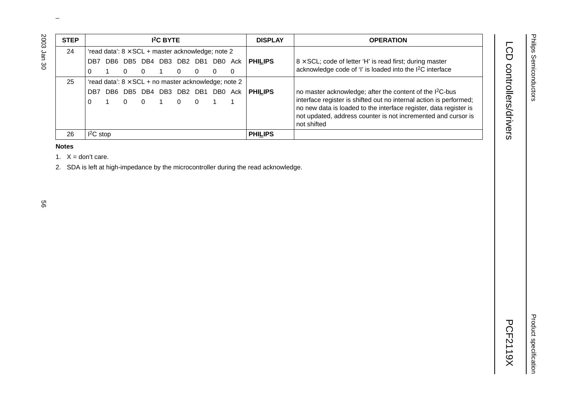| <b>STEP</b> |             |                         |          | <b>I<sup>2</sup>C BYTE</b> |          |                                                             |     | <b>DISPLAY</b> | <b>OPERATION</b>                                                                                                                                                                                                        |
|-------------|-------------|-------------------------|----------|----------------------------|----------|-------------------------------------------------------------|-----|----------------|-------------------------------------------------------------------------------------------------------------------------------------------------------------------------------------------------------------------------|
| 24          |             |                         |          |                            |          | 'read data': $8 \times$ SCL + master acknowledge; note 2    |     |                |                                                                                                                                                                                                                         |
|             | DB7         | DB6 DB5 DB4 DB3 DB2 DB1 |          |                            |          | DB0                                                         | Ack | <b>PHILIPS</b> | $8 \times$ SCL; code of letter 'H' is read first; during master                                                                                                                                                         |
|             |             | 0                       | $\Omega$ |                            | $\Omega$ |                                                             | 0   |                | acknowledge code of 'I' is loaded into the I <sup>2</sup> C interface                                                                                                                                                   |
| 25          |             |                         |          |                            |          | 'read data': $8 \times$ SCL + no master acknowledge; note 2 |     |                |                                                                                                                                                                                                                         |
|             | DB7         | DB6 DB5 DB4 DB3 DB2 DB1 |          |                            |          | DB0                                                         | Ack | <b>PHILIPS</b> | no master acknowledge; after the content of the I <sup>2</sup> C-bus                                                                                                                                                    |
|             | $\Omega$    | 0                       | $\Omega$ |                            | $\Omega$ |                                                             |     |                | interface register is shifted out no internal action is performed;<br>no new data is loaded to the interface register, data register is<br>not updated, address counter is not incremented and cursor is<br>not shifted |
| 26          | $I^2C$ stop |                         |          |                            |          |                                                             |     | <b>PHILIPS</b> |                                                                                                                                                                                                                         |

#### **Notes**

1.  $X = don't care$ .

2. SDA is left at high-impedance by the microcontroller during the read acknowledge.

2003 Jan 30

LCD controllers/drivers

Product specification

Product specification

# LCD controllers/drivers and the controllers/drivers and controllers/drivers and controllers/drivers and controllers/drivers and controllers/drivers and controllers/drivers and controllers/drivers and controllers/drivers an **PCF2119X**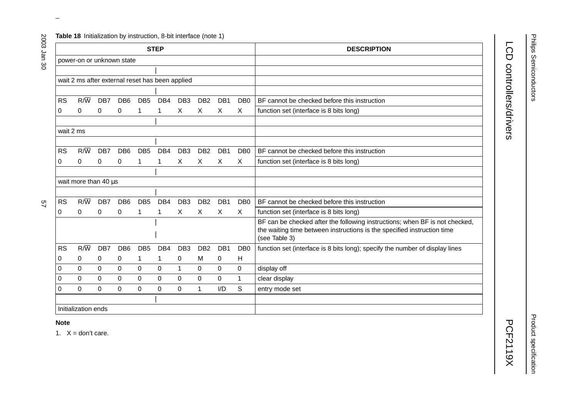|  |  |  | Table 18 Initialization by instruction, 8-bit interface (note 1) |  |
|--|--|--|------------------------------------------------------------------|--|
|--|--|--|------------------------------------------------------------------|--|

|           |                                                 |          |                 |                 | <b>STEP</b>     |                 |                 |                  |                  | <b>DESCRIPTION</b>                                                           |
|-----------|-------------------------------------------------|----------|-----------------|-----------------|-----------------|-----------------|-----------------|------------------|------------------|------------------------------------------------------------------------------|
|           | power-on or unknown state                       |          |                 |                 |                 |                 |                 |                  |                  |                                                                              |
|           |                                                 |          |                 |                 |                 |                 |                 |                  |                  |                                                                              |
|           |                                                 |          |                 |                 |                 |                 |                 |                  |                  |                                                                              |
|           | wait 2 ms after external reset has been applied |          |                 |                 |                 |                 |                 |                  |                  |                                                                              |
|           |                                                 |          |                 |                 |                 |                 |                 |                  |                  |                                                                              |
| <b>RS</b> | $R/\overline{W}$                                | DB7      | DB <sub>6</sub> | DB <sub>5</sub> | DB <sub>4</sub> | DB <sub>3</sub> | DB <sub>2</sub> | DB <sub>1</sub>  | DB <sub>0</sub>  | BF cannot be checked before this instruction                                 |
| 0         | 0                                               | 0        | 0               | 1               | 1               | X               | X               | X                | X                | function set (interface is 8 bits long)                                      |
|           |                                                 |          |                 |                 |                 |                 |                 |                  |                  |                                                                              |
| wait 2 ms |                                                 |          |                 |                 |                 |                 |                 |                  |                  |                                                                              |
|           |                                                 |          |                 |                 |                 |                 |                 |                  |                  |                                                                              |
| <b>RS</b> | $R/\overline{W}$                                | DB7      | DB <sub>6</sub> | DB <sub>5</sub> | DB <sub>4</sub> | DB <sub>3</sub> | DB <sub>2</sub> | DB <sub>1</sub>  | D <sub>B</sub> 0 | BF cannot be checked before this instruction                                 |
| 0         | 0                                               | 0        | 0               | 1               | 1               | $\mathsf{X}$    | X               | X                | X                | function set (interface is 8 bits long)                                      |
|           |                                                 |          |                 |                 |                 |                 |                 |                  |                  |                                                                              |
|           | wait more than 40 µs                            |          |                 |                 |                 |                 |                 |                  |                  |                                                                              |
|           |                                                 |          |                 |                 |                 |                 |                 |                  |                  |                                                                              |
| <b>RS</b> | $R/\overline{W}$                                | DB7      | DB <sub>6</sub> | DB <sub>5</sub> | DB4             | DB <sub>3</sub> | DB <sub>2</sub> | DB1              | DB <sub>0</sub>  | BF cannot be checked before this instruction                                 |
| 0         | 0                                               | 0        | 0               | 1               | 1               | X               | X               | X                | X                | function set (interface is 8 bits long)                                      |
|           |                                                 |          |                 |                 |                 |                 |                 |                  |                  | BF can be checked after the following instructions; when BF is not checked,  |
|           |                                                 |          |                 |                 |                 |                 |                 |                  |                  | the waiting time between instructions is the specified instruction time      |
|           |                                                 |          |                 |                 |                 |                 |                 |                  |                  | (see Table 3)                                                                |
| <b>RS</b> | $R/\overline{W}$                                | DB7      | DB <sub>6</sub> | DB <sub>5</sub> | DB <sub>4</sub> | DB <sub>3</sub> | DB <sub>2</sub> | DB1              | DB <sub>0</sub>  | function set (interface is 8 bits long); specify the number of display lines |
| 0         | 0                                               | 0        | 0               | 1               | 1               | $\pmb{0}$       | M               | $\boldsymbol{0}$ | H                |                                                                              |
| $\Omega$  | $\Omega$                                        | $\Omega$ | $\Omega$        | $\Omega$        | $\mathbf 0$     | $\mathbf{1}$    | $\Omega$        | $\Omega$         | $\Omega$         | display off                                                                  |
| 0         | $\Omega$                                        | $\Omega$ | 0               | $\Omega$        | $\mathbf 0$     | $\mathbf 0$     | 0               | $\Omega$         | 1                | clear display                                                                |
| $\Omega$  | 0                                               | 0        | $\Omega$        | 0               | $\mathbf 0$     | $\mathbf 0$     | $\mathbf 1$     | I/D              | S                | entry mode set                                                               |
|           |                                                 |          |                 |                 |                 |                 |                 |                  |                  |                                                                              |
|           | Initialization ends                             |          |                 |                 |                 |                 |                 |                  |                  |                                                                              |

# LCD controllers/drivers LCD controllers/drivers and the controllers/drivers and controllers/drivers and controllers/drivers and controllers/drivers and controllers/drivers and controllers/drivers and controllers/drivers and controllers/drivers an

**PCF2119X** 

Product specification

**Product specification** 

1.  $X = don't care$ .

 $\omega$  rotated correctly when browsing through the pdf in the Acrobat reader.This text is here in the pdf in the  $\alpha$ 

 $22$ 

2003 Jan 30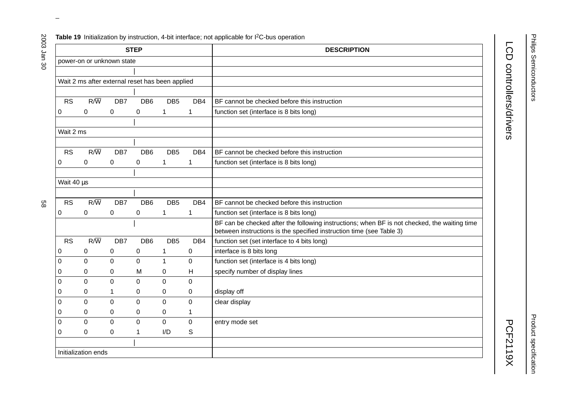**Table 19** Initialization by instruction, 4-bit interface; not applicable for I<sup>2</sup>C-bus operation

|            |                     |                                                 | <b>STEP</b>      |                 |             | <b>DESCRIPTION</b>                                                                                                                                                   |
|------------|---------------------|-------------------------------------------------|------------------|-----------------|-------------|----------------------------------------------------------------------------------------------------------------------------------------------------------------------|
|            |                     | power-on or unknown state                       |                  |                 |             |                                                                                                                                                                      |
|            |                     |                                                 |                  |                 |             |                                                                                                                                                                      |
|            |                     | Wait 2 ms after external reset has been applied |                  |                 |             |                                                                                                                                                                      |
|            |                     |                                                 |                  |                 |             |                                                                                                                                                                      |
| <b>RS</b>  | $R/\overline{W}$    | DB7                                             | DB <sub>6</sub>  | DB <sub>5</sub> | DB4         | BF cannot be checked before this instruction                                                                                                                         |
| 0          | $\pmb{0}$           | $\boldsymbol{0}$                                | $\pmb{0}$        | $\mathbf{1}$    | 1           | function set (interface is 8 bits long)                                                                                                                              |
|            |                     |                                                 |                  |                 |             |                                                                                                                                                                      |
| Wait 2 ms  |                     |                                                 |                  |                 |             |                                                                                                                                                                      |
|            |                     |                                                 |                  |                 |             |                                                                                                                                                                      |
| <b>RS</b>  | $R/\overline{W}$    | DB7                                             | DB <sub>6</sub>  | DB <sub>5</sub> | DB4         | BF cannot be checked before this instruction                                                                                                                         |
| 0          | $\pmb{0}$           | $\boldsymbol{0}$                                | 0                | 1               | 1           | function set (interface is 8 bits long)                                                                                                                              |
|            |                     |                                                 |                  |                 |             |                                                                                                                                                                      |
| Wait 40 µs |                     |                                                 |                  |                 |             |                                                                                                                                                                      |
|            |                     |                                                 |                  |                 |             |                                                                                                                                                                      |
| <b>RS</b>  | $R/\overline{W}$    | DB7                                             | DB <sub>6</sub>  | DB <sub>5</sub> | DB4         | BF cannot be checked before this instruction                                                                                                                         |
| 0          | 0                   | $\boldsymbol{0}$                                | $\pmb{0}$        | $\mathbf{1}$    | 1           | function set (interface is 8 bits long)                                                                                                                              |
|            |                     |                                                 |                  |                 |             | BF can be checked after the following instructions; when BF is not checked, the waiting time<br>between instructions is the specified instruction time (see Table 3) |
| <b>RS</b>  | $R/\overline{W}$    | DB7                                             | DB <sub>6</sub>  | DB <sub>5</sub> | DB4         | function set (set interface to 4 bits long)                                                                                                                          |
| 0          | 0                   | 0                                               | $\pmb{0}$        | 1               | 0           | interface is 8 bits long                                                                                                                                             |
| 0          | $\Omega$            | $\mathbf 0$                                     | $\overline{0}$   | $\mathbf{1}$    | 0           | function set (interface is 4 bits long)                                                                                                                              |
| 0          | 0                   | 0                                               | M                | 0               | H           | specify number of display lines                                                                                                                                      |
| 0          | 0                   | $\mathbf 0$                                     | $\mathbf 0$      | $\overline{0}$  | $\mathbf 0$ |                                                                                                                                                                      |
| 0          | 0                   | 1                                               | 0                | 0               | 0           | display off                                                                                                                                                          |
| 0          | $\Omega$            | 0                                               | $\Omega$         | $\mathbf 0$     | 0           | clear display                                                                                                                                                        |
| 0          | 0                   | 0                                               | $\boldsymbol{0}$ | $\pmb{0}$       | 1           |                                                                                                                                                                      |
| 0          | 0                   | $\mathbf 0$                                     | $\overline{0}$   | $\mathbf 0$     | $\mathbf 0$ | entry mode set                                                                                                                                                       |
| 0          | $\Omega$            | 0                                               | 1                | I/D             | S           |                                                                                                                                                                      |
|            |                     |                                                 |                  |                 |             |                                                                                                                                                                      |
|            | Initialization ends |                                                 |                  |                 |             |                                                                                                                                                                      |

 $\omega$  rotated correctly when browsing through the pdf in the Acrobat reader.This text is here in the pdf in the  $\alpha$ 

LCD controllers/drivers and the controllers/drivers and controllers/drivers and controllers/drivers and controllers/drivers and controllers/drivers and controllers/drivers and controllers/drivers and controllers/drivers an

LCD controllers/drivers

2003 Jan 30

**Product specification** Product specification

**PCF2119X**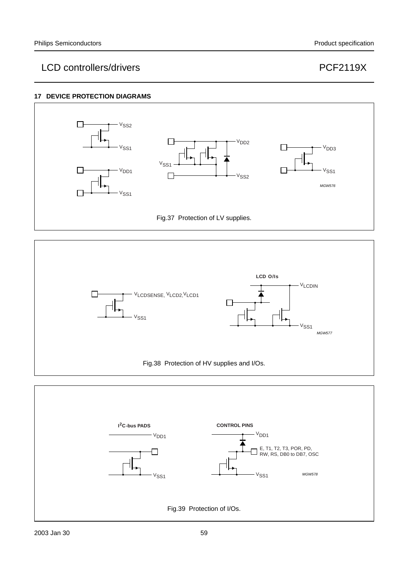#### **17 DEVICE PROTECTION DIAGRAMS**





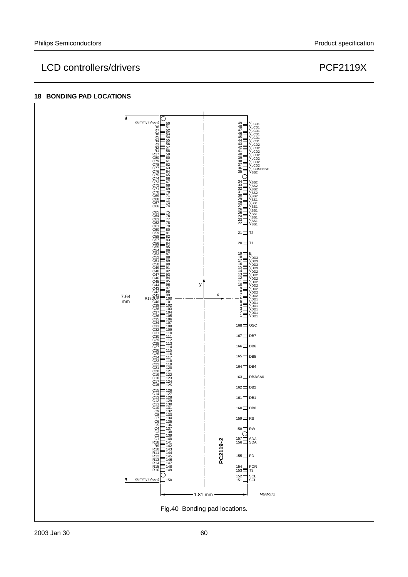# LCD controllers/drivers extending the controllers of the controllers of the controllers of the controllers of the controllers of the controllers of the control of the control of the control of the control of the control of

#### **18 BONDING PAD LOCATIONS**

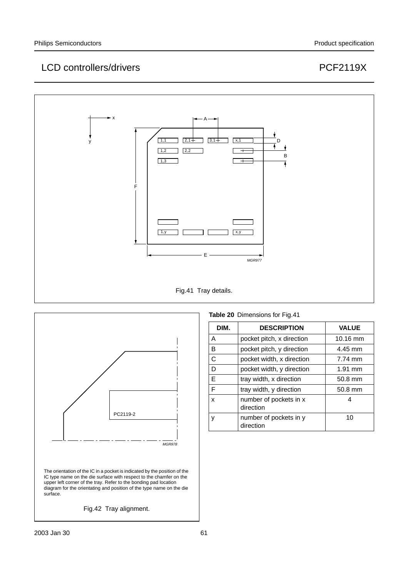



|  | Table 20 Dimensions for Fig.41 |  |
|--|--------------------------------|--|
|--|--------------------------------|--|

| DIM. | <b>DESCRIPTION</b>                  | <b>VALUE</b>       |  |
|------|-------------------------------------|--------------------|--|
| A    | pocket pitch, x direction           | $10.16 \text{ mm}$ |  |
| в    | pocket pitch, y direction           | 4.45 mm            |  |
| C    | pocket width, x direction           | 7.74 mm            |  |
| D    | pocket width, y direction           | $1.91$ mm          |  |
| E    | tray width, x direction             | 50.8 mm            |  |
| F    | tray width, y direction             | 50.8 mm            |  |
| x    | number of pockets in x<br>direction | 4                  |  |
| ٧    | number of pockets in y<br>direction | 10                 |  |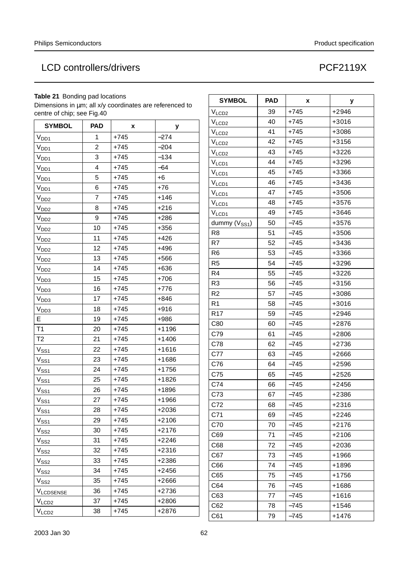#### **Table 21** Bonding pad locations

Dimensions in µm; all x/y coordinates are referenced to centre of chip; see Fig.40

| <b>SYMBOL</b>     | <b>PAD</b> | x      | У       |
|-------------------|------------|--------|---------|
| V <sub>DD1</sub>  | 1          | $+745$ | $-274$  |
| V <sub>DD1</sub>  | 2          | $+745$ | $-204$  |
| $V_{DD1}$         | 3          | $+745$ | $-134$  |
| V <sub>DD1</sub>  | 4          | $+745$ | $-64$   |
| V <sub>DD1</sub>  | 5          | $+745$ | $+6$    |
| V <sub>DD1</sub>  | 6          | $+745$ | $+76$   |
| V <sub>DD2</sub>  | 7          | $+745$ | $+146$  |
| V <sub>DD2</sub>  | 8          | $+745$ | $+216$  |
| V <sub>DD2</sub>  | 9          | $+745$ | $+286$  |
| V <sub>DD2</sub>  | 10         | $+745$ | $+356$  |
| V <sub>DD2</sub>  | 11         | $+745$ | $+426$  |
| V <sub>DD2</sub>  | 12         | $+745$ | +496    |
| V <sub>DD2</sub>  | 13         | $+745$ | $+566$  |
| V <sub>DD2</sub>  | 14         | $+745$ | $+636$  |
| V <sub>DD3</sub>  | 15         | $+745$ | $+706$  |
| V <sub>DD3</sub>  | 16         | $+745$ | $+776$  |
| V <sub>DD3</sub>  | 17         | $+745$ | $+846$  |
| V <sub>DD3</sub>  | 18         | $+745$ | $+916$  |
| Е                 | 19         | $+745$ | $+986$  |
| T1                | 20         | $+745$ | $+1196$ |
| T <sub>2</sub>    | 21         | $+745$ | $+1406$ |
| $V_{SS1}$         | 22         | $+745$ | $+1616$ |
| $V_{SS1}$         | 23         | $+745$ | $+1686$ |
| $V_{SS1}$         | 24         | $+745$ | $+1756$ |
| $V_{SS1}$         | 25         | $+745$ | $+1826$ |
| $V_{SS1}$         | 26         | $+745$ | +1896   |
| $V_{SS_1}$        | 27         | $+745$ | $+1966$ |
| $V_{SS1}$         | 28         | $+745$ | $+2036$ |
| $V_{SS_1}$        | 29         | $+745$ | $+2106$ |
| $V_{SS2}$         | 30         | $+745$ | $+2176$ |
| V <sub>SS2</sub>  | 31         | $+745$ | $+2246$ |
| V <sub>SS2</sub>  | 32         | +745   | $+2316$ |
| V <sub>SS2</sub>  | 33         | +745   | +2386   |
| $V_{\rm SS2}$     | 34         | $+745$ | $+2456$ |
| $V_{SS2}$         | 35         | +745   | +2666   |
| <b>VLCDSENSE</b>  | 36         | +745   | +2736   |
| V <sub>LCD2</sub> | 37         | $+745$ | $+2806$ |
| V <sub>LCD2</sub> | 38         | +745   | +2876   |

| <b>SYMBOL</b>             | <b>PAD</b> | x      | у       |
|---------------------------|------------|--------|---------|
| V <sub>LCD2</sub>         | 39         | $+745$ | $+2946$ |
| V <sub>LCD2</sub>         | 40         | $+745$ | $+3016$ |
| V <sub>LCD2</sub>         | 41         | $+745$ | +3086   |
| V <sub>LCD2</sub>         | 42         | $+745$ | $+3156$ |
| V <sub>LCD2</sub>         | 43         | $+745$ | $+3226$ |
| $V_{LCD1}$                | 44         | $+745$ | $+3296$ |
| $V_{LCD1}$                | 45         | $+745$ | +3366   |
| V <sub>LCD1</sub>         | 46         | $+745$ | $+3436$ |
| $V_{LCD1}$                | 47         | $+745$ | $+3506$ |
| $V_{LCD1}$                | 48         | $+745$ | +3576   |
| V <sub>LCD1</sub>         | 49         | $+745$ | $+3646$ |
| dummy (V <sub>SS1</sub> ) | 50         | $-745$ | $+3576$ |
| R <sub>8</sub>            | 51         | $-745$ | +3506   |
| R7                        | 52         | $-745$ | $+3436$ |
| R <sub>6</sub>            | 53         | $-745$ | +3366   |
| R <sub>5</sub>            | 54         | $-745$ | $+3296$ |
| R4                        | 55         | $-745$ | $+3226$ |
| R <sub>3</sub>            | 56         | -745   | $+3156$ |
| R <sub>2</sub>            | 57         | $-745$ | $+3086$ |
| R <sub>1</sub>            | 58         | -745   | $+3016$ |
| R <sub>17</sub>           | 59         | $-745$ | $+2946$ |
| C80                       | 60         | $-745$ | $+2876$ |
| C79                       | 61         | $-745$ | $+2806$ |
| C78                       | 62         | $-745$ | $+2736$ |
| C77                       | 63         | $-745$ | $+2666$ |
| C76                       | 64         | $-745$ | $+2596$ |
| C75                       | 65         | -745   | $+2526$ |
| C74                       | 66         | $-745$ | $+2456$ |
| C73                       | 67         | $-745$ | $+2386$ |
| C72                       | 68         | $-745$ | $+2316$ |
| C71                       | 69         | -745   | $+2246$ |
| C70                       | 70         | -745   | $+2176$ |
| C69                       | 71         | -745   | $+2106$ |
| C68                       | 72         | $-745$ | $+2036$ |
| C67                       | 73         | $-745$ | +1966   |
| C66                       | 74         | $-745$ | $+1896$ |
| C65                       | 75         | $-745$ | $+1756$ |
| C64                       | 76         | -745   | $+1686$ |
| C63                       | 77         | $-745$ | +1616   |
| C62                       | 78         | -745   | $+1546$ |
| C61                       | 79         | -745   | $+1476$ |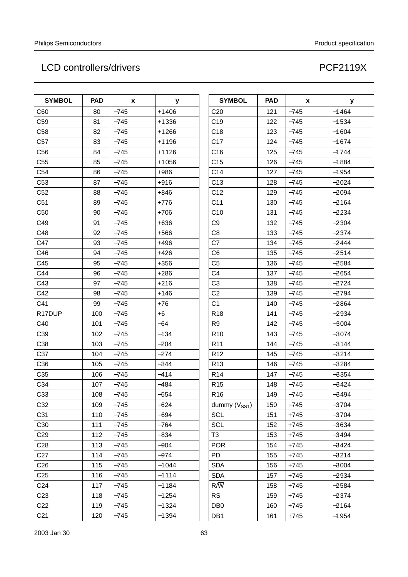| <b>SYMBOL</b>   | <b>PAD</b> | x      | у       | <b>SYMBOL</b>     | <b>PAD</b> | X      | у       |
|-----------------|------------|--------|---------|-------------------|------------|--------|---------|
| C60             | 80         | $-745$ | $+1406$ | C <sub>20</sub>   | 121        | $-745$ | $-1464$ |
| C <sub>59</sub> | 81         | $-745$ | $+1336$ | C <sub>19</sub>   | 122        | $-745$ | $-1534$ |
| C58             | 82         | $-745$ | $+1266$ | C <sub>18</sub>   | 123        | $-745$ | $-1604$ |
| C <sub>57</sub> | 83         | $-745$ | $+1196$ | C <sub>17</sub>   | 124        | $-745$ | $-1674$ |
| C56             | 84         | $-745$ | $+1126$ | C <sub>16</sub>   | 125        | $-745$ | $-1744$ |
| C55             | 85         | $-745$ | $+1056$ | C <sub>15</sub>   | 126        | $-745$ | $-1884$ |
| C54             | 86         | $-745$ | $+986$  | C14               | 127        | $-745$ | $-1954$ |
| C53             | 87         | $-745$ | $+916$  | C <sub>13</sub>   | 128        | $-745$ | $-2024$ |
| C52             | 88         | $-745$ | $+846$  | C <sub>12</sub>   | 129        | $-745$ | $-2094$ |
| C51             | 89         | $-745$ | $+776$  | C <sub>11</sub>   | 130        | $-745$ | $-2164$ |
| C50             | 90         | $-745$ | $+706$  | C10               | 131        | $-745$ | $-2234$ |
| C49             | 91         | $-745$ | $+636$  | C <sub>9</sub>    | 132        | $-745$ | $-2304$ |
| C48             | 92         | $-745$ | $+566$  | C <sub>8</sub>    | 133        | $-745$ | $-2374$ |
| C47             | 93         | $-745$ | +496    | C7                | 134        | $-745$ | $-2444$ |
| C46             | 94         | $-745$ | $+426$  | C <sub>6</sub>    | 135        | $-745$ | $-2514$ |
| C45             | 95         | $-745$ | $+356$  | C <sub>5</sub>    | 136        | $-745$ | $-2584$ |
| C44             | 96         | $-745$ | $+286$  | C <sub>4</sub>    | 137        | $-745$ | $-2654$ |
| C43             | 97         | $-745$ | $+216$  | C <sub>3</sub>    | 138        | $-745$ | $-2724$ |
| C42             | 98         | $-745$ | $+146$  | C <sub>2</sub>    | 139        | $-745$ | $-2794$ |
| C41             | 99         | $-745$ | +76     | C <sub>1</sub>    | 140        | $-745$ | $-2864$ |
| R17DUP          | 100        | $-745$ | $+6$    | R <sub>18</sub>   | 141        | $-745$ | $-2934$ |
| C40             | 101        | $-745$ | -64     | R <sub>9</sub>    | 142        | $-745$ | $-3004$ |
| C39             | 102        | $-745$ | $-134$  | R <sub>10</sub>   | 143        | $-745$ | $-3074$ |
| C38             | 103        | $-745$ | $-204$  | R <sub>11</sub>   | 144        | $-745$ | $-3144$ |
| C37             | 104        | $-745$ | $-274$  | R <sub>12</sub>   | 145        | $-745$ | $-3214$ |
| C36             | 105        | $-745$ | $-344$  | R <sub>13</sub>   | 146        | $-745$ | $-3284$ |
| C35             | 106        | $-745$ | $-414$  | R <sub>14</sub>   | 147        | $-745$ | $-3354$ |
| C34             | 107        | $-745$ | $-484$  | R <sub>15</sub>   | 148        | $-745$ | $-3424$ |
| C33             | 108        | $-745$ | -554    | R <sub>16</sub>   | 149        | $-745$ | $-3494$ |
| C32             | 109        | $-745$ | $-624$  | dummy $(V_{SS1})$ | 150        | $-745$ | $-3704$ |
| C31             | 110        | $-745$ | $-694$  | <b>SCL</b>        | 151        | $+745$ | $-3704$ |
| C30             | 111        | $-745$ | $-764$  | <b>SCL</b>        | 152        | $+745$ | $-3634$ |
| C <sub>29</sub> | 112        | $-745$ | $-834$  | T <sub>3</sub>    | 153        | $+745$ | $-3494$ |
| C <sub>28</sub> | 113        | $-745$ | $-904$  | <b>POR</b>        | 154        | $+745$ | $-3424$ |
| C <sub>27</sub> | 114        | $-745$ | $-974$  | <b>PD</b>         | 155        | $+745$ | $-3214$ |
| C <sub>26</sub> | 115        | $-745$ | $-1044$ | <b>SDA</b>        | 156        | $+745$ | $-3004$ |
| C <sub>25</sub> | 116        | $-745$ | $-1114$ | <b>SDA</b>        | 157        | $+745$ | $-2934$ |
| C <sub>24</sub> | 117        | $-745$ | $-1184$ | $R/\overline{W}$  | 158        | $+745$ | $-2584$ |
| C <sub>23</sub> | 118        | $-745$ | $-1254$ | <b>RS</b>         | 159        | $+745$ | $-2374$ |
| C <sub>22</sub> | 119        | $-745$ | $-1324$ | DB <sub>0</sub>   | 160        | $+745$ | $-2164$ |
| C <sub>21</sub> | 120        | $-745$ | $-1394$ | DB1               | 161        | $+745$ | $-1954$ |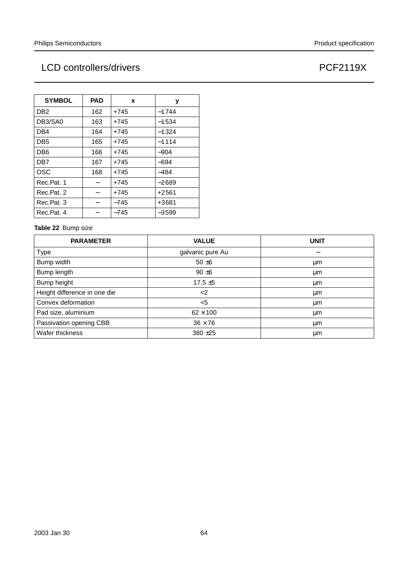| <b>SYMBOL</b>   | <b>PAD</b> | X      | у       |
|-----------------|------------|--------|---------|
| DB <sub>2</sub> | 162        | $+745$ | $-1744$ |
| DB3/SA0         | 163        | +745   | $-1534$ |
| DB4             | 164        | +745   | $-1324$ |
| DB <sub>5</sub> | 165        | $+745$ | $-1114$ |
| DB <sub>6</sub> | 166        | +745   | $-904$  |
| DB <sub>7</sub> | 167        | +745   | $-694$  |
| <b>OSC</b>      | 168        | +745   | $-484$  |
| Rec.Pat. 1      |            | $+745$ | $-2689$ |
| Rec.Pat. 2      |            | $+745$ | $+2561$ |
| Rec.Pat. 3      |            | $-745$ | +3681   |
| Rec.Pat. 4      |            | $-745$ | $-3599$ |

#### **Table 22** Bump size

| <b>PARAMETER</b>             | <b>VALUE</b>     | <b>UNIT</b> |
|------------------------------|------------------|-------------|
| Type                         | galvanic pure Au |             |
| Bump width                   | $50 \pm 6$       | μm          |
| Bump length                  | $90 + 6$         | μm          |
| Bump height                  | $17.5 \pm 5$     | μm          |
| Height difference in one die | $<$ 2            | μm          |
| Convex deformation           | $5$              | μm          |
| Pad size, aluminium          | $62 \times 100$  | μm          |
| Passivation opening CBB      | $36 \times 76$   | μm          |
| Wafer thickness              | $380 + 25$       | μm          |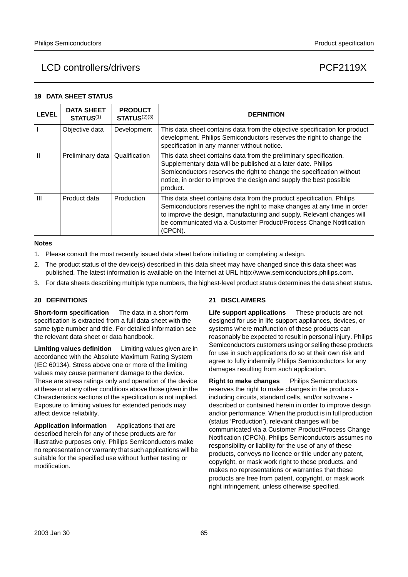#### **19 DATA SHEET STATUS**

| <b>LEVEL</b>   | <b>DATA SHEET</b><br><b>STATUS(1)</b> | <b>PRODUCT</b><br><b>STATUS(2)(3)</b> | <b>DEFINITION</b>                                                                                                                                                                                                                                                                                          |
|----------------|---------------------------------------|---------------------------------------|------------------------------------------------------------------------------------------------------------------------------------------------------------------------------------------------------------------------------------------------------------------------------------------------------------|
|                | Objective data                        | Development                           | This data sheet contains data from the objective specification for product<br>development. Philips Semiconductors reserves the right to change the<br>specification in any manner without notice.                                                                                                          |
| Ш              | Preliminary data                      | Qualification                         | This data sheet contains data from the preliminary specification.<br>Supplementary data will be published at a later date. Philips<br>Semiconductors reserves the right to change the specification without<br>notice, in order to improve the design and supply the best possible<br>product.             |
| $\mathbf{III}$ | Product data                          | Production                            | This data sheet contains data from the product specification. Philips<br>Semiconductors reserves the right to make changes at any time in order<br>to improve the design, manufacturing and supply. Relevant changes will<br>be communicated via a Customer Product/Process Change Notification<br>(CPCN). |

#### **Notes**

- 1. Please consult the most recently issued data sheet before initiating or completing a design.
- 2. The product status of the device(s) described in this data sheet may have changed since this data sheet was published. The latest information is available on the Internet at URL http://www.semiconductors.philips.com.
- 3. For data sheets describing multiple type numbers, the highest-level product status determines the data sheet status.

#### **20 DEFINITIONS**

**Short-form specification** — The data in a short-form specification is extracted from a full data sheet with the same type number and title. For detailed information see the relevant data sheet or data handbook.

**Limiting values definition** - Limiting values given are in accordance with the Absolute Maximum Rating System (IEC 60134). Stress above one or more of the limiting values may cause permanent damage to the device. These are stress ratings only and operation of the device at these or at any other conditions above those given in the Characteristics sections of the specification is not implied. Exposure to limiting values for extended periods may affect device reliability.

Application information Applications that are described herein for any of these products are for illustrative purposes only. Philips Semiconductors make no representation or warranty that such applications will be suitable for the specified use without further testing or modification.

#### **21 DISCLAIMERS**

**Life support applications** - These products are not designed for use in life support appliances, devices, or systems where malfunction of these products can reasonably be expected to result in personal injury. Philips Semiconductors customers using or selling these products for use in such applications do so at their own risk and agree to fully indemnify Philips Semiconductors for any damages resulting from such application.

**Right to make changes** - Philips Semiconductors reserves the right to make changes in the products including circuits, standard cells, and/or software described or contained herein in order to improve design and/or performance. When the product is in full production (status 'Production'), relevant changes will be communicated via a Customer Product/Process Change Notification (CPCN). Philips Semiconductors assumes no responsibility or liability for the use of any of these products, conveys no licence or title under any patent, copyright, or mask work right to these products, and makes no representations or warranties that these products are free from patent, copyright, or mask work right infringement, unless otherwise specified.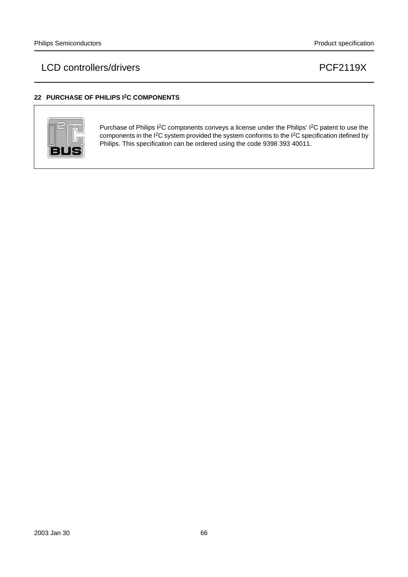#### **22 PURCHASE OF PHILIPS I2C COMPONENTS**



Purchase of Philips I<sup>2</sup>C components conveys a license under the Philips' I<sup>2</sup>C patent to use the components in the I2C system provided the system conforms to the I2C specification defined by Philips. This specification can be ordered using the code 9398 393 40011.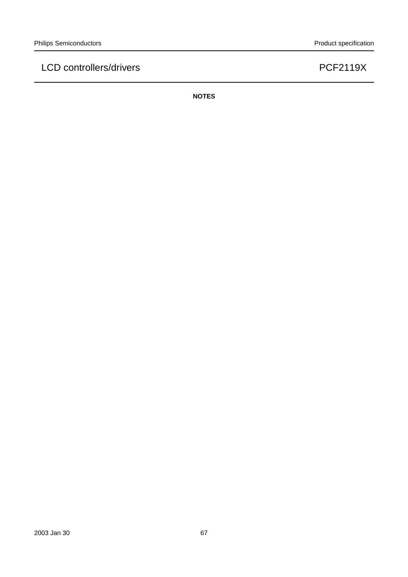**NOTES**